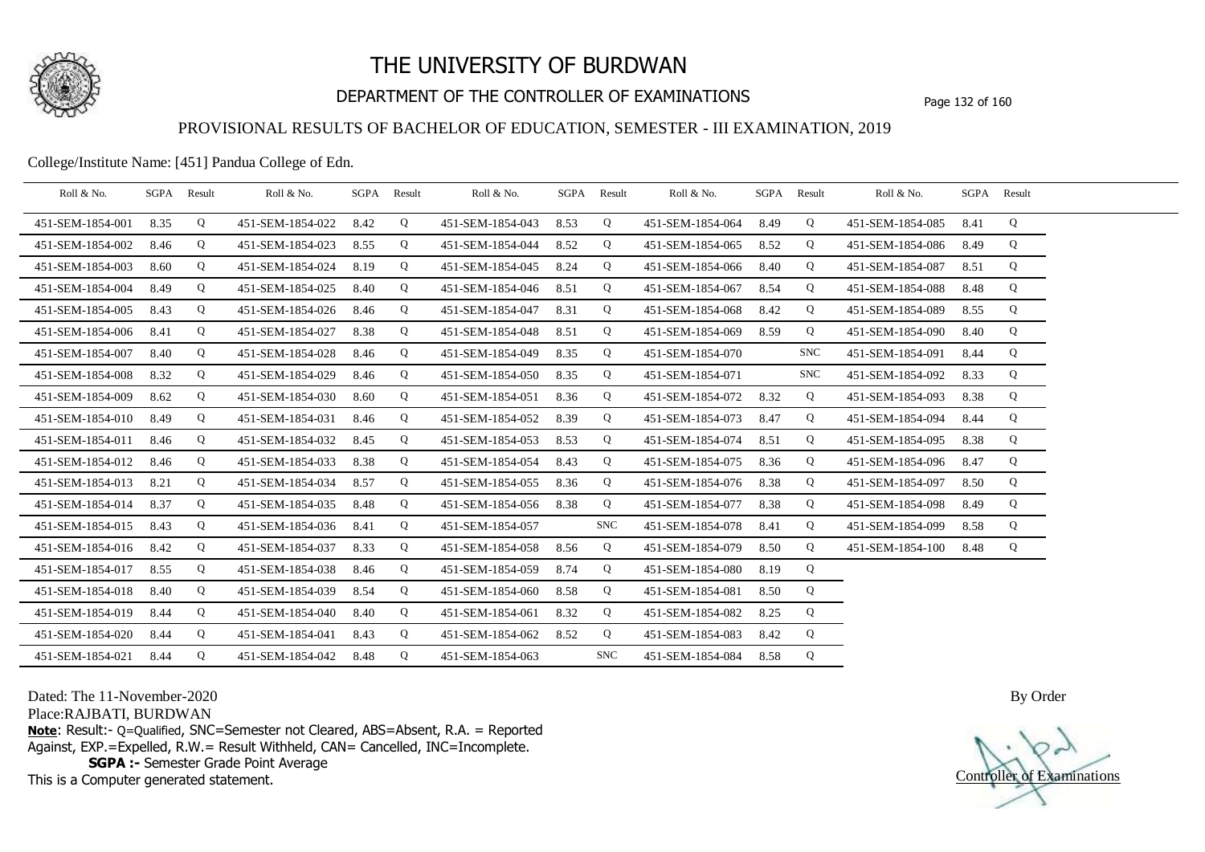

# DEPARTMENT OF THE CONTROLLER OF EXAMINATIONS Page 132 of 160

### PROVISIONAL RESULTS OF BACHELOR OF EDUCATION, SEMESTER - III EXAMINATION, 2019

College/Institute Name: [451] Pandua College of Edn.

| Roll & No.       | SGPA Result |   | Roll & No.       |      | SGPA Result | Roll & No.       |      | SGPA Result | Roll & No.       |      | SGPA Result | Roll & No.       | SGPA Result |   |  |
|------------------|-------------|---|------------------|------|-------------|------------------|------|-------------|------------------|------|-------------|------------------|-------------|---|--|
| 451-SEM-1854-001 | 8.35        | Q | 451-SEM-1854-022 | 8.42 | Q           | 451-SEM-1854-043 | 8.53 | Q           | 451-SEM-1854-064 | 8.49 | Q           | 451-SEM-1854-085 | 8.41        | Q |  |
| 451-SEM-1854-002 | 8.46        | Q | 451-SEM-1854-023 | 8.55 | Q           | 451-SEM-1854-044 | 8.52 | Q           | 451-SEM-1854-065 | 8.52 | Q           | 451-SEM-1854-086 | 8.49        | Q |  |
| 451-SEM-1854-003 | 8.60        | Q | 451-SEM-1854-024 | 8.19 | Q           | 451-SEM-1854-045 | 8.24 | Q           | 451-SEM-1854-066 | 8.40 | Q           | 451-SEM-1854-087 | 8.51        | Q |  |
| 451-SEM-1854-004 | 8.49        | Q | 451-SEM-1854-025 | 8.40 | Q           | 451-SEM-1854-046 | 8.51 | Q           | 451-SEM-1854-067 | 8.54 | Q           | 451-SEM-1854-088 | 8.48        | Q |  |
| 451-SEM-1854-005 | 8.43        | Q | 451-SEM-1854-026 | 8.46 | Q           | 451-SEM-1854-047 | 8.31 | Q           | 451-SEM-1854-068 | 8.42 | Q           | 451-SEM-1854-089 | 8.55        | Q |  |
| 451-SEM-1854-006 | 8.41        | Q | 451-SEM-1854-027 | 8.38 | Q           | 451-SEM-1854-048 | 8.51 | Q           | 451-SEM-1854-069 | 8.59 | Q           | 451-SEM-1854-090 | 8.40        | Q |  |
| 451-SEM-1854-007 | 8.40        | Q | 451-SEM-1854-028 | 8.46 | Q           | 451-SEM-1854-049 | 8.35 | Q           | 451-SEM-1854-070 |      | <b>SNC</b>  | 451-SEM-1854-091 | 8.44        | Q |  |
| 451-SEM-1854-008 | 8.32        | Q | 451-SEM-1854-029 | 8.46 | Q           | 451-SEM-1854-050 | 8.35 | Q           | 451-SEM-1854-071 |      | <b>SNC</b>  | 451-SEM-1854-092 | 8.33        | Q |  |
| 451-SEM-1854-009 | 8.62        | Q | 451-SEM-1854-030 | 8.60 | Q           | 451-SEM-1854-051 | 8.36 | Q           | 451-SEM-1854-072 | 8.32 | Q           | 451-SEM-1854-093 | 8.38        | Q |  |
| 451-SEM-1854-010 | 8.49        | Q | 451-SEM-1854-031 | 8.46 | Q           | 451-SEM-1854-052 | 8.39 | Q           | 451-SEM-1854-073 | 8.47 | Q           | 451-SEM-1854-094 | 8.44        | Q |  |
| 451-SEM-1854-011 | 8.46        | Q | 451-SEM-1854-032 | 8.45 | Q           | 451-SEM-1854-053 | 8.53 | Q           | 451-SEM-1854-074 | 8.51 | Q           | 451-SEM-1854-095 | 8.38        | Q |  |
| 451-SEM-1854-012 | 8.46        | Q | 451-SEM-1854-033 | 8.38 | Q           | 451-SEM-1854-054 | 8.43 | Q           | 451-SEM-1854-075 | 8.36 | Q           | 451-SEM-1854-096 | 8.47        | Q |  |
| 451-SEM-1854-013 | 8.21        | Q | 451-SEM-1854-034 | 8.57 | Q           | 451-SEM-1854-055 | 8.36 | Q           | 451-SEM-1854-076 | 8.38 | Q           | 451-SEM-1854-097 | 8.50        | Q |  |
| 451-SEM-1854-014 | 8.37        | Q | 451-SEM-1854-035 | 8.48 | Q           | 451-SEM-1854-056 | 8.38 | Q           | 451-SEM-1854-077 | 8.38 | Q           | 451-SEM-1854-098 | 8.49        | Q |  |
| 451-SEM-1854-015 | 8.43        | Q | 451-SEM-1854-036 | 8.41 | Q           | 451-SEM-1854-057 |      | <b>SNC</b>  | 451-SEM-1854-078 | 8.41 | Q           | 451-SEM-1854-099 | 8.58        | Q |  |
| 451-SEM-1854-016 | 8.42        | Q | 451-SEM-1854-037 | 8.33 | Q           | 451-SEM-1854-058 | 8.56 | Q           | 451-SEM-1854-079 | 8.50 | Q           | 451-SEM-1854-100 | 8.48        | Q |  |
| 451-SEM-1854-017 | 8.55        | Q | 451-SEM-1854-038 | 8.46 | Q           | 451-SEM-1854-059 | 8.74 | Q           | 451-SEM-1854-080 | 8.19 | Q           |                  |             |   |  |
| 451-SEM-1854-018 | 8.40        | Q | 451-SEM-1854-039 | 8.54 | Q           | 451-SEM-1854-060 | 8.58 | Q           | 451-SEM-1854-081 | 8.50 | Q           |                  |             |   |  |
| 451-SEM-1854-019 | 8.44        | Q | 451-SEM-1854-040 | 8.40 | Q           | 451-SEM-1854-061 | 8.32 | Q           | 451-SEM-1854-082 | 8.25 | Q           |                  |             |   |  |
| 451-SEM-1854-020 | 8.44        | Q | 451-SEM-1854-041 | 8.43 | Q           | 451-SEM-1854-062 | 8.52 | Q           | 451-SEM-1854-083 | 8.42 | Q           |                  |             |   |  |
| 451-SEM-1854-021 | 8.44        | Q | 451-SEM-1854-042 | 8.48 | Q           | 451-SEM-1854-063 |      | <b>SNC</b>  | 451-SEM-1854-084 | 8.58 | Q           |                  |             |   |  |

Dated: The 11-November-2020

Place:RAJBATI, BURDWAN

**Note**: Result:- Q=Qualified, SNC=Semester not Cleared, ABS=Absent, R.A. = Reported Against, EXP.=Expelled, R.W.= Result Withheld, CAN= Cancelled, INC=Incomplete. **SGPA :-** Semester Grade Point Average

This is a Computer generated statement.

Controller of Examinations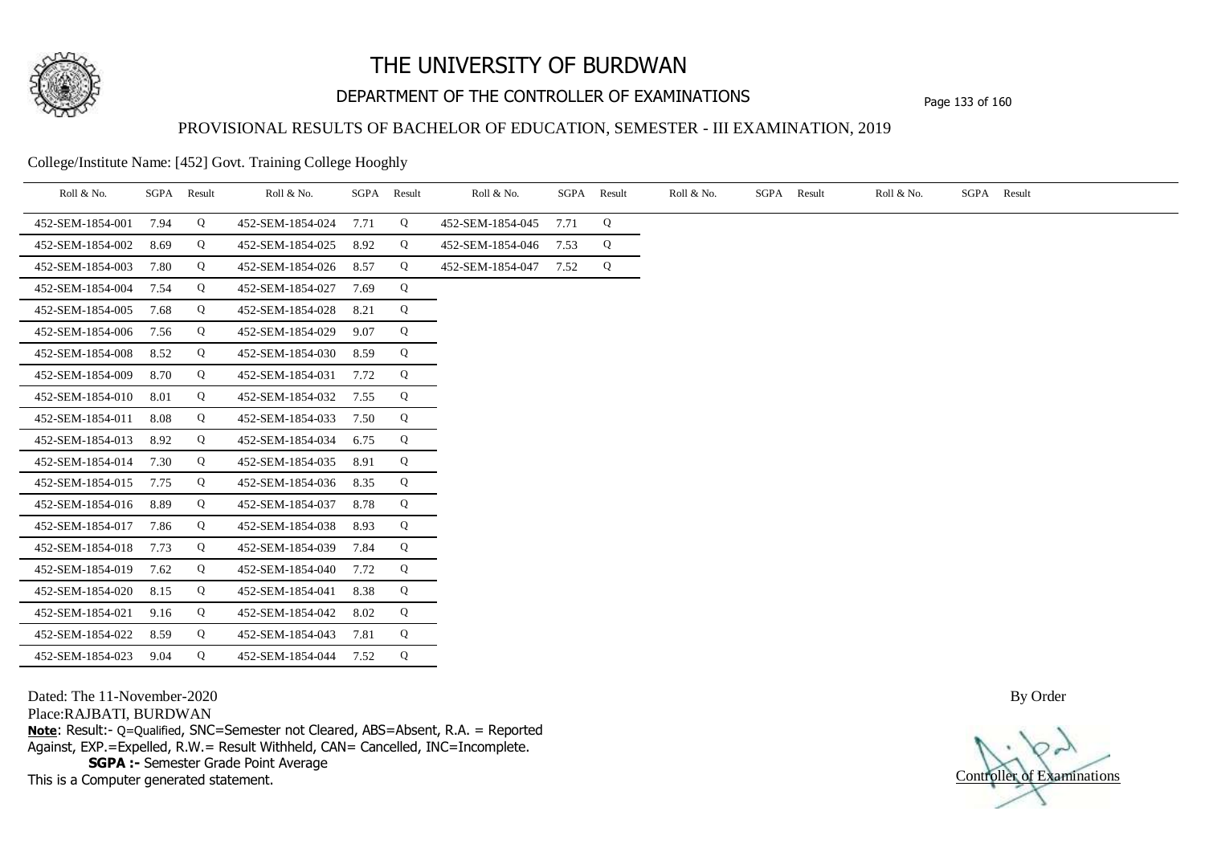

# DEPARTMENT OF THE CONTROLLER OF EXAMINATIONS Page 133 of 160

## PROVISIONAL RESULTS OF BACHELOR OF EDUCATION, SEMESTER - III EXAMINATION, 2019

College/Institute Name: [452] Govt. Training College Hooghly

| Roll & No.       | SGPA | Result | Roll & No.       | SGPA | Result | Roll & No.       | SGPA | Result | Roll & No. | SGPA | Result | Roll & No. | SGPA Result |
|------------------|------|--------|------------------|------|--------|------------------|------|--------|------------|------|--------|------------|-------------|
| 452-SEM-1854-001 | 7.94 | Q      | 452-SEM-1854-024 | 7.71 | Q      | 452-SEM-1854-045 | 7.71 | Q      |            |      |        |            |             |
| 452-SEM-1854-002 | 8.69 | Q      | 452-SEM-1854-025 | 8.92 | Q      | 452-SEM-1854-046 | 7.53 | Q      |            |      |        |            |             |
| 452-SEM-1854-003 | 7.80 | Q      | 452-SEM-1854-026 | 8.57 | Q      | 452-SEM-1854-047 | 7.52 | Q      |            |      |        |            |             |
| 452-SEM-1854-004 | 7.54 | Q      | 452-SEM-1854-027 | 7.69 | Q      |                  |      |        |            |      |        |            |             |
| 452-SEM-1854-005 | 7.68 | Q      | 452-SEM-1854-028 | 8.21 | Q      |                  |      |        |            |      |        |            |             |
| 452-SEM-1854-006 | 7.56 | Q      | 452-SEM-1854-029 | 9.07 | Q      |                  |      |        |            |      |        |            |             |
| 452-SEM-1854-008 | 8.52 | Q      | 452-SEM-1854-030 | 8.59 | Q      |                  |      |        |            |      |        |            |             |
| 452-SEM-1854-009 | 8.70 | Q      | 452-SEM-1854-031 | 7.72 | Q      |                  |      |        |            |      |        |            |             |
| 452-SEM-1854-010 | 8.01 | Q      | 452-SEM-1854-032 | 7.55 | Q      |                  |      |        |            |      |        |            |             |
| 452-SEM-1854-011 | 8.08 | Q      | 452-SEM-1854-033 | 7.50 | Q      |                  |      |        |            |      |        |            |             |
| 452-SEM-1854-013 | 8.92 | Q      | 452-SEM-1854-034 | 6.75 | Q      |                  |      |        |            |      |        |            |             |
| 452-SEM-1854-014 | 7.30 | Q      | 452-SEM-1854-035 | 8.91 | Q      |                  |      |        |            |      |        |            |             |
| 452-SEM-1854-015 | 7.75 | Q      | 452-SEM-1854-036 | 8.35 | Q      |                  |      |        |            |      |        |            |             |
| 452-SEM-1854-016 | 8.89 | Q      | 452-SEM-1854-037 | 8.78 | Q      |                  |      |        |            |      |        |            |             |
| 452-SEM-1854-017 | 7.86 | Q      | 452-SEM-1854-038 | 8.93 | Q      |                  |      |        |            |      |        |            |             |
| 452-SEM-1854-018 | 7.73 | Q      | 452-SEM-1854-039 | 7.84 | Q      |                  |      |        |            |      |        |            |             |
| 452-SEM-1854-019 | 7.62 | Q      | 452-SEM-1854-040 | 7.72 | Q      |                  |      |        |            |      |        |            |             |
| 452-SEM-1854-020 | 8.15 | Q      | 452-SEM-1854-041 | 8.38 | Q      |                  |      |        |            |      |        |            |             |
| 452-SEM-1854-021 | 9.16 | Q      | 452-SEM-1854-042 | 8.02 | Q      |                  |      |        |            |      |        |            |             |
| 452-SEM-1854-022 | 8.59 | Q      | 452-SEM-1854-043 | 7.81 | Q      |                  |      |        |            |      |        |            |             |
| 452-SEM-1854-023 | 9.04 | Q      | 452-SEM-1854-044 | 7.52 | Q      |                  |      |        |            |      |        |            |             |

Dated: The 11-November-2020

Place:RAJBATI, BURDWAN

**Note**: Result:- Q=Qualified, SNC=Semester not Cleared, ABS=Absent, R.A. = Reported Against, EXP.=Expelled, R.W.= Result Withheld, CAN= Cancelled, INC=Incomplete. **SGPA :-** Semester Grade Point Average

This is a Computer generated statement.

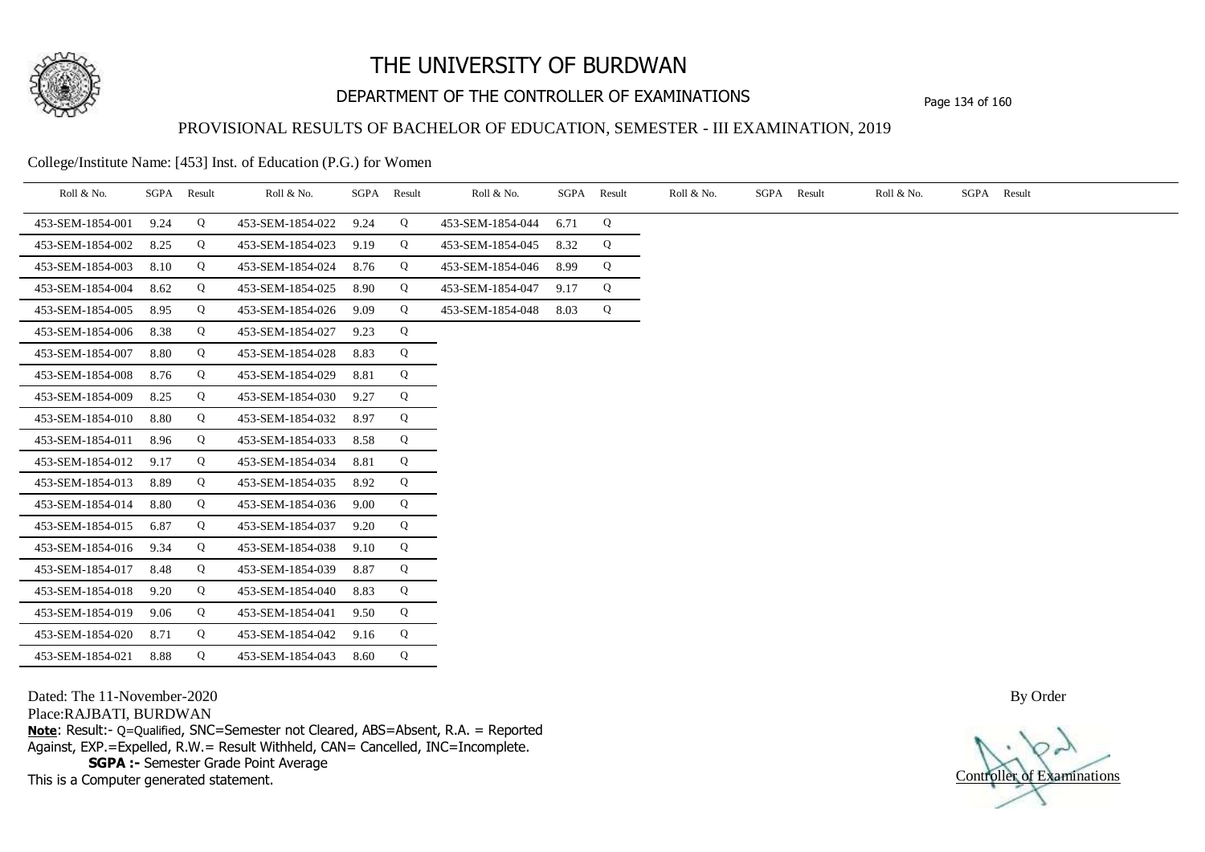

# DEPARTMENT OF THE CONTROLLER OF EXAMINATIONS Page 134 of 160

### PROVISIONAL RESULTS OF BACHELOR OF EDUCATION, SEMESTER - III EXAMINATION, 2019

College/Institute Name: [453] Inst. of Education (P.G.) for Women

| Roll & No.       |      | SGPA Result | Roll & No.       |      | SGPA Result | Roll & No.       |      | SGPA Result | Roll & No. | SGPA Result | Roll & No. | SGPA Result |
|------------------|------|-------------|------------------|------|-------------|------------------|------|-------------|------------|-------------|------------|-------------|
| 453-SEM-1854-001 | 9.24 | Q           | 453-SEM-1854-022 | 9.24 | Q           | 453-SEM-1854-044 | 6.71 | Q           |            |             |            |             |
| 453-SEM-1854-002 | 8.25 | Q           | 453-SEM-1854-023 | 9.19 | Q           | 453-SEM-1854-045 | 8.32 | Q           |            |             |            |             |
| 453-SEM-1854-003 | 8.10 | Q           | 453-SEM-1854-024 | 8.76 | Q           | 453-SEM-1854-046 | 8.99 | Q           |            |             |            |             |
| 453-SEM-1854-004 | 8.62 | Q           | 453-SEM-1854-025 | 8.90 | Q           | 453-SEM-1854-047 | 9.17 | Q           |            |             |            |             |
| 453-SEM-1854-005 | 8.95 | Q           | 453-SEM-1854-026 | 9.09 | Q           | 453-SEM-1854-048 | 8.03 | Q           |            |             |            |             |
| 453-SEM-1854-006 | 8.38 | Q           | 453-SEM-1854-027 | 9.23 | Q           |                  |      |             |            |             |            |             |
| 453-SEM-1854-007 | 8.80 | Q           | 453-SEM-1854-028 | 8.83 | Q           |                  |      |             |            |             |            |             |
| 453-SEM-1854-008 | 8.76 | Q           | 453-SEM-1854-029 | 8.81 | Q           |                  |      |             |            |             |            |             |
| 453-SEM-1854-009 | 8.25 | Q           | 453-SEM-1854-030 | 9.27 | Q           |                  |      |             |            |             |            |             |
| 453-SEM-1854-010 | 8.80 | Q           | 453-SEM-1854-032 | 8.97 | Q           |                  |      |             |            |             |            |             |
| 453-SEM-1854-011 | 8.96 | Q           | 453-SEM-1854-033 | 8.58 | Q           |                  |      |             |            |             |            |             |
| 453-SEM-1854-012 | 9.17 | Q           | 453-SEM-1854-034 | 8.81 | Q           |                  |      |             |            |             |            |             |
| 453-SEM-1854-013 | 8.89 | Q           | 453-SEM-1854-035 | 8.92 | Q           |                  |      |             |            |             |            |             |
| 453-SEM-1854-014 | 8.80 | Q           | 453-SEM-1854-036 | 9.00 | Q           |                  |      |             |            |             |            |             |
| 453-SEM-1854-015 | 6.87 | Q           | 453-SEM-1854-037 | 9.20 | Q           |                  |      |             |            |             |            |             |
| 453-SEM-1854-016 | 9.34 | Q           | 453-SEM-1854-038 | 9.10 | Q           |                  |      |             |            |             |            |             |
| 453-SEM-1854-017 | 8.48 | Q           | 453-SEM-1854-039 | 8.87 | Q           |                  |      |             |            |             |            |             |
| 453-SEM-1854-018 | 9.20 | Q           | 453-SEM-1854-040 | 8.83 | Q           |                  |      |             |            |             |            |             |
| 453-SEM-1854-019 | 9.06 | Q           | 453-SEM-1854-041 | 9.50 | Q           |                  |      |             |            |             |            |             |
| 453-SEM-1854-020 | 8.71 | Q           | 453-SEM-1854-042 | 9.16 | Q           |                  |      |             |            |             |            |             |
| 453-SEM-1854-021 | 8.88 | Q           | 453-SEM-1854-043 | 8.60 | Q           |                  |      |             |            |             |            |             |

Dated: The 11-November-2020

Place:RAJBATI, BURDWAN

**Note**: Result:- Q=Qualified, SNC=Semester not Cleared, ABS=Absent, R.A. = Reported Against, EXP.=Expelled, R.W.= Result Withheld, CAN= Cancelled, INC=Incomplete. **SGPA :-** Semester Grade Point Average

This is a Computer generated statement.

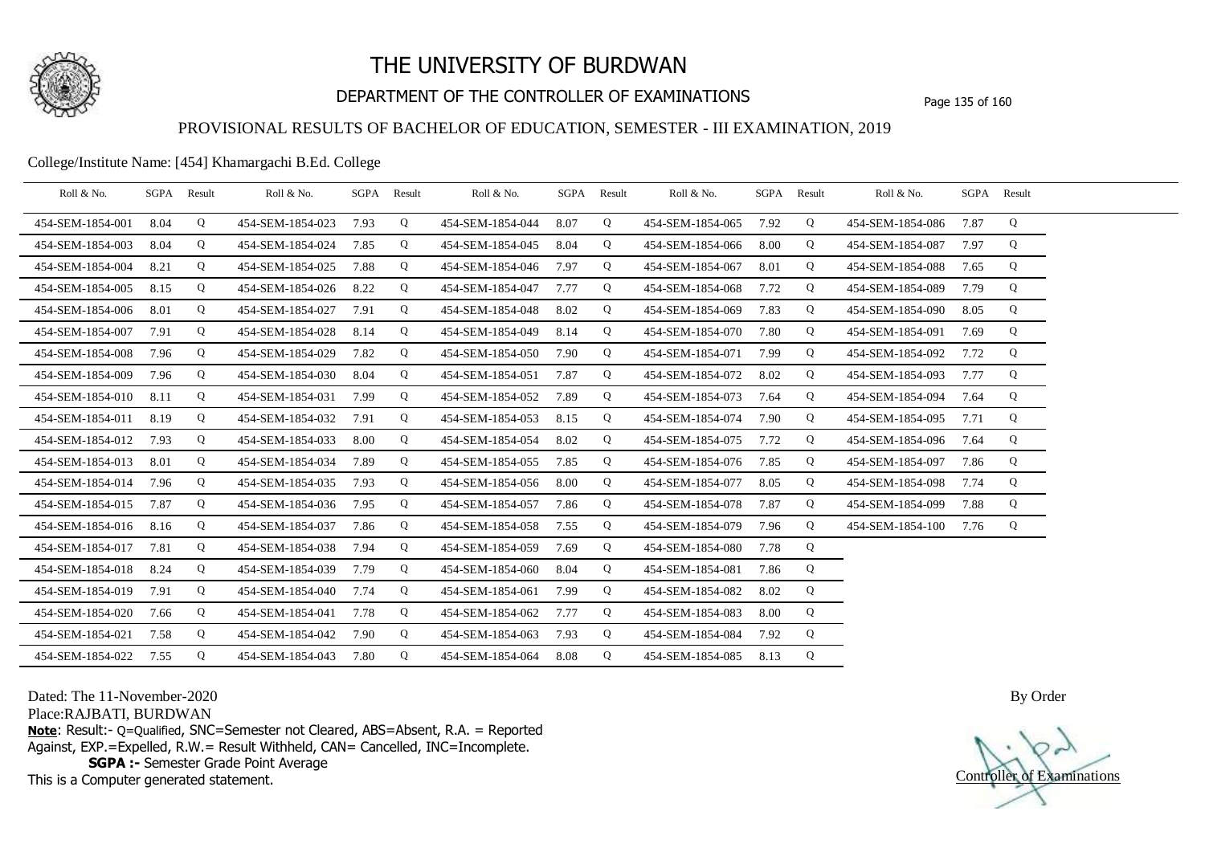

# DEPARTMENT OF THE CONTROLLER OF EXAMINATIONS Page 135 of 160

### PROVISIONAL RESULTS OF BACHELOR OF EDUCATION, SEMESTER - III EXAMINATION, 2019

### College/Institute Name: [454] Khamargachi B.Ed. College

| Roll & No.       |      | SGPA Result | Roll & No.       |      | SGPA Result | Roll & No.       |      | SGPA Result | Roll & No.       |      | SGPA Result | Roll & No.       |      | SGPA Result |  |
|------------------|------|-------------|------------------|------|-------------|------------------|------|-------------|------------------|------|-------------|------------------|------|-------------|--|
| 454-SEM-1854-001 | 8.04 | Q           | 454-SEM-1854-023 | 7.93 | Q           | 454-SEM-1854-044 | 8.07 | Q           | 454-SEM-1854-065 | 7.92 | Q           | 454-SEM-1854-086 | 7.87 | Q           |  |
| 454-SEM-1854-003 | 8.04 | Q           | 454-SEM-1854-024 | 7.85 | Q           | 454-SEM-1854-045 | 8.04 | Q           | 454-SEM-1854-066 | 8.00 | Q           | 454-SEM-1854-087 | 7.97 | Q           |  |
| 454-SEM-1854-004 | 8.21 | Q           | 454-SEM-1854-025 | 7.88 | Q           | 454-SEM-1854-046 | 7.97 | Q           | 454-SEM-1854-067 | 8.01 | Q           | 454-SEM-1854-088 | 7.65 | Q           |  |
| 454-SEM-1854-005 | 8.15 | Q           | 454-SEM-1854-026 | 8.22 | Q           | 454-SEM-1854-047 | 7.77 | Q           | 454-SEM-1854-068 | 7.72 | Q           | 454-SEM-1854-089 | 7.79 | Q           |  |
| 454-SEM-1854-006 | 8.01 | Q           | 454-SEM-1854-027 | 7.91 | Q           | 454-SEM-1854-048 | 8.02 | Q           | 454-SEM-1854-069 | 7.83 | Q           | 454-SEM-1854-090 | 8.05 | Q           |  |
| 454-SEM-1854-007 | 7.91 | Q           | 454-SEM-1854-028 | 8.14 | Q           | 454-SEM-1854-049 | 8.14 | Q           | 454-SEM-1854-070 | 7.80 | Q           | 454-SEM-1854-091 | 7.69 | Q           |  |
| 454-SEM-1854-008 | 7.96 | Q           | 454-SEM-1854-029 | 7.82 | Q           | 454-SEM-1854-050 | 7.90 | Q           | 454-SEM-1854-071 | 7.99 | Q           | 454-SEM-1854-092 | 7.72 | Q           |  |
| 454-SEM-1854-009 | 7.96 | Q           | 454-SEM-1854-030 | 8.04 | Q           | 454-SEM-1854-051 | 7.87 | Q           | 454-SEM-1854-072 | 8.02 | Q           | 454-SEM-1854-093 | 7.77 | Q           |  |
| 454-SEM-1854-010 | 8.11 | Q           | 454-SEM-1854-031 | 7.99 | Q           | 454-SEM-1854-052 | 7.89 | Q           | 454-SEM-1854-073 | 7.64 | Q           | 454-SEM-1854-094 | 7.64 | Q           |  |
| 454-SEM-1854-011 | 8.19 | Q           | 454-SEM-1854-032 | 7.91 | Q           | 454-SEM-1854-053 | 8.15 | Q           | 454-SEM-1854-074 | 7.90 | Q           | 454-SEM-1854-095 | 7.71 | Q           |  |
| 454-SEM-1854-012 | 7.93 | Q           | 454-SEM-1854-033 | 8.00 | Q           | 454-SEM-1854-054 | 8.02 | Q           | 454-SEM-1854-075 | 7.72 | Q           | 454-SEM-1854-096 | 7.64 | Q           |  |
| 454-SEM-1854-013 | 8.01 | Q           | 454-SEM-1854-034 | 7.89 | Q           | 454-SEM-1854-055 | 7.85 | Q           | 454-SEM-1854-076 | 7.85 | Q           | 454-SEM-1854-097 | 7.86 | Q           |  |
| 454-SEM-1854-014 | 7.96 | Q           | 454-SEM-1854-035 | 7.93 | Q           | 454-SEM-1854-056 | 8.00 | Q           | 454-SEM-1854-077 | 8.05 | Q           | 454-SEM-1854-098 | 7.74 | Q           |  |
| 454-SEM-1854-015 | 7.87 | Q           | 454-SEM-1854-036 | 7.95 | Q           | 454-SEM-1854-057 | 7.86 | Q           | 454-SEM-1854-078 | 7.87 | Q           | 454-SEM-1854-099 | 7.88 | Q           |  |
| 454-SEM-1854-016 | 8.16 | Q           | 454-SEM-1854-037 | 7.86 | Q           | 454-SEM-1854-058 | 7.55 | Q           | 454-SEM-1854-079 | 7.96 | Q           | 454-SEM-1854-100 | 7.76 | Q           |  |
| 454-SEM-1854-017 | 7.81 | Q           | 454-SEM-1854-038 | 7.94 | Q           | 454-SEM-1854-059 | 7.69 | Q           | 454-SEM-1854-080 | 7.78 | Q           |                  |      |             |  |
| 454-SEM-1854-018 | 8.24 | Q           | 454-SEM-1854-039 | 7.79 | Q           | 454-SEM-1854-060 | 8.04 | Q           | 454-SEM-1854-081 | 7.86 | Q           |                  |      |             |  |
| 454-SEM-1854-019 | 7.91 | Q           | 454-SEM-1854-040 | 7.74 | Q           | 454-SEM-1854-061 | 7.99 | Q           | 454-SEM-1854-082 | 8.02 | Q           |                  |      |             |  |
| 454-SEM-1854-020 | 7.66 | Q           | 454-SEM-1854-041 | 7.78 | Q           | 454-SEM-1854-062 | 7.77 | Q           | 454-SEM-1854-083 | 8.00 | Q           |                  |      |             |  |
| 454-SEM-1854-021 | 7.58 | Q           | 454-SEM-1854-042 | 7.90 | Q           | 454-SEM-1854-063 | 7.93 | Q           | 454-SEM-1854-084 | 7.92 | Q           |                  |      |             |  |
| 454-SEM-1854-022 | 7.55 | Q           | 454-SEM-1854-043 | 7.80 | Q           | 454-SEM-1854-064 | 8.08 | Q           | 454-SEM-1854-085 | 8.13 | Q           |                  |      |             |  |

Dated: The 11-November-2020

Place:RAJBATI, BURDWAN

**Note**: Result:- Q=Qualified, SNC=Semester not Cleared, ABS=Absent, R.A. = Reported Against, EXP.=Expelled, R.W.= Result Withheld, CAN= Cancelled, INC=Incomplete. **SGPA :-** Semester Grade Point Average

This is a Computer generated statement.

Controller of Examinations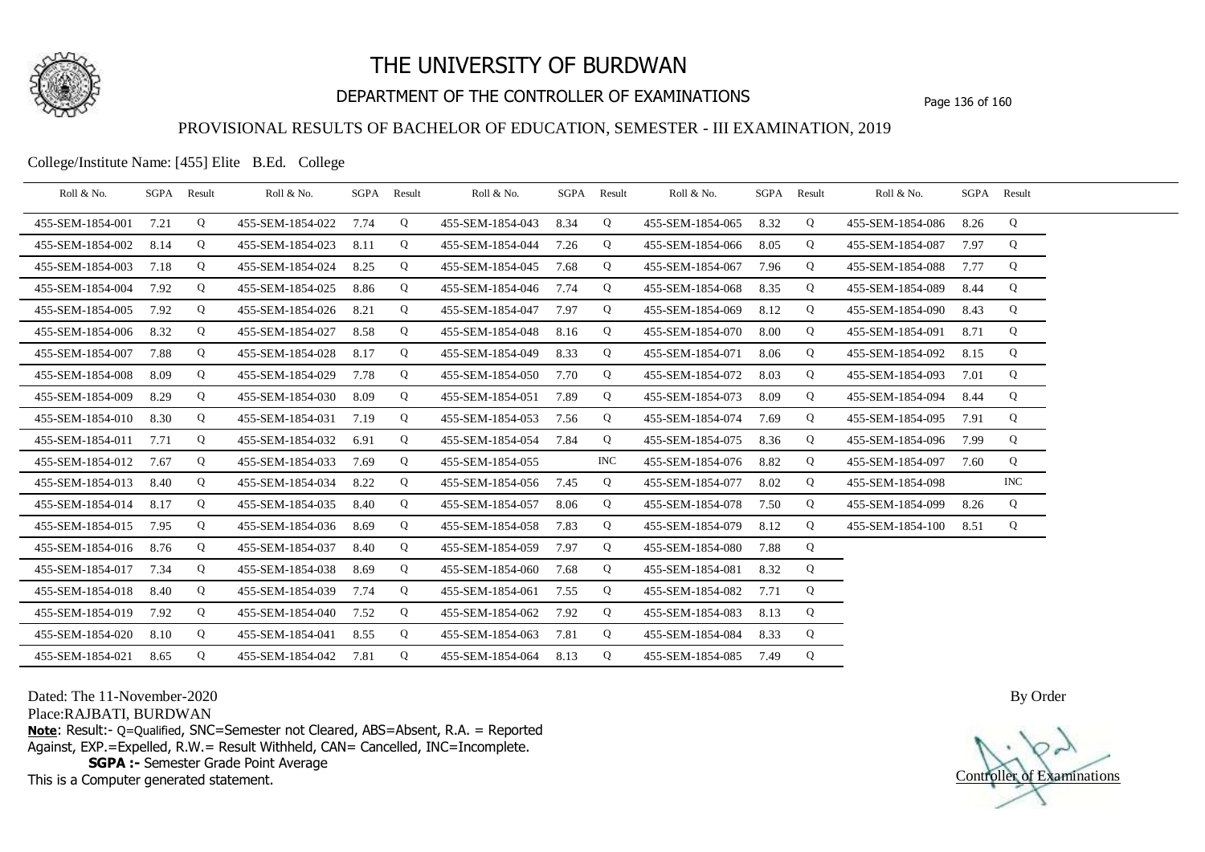

# DEPARTMENT OF THE CONTROLLER OF EXAMINATIONS Page 136 of 160

### PROVISIONAL RESULTS OF BACHELOR OF EDUCATION, SEMESTER - III EXAMINATION, 2019

College/Institute Name: [455] Elite B.Ed. College

| Roll & No.       |      | SGPA Result | Roll & No.       |      | SGPA Result | Roll & No.       |      | SGPA Result | Roll & No.       | SGPA Result |   | Roll & No.       |      | SGPA Result |  |
|------------------|------|-------------|------------------|------|-------------|------------------|------|-------------|------------------|-------------|---|------------------|------|-------------|--|
| 455-SEM-1854-001 | 7.21 | Q           | 455-SEM-1854-022 | 7.74 | Q           | 455-SEM-1854-043 | 8.34 | Q           | 455-SEM-1854-065 | 8.32        | Q | 455-SEM-1854-086 | 8.26 | Q           |  |
| 455-SEM-1854-002 | 8.14 | Q           | 455-SEM-1854-023 | 8.11 | Q           | 455-SEM-1854-044 | 7.26 | Q           | 455-SEM-1854-066 | 8.05        | Q | 455-SEM-1854-087 | 7.97 | Q           |  |
| 455-SEM-1854-003 | 7.18 | Q           | 455-SEM-1854-024 | 8.25 | Q           | 455-SEM-1854-045 | 7.68 | Q           | 455-SEM-1854-067 | 7.96        | Q | 455-SEM-1854-088 | 7.77 | Q           |  |
| 455-SEM-1854-004 | 7.92 | Q           | 455-SEM-1854-025 | 8.86 | Q           | 455-SEM-1854-046 | 7.74 | Q           | 455-SEM-1854-068 | 8.35        | Q | 455-SEM-1854-089 | 8.44 | Q           |  |
| 455-SEM-1854-005 | 7.92 | Q           | 455-SEM-1854-026 | 8.21 | Q           | 455-SEM-1854-047 | 7.97 | Q           | 455-SEM-1854-069 | 8.12        | Q | 455-SEM-1854-090 | 8.43 | Q           |  |
| 455-SEM-1854-006 | 8.32 | Q           | 455-SEM-1854-027 | 8.58 | Q           | 455-SEM-1854-048 | 8.16 | Q           | 455-SEM-1854-070 | 8.00        | Q | 455-SEM-1854-091 | 8.71 | Q           |  |
| 455-SEM-1854-007 | 7.88 | Q           | 455-SEM-1854-028 | 8.17 | Q           | 455-SEM-1854-049 | 8.33 | Q           | 455-SEM-1854-071 | 8.06        | Q | 455-SEM-1854-092 | 8.15 | Q           |  |
| 455-SEM-1854-008 | 8.09 | Q           | 455-SEM-1854-029 | 7.78 | Q           | 455-SEM-1854-050 | 7.70 | Q           | 455-SEM-1854-072 | 8.03        | Q | 455-SEM-1854-093 | 7.01 | Q           |  |
| 455-SEM-1854-009 | 8.29 | Q           | 455-SEM-1854-030 | 8.09 | Q           | 455-SEM-1854-051 | 7.89 | Q           | 455-SEM-1854-073 | 8.09        | Q | 455-SEM-1854-094 | 8.44 | Q           |  |
| 455-SEM-1854-010 | 8.30 | Q           | 455-SEM-1854-031 | 7.19 | Q           | 455-SEM-1854-053 | 7.56 | Q           | 455-SEM-1854-074 | 7.69        | Q | 455-SEM-1854-095 | 7.91 | Q           |  |
| 455-SEM-1854-011 | 7.71 | Q           | 455-SEM-1854-032 | 6.91 | Q           | 455-SEM-1854-054 | 7.84 | Q           | 455-SEM-1854-075 | 8.36        | Q | 455-SEM-1854-096 | 7.99 | Q           |  |
| 455-SEM-1854-012 | 7.67 | Q           | 455-SEM-1854-033 | 7.69 | Q           | 455-SEM-1854-055 |      | <b>INC</b>  | 455-SEM-1854-076 | 8.82        | Q | 455-SEM-1854-097 | 7.60 | Q           |  |
| 455-SEM-1854-013 | 8.40 | Q           | 455-SEM-1854-034 | 8.22 | Q           | 455-SEM-1854-056 | 7.45 | Q           | 455-SEM-1854-077 | 8.02        | Q | 455-SEM-1854-098 |      | INC         |  |
| 455-SEM-1854-014 | 8.17 | Q           | 455-SEM-1854-035 | 8.40 | Q           | 455-SEM-1854-057 | 8.06 | Q           | 455-SEM-1854-078 | 7.50        | Q | 455-SEM-1854-099 | 8.26 | Q           |  |
| 455-SEM-1854-015 | 7.95 | Q           | 455-SEM-1854-036 | 8.69 | Q           | 455-SEM-1854-058 | 7.83 | Q           | 455-SEM-1854-079 | 8.12        | Q | 455-SEM-1854-100 | 8.51 | Q           |  |
| 455-SEM-1854-016 | 8.76 | Q           | 455-SEM-1854-037 | 8.40 | Q           | 455-SEM-1854-059 | 7.97 | Q           | 455-SEM-1854-080 | 7.88        | Q |                  |      |             |  |
| 455-SEM-1854-017 | 7.34 | Q           | 455-SEM-1854-038 | 8.69 | Q           | 455-SEM-1854-060 | 7.68 | Q           | 455-SEM-1854-081 | 8.32        | Q |                  |      |             |  |
| 455-SEM-1854-018 | 8.40 | Q           | 455-SEM-1854-039 | 7.74 | Q           | 455-SEM-1854-061 | 7.55 | Q           | 455-SEM-1854-082 | 7.71        | Q |                  |      |             |  |
| 455-SEM-1854-019 | 7.92 | Q           | 455-SEM-1854-040 | 7.52 | Q           | 455-SEM-1854-062 | 7.92 | Q           | 455-SEM-1854-083 | 8.13        | Q |                  |      |             |  |
| 455-SEM-1854-020 | 8.10 | Q           | 455-SEM-1854-041 | 8.55 | Q           | 455-SEM-1854-063 | 7.81 | Q           | 455-SEM-1854-084 | 8.33        | Q |                  |      |             |  |
| 455-SEM-1854-021 | 8.65 | Q           | 455-SEM-1854-042 | 7.81 | Q           | 455-SEM-1854-064 | 8.13 | Q           | 455-SEM-1854-085 | 7.49        | Q |                  |      |             |  |

Dated: The 11-November-2020

Place:RAJBATI, BURDWAN

**Note**: Result:- Q=Qualified, SNC=Semester not Cleared, ABS=Absent, R.A. = Reported Against, EXP.=Expelled, R.W.= Result Withheld, CAN= Cancelled, INC=Incomplete. **SGPA :-** Semester Grade Point Average

This is a Computer generated statement.

Controller of Examinations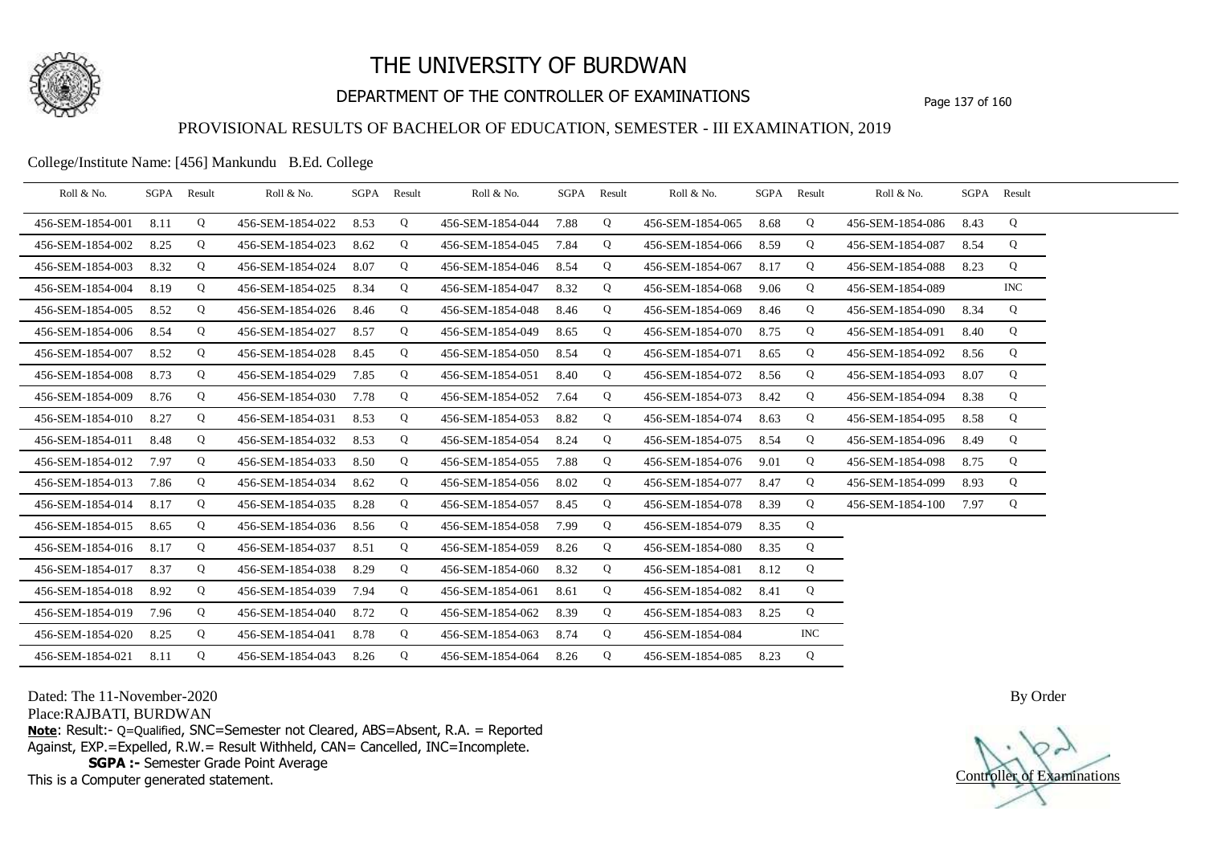

# DEPARTMENT OF THE CONTROLLER OF EXAMINATIONS Page 137 of 160

### PROVISIONAL RESULTS OF BACHELOR OF EDUCATION, SEMESTER - III EXAMINATION, 2019

College/Institute Name: [456] Mankundu B.Ed. College

| Roll & No.       | SGPA Result |   | Roll & No.       | SGPA Result |   | Roll & No.       | SGPA Result |   | Roll & No.       | SGPA Result |            | Roll & No.       |      | SGPA Result |  |
|------------------|-------------|---|------------------|-------------|---|------------------|-------------|---|------------------|-------------|------------|------------------|------|-------------|--|
| 456-SEM-1854-001 | 8.11        | Q | 456-SEM-1854-022 | 8.53        | Q | 456-SEM-1854-044 | 7.88        | Q | 456-SEM-1854-065 | 8.68        | Q          | 456-SEM-1854-086 | 8.43 | Q           |  |
| 456-SEM-1854-002 | 8.25        | Q | 456-SEM-1854-023 | 8.62        | Q | 456-SEM-1854-045 | 7.84        | Q | 456-SEM-1854-066 | 8.59        | Q          | 456-SEM-1854-087 | 8.54 | Q           |  |
| 456-SEM-1854-003 | 8.32        | Q | 456-SEM-1854-024 | 8.07        | Q | 456-SEM-1854-046 | 8.54        | Q | 456-SEM-1854-067 | 8.17        | Q          | 456-SEM-1854-088 | 8.23 | Q           |  |
| 456-SEM-1854-004 | 8.19        | Q | 456-SEM-1854-025 | 8.34        | Q | 456-SEM-1854-047 | 8.32        | Q | 456-SEM-1854-068 | 9.06        | Q          | 456-SEM-1854-089 |      | <b>INC</b>  |  |
| 456-SEM-1854-005 | 8.52        | Q | 456-SEM-1854-026 | 8.46        | Q | 456-SEM-1854-048 | 8.46        | Q | 456-SEM-1854-069 | 8.46        | Q          | 456-SEM-1854-090 | 8.34 | Q           |  |
| 456-SEM-1854-006 | 8.54        | Q | 456-SEM-1854-027 | 8.57        | Q | 456-SEM-1854-049 | 8.65        | Q | 456-SEM-1854-070 | 8.75        | Q          | 456-SEM-1854-091 | 8.40 | Q           |  |
| 456-SEM-1854-007 | 8.52        | Q | 456-SEM-1854-028 | 8.45        | Q | 456-SEM-1854-050 | 8.54        | Q | 456-SEM-1854-071 | 8.65        | Q          | 456-SEM-1854-092 | 8.56 | Q           |  |
| 456-SEM-1854-008 | 8.73        | Q | 456-SEM-1854-029 | 7.85        | Q | 456-SEM-1854-051 | 8.40        | Q | 456-SEM-1854-072 | 8.56        | Q          | 456-SEM-1854-093 | 8.07 | Q           |  |
| 456-SEM-1854-009 | 8.76        | Q | 456-SEM-1854-030 | 7.78        | Q | 456-SEM-1854-052 | 7.64        | Q | 456-SEM-1854-073 | 8.42        | Q          | 456-SEM-1854-094 | 8.38 | Q           |  |
| 456-SEM-1854-010 | 8.27        | Q | 456-SEM-1854-031 | 8.53        | Q | 456-SEM-1854-053 | 8.82        | Q | 456-SEM-1854-074 | 8.63        | Q          | 456-SEM-1854-095 | 8.58 | Q           |  |
| 456-SEM-1854-011 | 8.48        | Q | 456-SEM-1854-032 | 8.53        | Q | 456-SEM-1854-054 | 8.24        | Q | 456-SEM-1854-075 | 8.54        | Q          | 456-SEM-1854-096 | 8.49 | Q           |  |
| 456-SEM-1854-012 | 7.97        | Q | 456-SEM-1854-033 | 8.50        | Q | 456-SEM-1854-055 | 7.88        | Q | 456-SEM-1854-076 | 9.01        | Q          | 456-SEM-1854-098 | 8.75 | Q           |  |
| 456-SEM-1854-013 | 7.86        | Q | 456-SEM-1854-034 | 8.62        | Q | 456-SEM-1854-056 | 8.02        | Q | 456-SEM-1854-077 | 8.47        | Q          | 456-SEM-1854-099 | 8.93 | Q           |  |
| 456-SEM-1854-014 | 8.17        | Q | 456-SEM-1854-035 | 8.28        | Q | 456-SEM-1854-057 | 8.45        | Q | 456-SEM-1854-078 | 8.39        | Q          | 456-SEM-1854-100 | 7.97 | Q           |  |
| 456-SEM-1854-015 | 8.65        | Q | 456-SEM-1854-036 | 8.56        | Q | 456-SEM-1854-058 | 7.99        | Q | 456-SEM-1854-079 | 8.35        | Q          |                  |      |             |  |
| 456-SEM-1854-016 | 8.17        | Q | 456-SEM-1854-037 | 8.51        | Q | 456-SEM-1854-059 | 8.26        | Q | 456-SEM-1854-080 | 8.35        | Q          |                  |      |             |  |
| 456-SEM-1854-017 | 8.37        | Q | 456-SEM-1854-038 | 8.29        | Q | 456-SEM-1854-060 | 8.32        | Q | 456-SEM-1854-081 | 8.12        | Q          |                  |      |             |  |
| 456-SEM-1854-018 | 8.92        | Q | 456-SEM-1854-039 | 7.94        | Q | 456-SEM-1854-061 | 8.61        | Q | 456-SEM-1854-082 | 8.41        | Q          |                  |      |             |  |
| 456-SEM-1854-019 | 7.96        | Q | 456-SEM-1854-040 | 8.72        | Q | 456-SEM-1854-062 | 8.39        | Q | 456-SEM-1854-083 | 8.25        | Q          |                  |      |             |  |
| 456-SEM-1854-020 | 8.25        | Q | 456-SEM-1854-041 | 8.78        | Q | 456-SEM-1854-063 | 8.74        | Q | 456-SEM-1854-084 |             | <b>INC</b> |                  |      |             |  |
| 456-SEM-1854-021 | 8.11        | Q | 456-SEM-1854-043 | 8.26        | Q | 456-SEM-1854-064 | 8.26        | Q | 456-SEM-1854-085 | 8.23        | Q          |                  |      |             |  |

Dated: The 11-November-2020

Place:RAJBATI, BURDWAN

**Note**: Result:- Q=Qualified, SNC=Semester not Cleared, ABS=Absent, R.A. = Reported Against, EXP.=Expelled, R.W.= Result Withheld, CAN= Cancelled, INC=Incomplete. **SGPA :-** Semester Grade Point Average

This is a Computer generated statement.

Controller of Examinations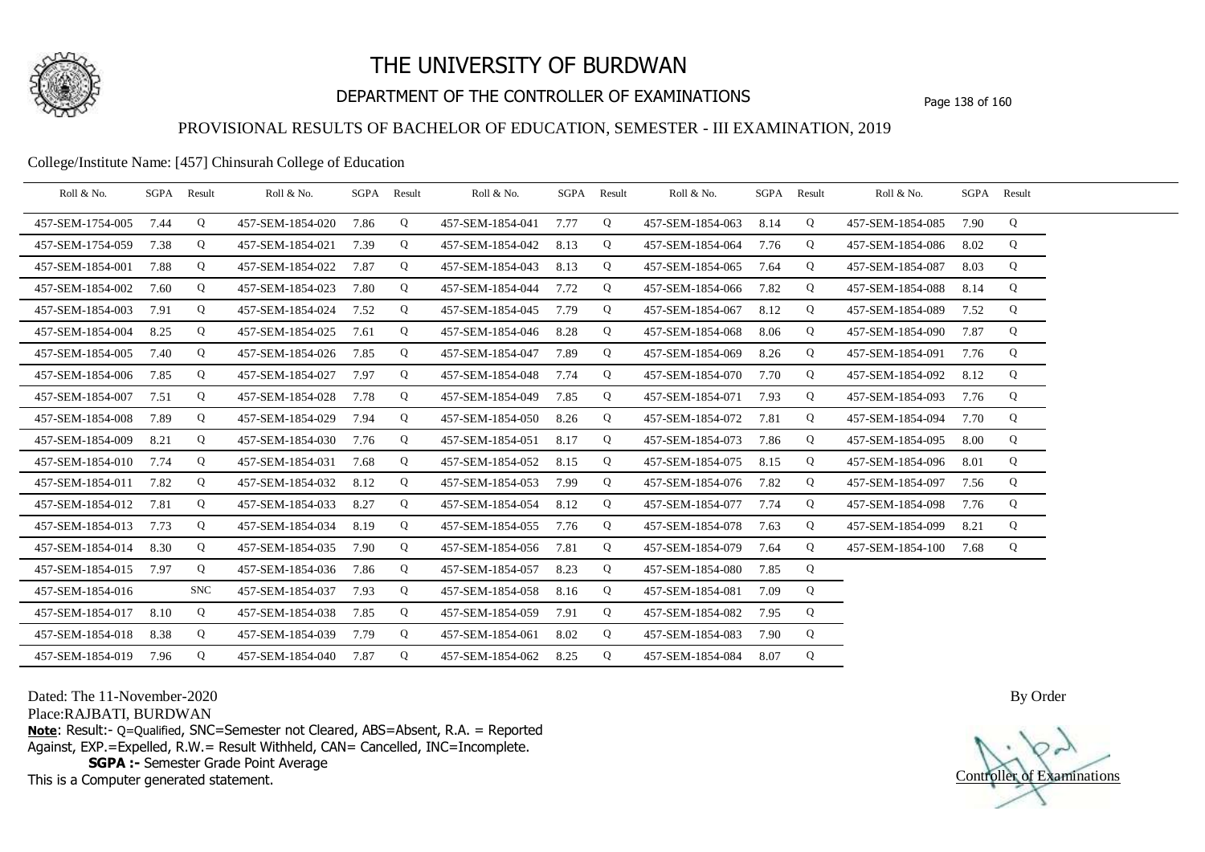

# DEPARTMENT OF THE CONTROLLER OF EXAMINATIONS Page 138 of 160

### PROVISIONAL RESULTS OF BACHELOR OF EDUCATION, SEMESTER - III EXAMINATION, 2019

#### College/Institute Name: [457] Chinsurah College of Education

| Roll & No.       |      | SGPA Result | Roll & No.       |      | SGPA Result | Roll & No.       | SGPA Result |   | Roll & No.       |      | SGPA Result | Roll & No.       |      | SGPA Result |  |
|------------------|------|-------------|------------------|------|-------------|------------------|-------------|---|------------------|------|-------------|------------------|------|-------------|--|
| 457-SEM-1754-005 | 7.44 | Q           | 457-SEM-1854-020 | 7.86 | Q           | 457-SEM-1854-041 | 7.77        | Q | 457-SEM-1854-063 | 8.14 | Q           | 457-SEM-1854-085 | 7.90 | Q           |  |
| 457-SEM-1754-059 | 7.38 | Q           | 457-SEM-1854-021 | 7.39 | Q           | 457-SEM-1854-042 | 8.13        | Q | 457-SEM-1854-064 | 7.76 | Q           | 457-SEM-1854-086 | 8.02 | Q           |  |
| 457-SEM-1854-001 | 7.88 | Q           | 457-SEM-1854-022 | 7.87 | Q           | 457-SEM-1854-043 | 8.13        | Q | 457-SEM-1854-065 | 7.64 | Q           | 457-SEM-1854-087 | 8.03 | Q           |  |
| 457-SEM-1854-002 | 7.60 | Q           | 457-SEM-1854-023 | 7.80 | Q           | 457-SEM-1854-044 | 7.72        | Q | 457-SEM-1854-066 | 7.82 | Q           | 457-SEM-1854-088 | 8.14 | Q           |  |
| 457-SEM-1854-003 | 7.91 | Q           | 457-SEM-1854-024 | 7.52 | Q           | 457-SEM-1854-045 | 7.79        | Q | 457-SEM-1854-067 | 8.12 | Q           | 457-SEM-1854-089 | 7.52 | Q           |  |
| 457-SEM-1854-004 | 8.25 | Q           | 457-SEM-1854-025 | 7.61 | Q           | 457-SEM-1854-046 | 8.28        | Q | 457-SEM-1854-068 | 8.06 | Q           | 457-SEM-1854-090 | 7.87 | Q           |  |
| 457-SEM-1854-005 | 7.40 | Q           | 457-SEM-1854-026 | 7.85 | Q           | 457-SEM-1854-047 | 7.89        | Q | 457-SEM-1854-069 | 8.26 | Q           | 457-SEM-1854-091 | 7.76 | Q           |  |
| 457-SEM-1854-006 | 7.85 | Q           | 457-SEM-1854-027 | 7.97 | Q           | 457-SEM-1854-048 | 7.74        | Q | 457-SEM-1854-070 | 7.70 | Q           | 457-SEM-1854-092 | 8.12 | Q           |  |
| 457-SEM-1854-007 | 7.51 | Q           | 457-SEM-1854-028 | 7.78 | Q           | 457-SEM-1854-049 | 7.85        | Q | 457-SEM-1854-071 | 7.93 | Q           | 457-SEM-1854-093 | 7.76 | Q           |  |
| 457-SEM-1854-008 | 7.89 | Q           | 457-SEM-1854-029 | 7.94 | Q           | 457-SEM-1854-050 | 8.26        | Q | 457-SEM-1854-072 | 7.81 | Q           | 457-SEM-1854-094 | 7.70 | Q           |  |
| 457-SEM-1854-009 | 8.21 | Q           | 457-SEM-1854-030 | 7.76 | Q           | 457-SEM-1854-051 | 8.17        | Q | 457-SEM-1854-073 | 7.86 | Q           | 457-SEM-1854-095 | 8.00 | Q           |  |
| 457-SEM-1854-010 | 7.74 | Q           | 457-SEM-1854-031 | 7.68 | Q           | 457-SEM-1854-052 | 8.15        | Q | 457-SEM-1854-075 | 8.15 | Q           | 457-SEM-1854-096 | 8.01 | Q           |  |
| 457-SEM-1854-011 | 7.82 | Q           | 457-SEM-1854-032 | 8.12 | Q           | 457-SEM-1854-053 | 7.99        | Q | 457-SEM-1854-076 | 7.82 | Q           | 457-SEM-1854-097 | 7.56 | Q           |  |
| 457-SEM-1854-012 | 7.81 | Q           | 457-SEM-1854-033 | 8.27 | Q           | 457-SEM-1854-054 | 8.12        | Q | 457-SEM-1854-077 | 7.74 | Q           | 457-SEM-1854-098 | 7.76 | Q           |  |
| 457-SEM-1854-013 | 7.73 | Q           | 457-SEM-1854-034 | 8.19 | Q           | 457-SEM-1854-055 | 7.76        | Q | 457-SEM-1854-078 | 7.63 | Q           | 457-SEM-1854-099 | 8.21 | Q           |  |
| 457-SEM-1854-014 | 8.30 | Q           | 457-SEM-1854-035 | 7.90 | Q           | 457-SEM-1854-056 | 7.81        | Q | 457-SEM-1854-079 | 7.64 | Q           | 457-SEM-1854-100 | 7.68 | Q           |  |
| 457-SEM-1854-015 | 7.97 | Q           | 457-SEM-1854-036 | 7.86 | Q           | 457-SEM-1854-057 | 8.23        | Q | 457-SEM-1854-080 | 7.85 | Q           |                  |      |             |  |
| 457-SEM-1854-016 |      | <b>SNC</b>  | 457-SEM-1854-037 | 7.93 | Q           | 457-SEM-1854-058 | 8.16        | Q | 457-SEM-1854-081 | 7.09 | Q           |                  |      |             |  |
| 457-SEM-1854-017 | 8.10 | Q           | 457-SEM-1854-038 | 7.85 | Q           | 457-SEM-1854-059 | 7.91        | Q | 457-SEM-1854-082 | 7.95 | Q           |                  |      |             |  |
| 457-SEM-1854-018 | 8.38 | Q           | 457-SEM-1854-039 | 7.79 | Q           | 457-SEM-1854-061 | 8.02        | Q | 457-SEM-1854-083 | 7.90 | Q           |                  |      |             |  |
| 457-SEM-1854-019 | 7.96 | Q           | 457-SEM-1854-040 | 7.87 | Q           | 457-SEM-1854-062 | 8.25        | Q | 457-SEM-1854-084 | 8.07 | Q           |                  |      |             |  |

Dated: The 11-November-2020

Place:RAJBATI, BURDWAN

**Note**: Result:- Q=Qualified, SNC=Semester not Cleared, ABS=Absent, R.A. = Reported Against, EXP.=Expelled, R.W.= Result Withheld, CAN= Cancelled, INC=Incomplete. **SGPA :-** Semester Grade Point Average

This is a Computer generated statement.

Controller of Examinations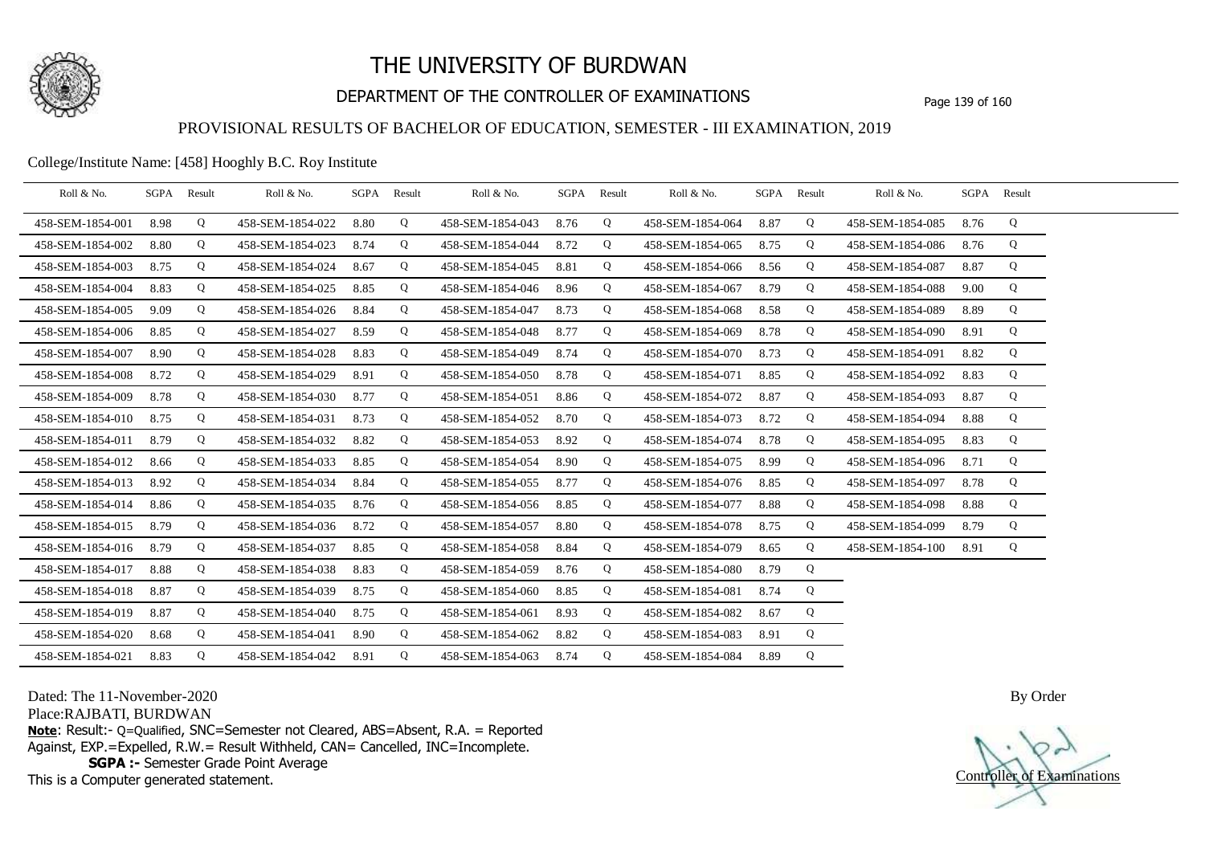

# DEPARTMENT OF THE CONTROLLER OF EXAMINATIONS Page 139 of 160

### PROVISIONAL RESULTS OF BACHELOR OF EDUCATION, SEMESTER - III EXAMINATION, 2019

College/Institute Name: [458] Hooghly B.C. Roy Institute

| Roll & No.       |      | SGPA Result | Roll & No.       |      | SGPA Result | Roll & No.       | SGPA Result |   | Roll & No.            |      | SGPA Result | Roll & No.       | SGPA Result |   |  |
|------------------|------|-------------|------------------|------|-------------|------------------|-------------|---|-----------------------|------|-------------|------------------|-------------|---|--|
| 458-SEM-1854-001 | 8.98 | Q           | 458-SEM-1854-022 | 8.80 | Q           | 458-SEM-1854-043 | 8.76        | Q | 458-SEM-1854-064 8.87 |      | Q           | 458-SEM-1854-085 | 8.76        | Q |  |
| 458-SEM-1854-002 | 8.80 | Q           | 458-SEM-1854-023 | 8.74 | Q           | 458-SEM-1854-044 | 8.72        | Q | 458-SEM-1854-065      | 8.75 | Q           | 458-SEM-1854-086 | 8.76        | Q |  |
| 458-SEM-1854-003 | 8.75 | Q           | 458-SEM-1854-024 | 8.67 | Q           | 458-SEM-1854-045 | 8.81        | Q | 458-SEM-1854-066      | 8.56 | Q           | 458-SEM-1854-087 | 8.87        | Q |  |
| 458-SEM-1854-004 | 8.83 | Q           | 458-SEM-1854-025 | 8.85 | Q           | 458-SEM-1854-046 | 8.96        | Q | 458-SEM-1854-067      | 8.79 | Q           | 458-SEM-1854-088 | 9.00        | Q |  |
| 458-SEM-1854-005 | 9.09 | Q           | 458-SEM-1854-026 | 8.84 | Q           | 458-SEM-1854-047 | 8.73        | Q | 458-SEM-1854-068      | 8.58 | Q           | 458-SEM-1854-089 | 8.89        | Q |  |
| 458-SEM-1854-006 | 8.85 | Q           | 458-SEM-1854-027 | 8.59 | Q           | 458-SEM-1854-048 | 8.77        | Q | 458-SEM-1854-069      | 8.78 | Q           | 458-SEM-1854-090 | 8.91        | Q |  |
| 458-SEM-1854-007 | 8.90 | Q           | 458-SEM-1854-028 | 8.83 | Q           | 458-SEM-1854-049 | 8.74        | Q | 458-SEM-1854-070      | 8.73 | Q           | 458-SEM-1854-091 | 8.82        | Q |  |
| 458-SEM-1854-008 | 8.72 | Q           | 458-SEM-1854-029 | 8.91 | Q           | 458-SEM-1854-050 | 8.78        | Q | 458-SEM-1854-071      | 8.85 | Q           | 458-SEM-1854-092 | 8.83        | Q |  |
| 458-SEM-1854-009 | 8.78 | Q           | 458-SEM-1854-030 | 8.77 | Q           | 458-SEM-1854-051 | 8.86        | Q | 458-SEM-1854-072      | 8.87 | Q           | 458-SEM-1854-093 | 8.87        | Q |  |
| 458-SEM-1854-010 | 8.75 | Q           | 458-SEM-1854-031 | 8.73 | Q           | 458-SEM-1854-052 | 8.70        | Q | 458-SEM-1854-073      | 8.72 | Q           | 458-SEM-1854-094 | 8.88        | Q |  |
| 458-SEM-1854-011 | 8.79 | Q           | 458-SEM-1854-032 | 8.82 | Q           | 458-SEM-1854-053 | 8.92        | Q | 458-SEM-1854-074      | 8.78 | Q           | 458-SEM-1854-095 | 8.83        | Q |  |
| 458-SEM-1854-012 | 8.66 | Q           | 458-SEM-1854-033 | 8.85 | $\mathbf Q$ | 458-SEM-1854-054 | 8.90        | Q | 458-SEM-1854-075      | 8.99 | Q           | 458-SEM-1854-096 | 8.71        | Q |  |
| 458-SEM-1854-013 | 8.92 | Q           | 458-SEM-1854-034 | 8.84 | Q           | 458-SEM-1854-055 | 8.77        | Q | 458-SEM-1854-076 8.85 |      | Q           | 458-SEM-1854-097 | 8.78        | Q |  |
| 458-SEM-1854-014 | 8.86 | Q           | 458-SEM-1854-035 | 8.76 | Q           | 458-SEM-1854-056 | 8.85        | Q | 458-SEM-1854-077      | 8.88 | Q           | 458-SEM-1854-098 | 8.88        | Q |  |
| 458-SEM-1854-015 | 8.79 | Q           | 458-SEM-1854-036 | 8.72 | Q           | 458-SEM-1854-057 | 8.80        | Q | 458-SEM-1854-078      | 8.75 | Q           | 458-SEM-1854-099 | 8.79        | Q |  |
| 458-SEM-1854-016 | 8.79 | Q           | 458-SEM-1854-037 | 8.85 | Q           | 458-SEM-1854-058 | 8.84        | Q | 458-SEM-1854-079      | 8.65 | Q           | 458-SEM-1854-100 | 8.91        | Q |  |
| 458-SEM-1854-017 | 8.88 | Q           | 458-SEM-1854-038 | 8.83 | Q           | 458-SEM-1854-059 | 8.76        | Q | 458-SEM-1854-080      | 8.79 | Q           |                  |             |   |  |
| 458-SEM-1854-018 | 8.87 | Q           | 458-SEM-1854-039 | 8.75 | $\mathbf Q$ | 458-SEM-1854-060 | 8.85        | Q | 458-SEM-1854-081      | 8.74 | Q           |                  |             |   |  |
| 458-SEM-1854-019 | 8.87 | Q           | 458-SEM-1854-040 | 8.75 | Q           | 458-SEM-1854-061 | 8.93        | Q | 458-SEM-1854-082      | 8.67 | Q           |                  |             |   |  |
| 458-SEM-1854-020 | 8.68 | Q           | 458-SEM-1854-041 | 8.90 | Q           | 458-SEM-1854-062 | 8.82        | Q | 458-SEM-1854-083      | 8.91 | Q           |                  |             |   |  |
| 458-SEM-1854-021 | 8.83 | Q           | 458-SEM-1854-042 | 8.91 | Q           | 458-SEM-1854-063 | 8.74        | Q | 458-SEM-1854-084 8.89 |      | Q           |                  |             |   |  |

Dated: The 11-November-2020

Place:RAJBATI, BURDWAN

**Note**: Result:- Q=Qualified, SNC=Semester not Cleared, ABS=Absent, R.A. = Reported Against, EXP.=Expelled, R.W.= Result Withheld, CAN= Cancelled, INC=Incomplete. **SGPA :-** Semester Grade Point Average

This is a Computer generated statement.

Controller of Examinations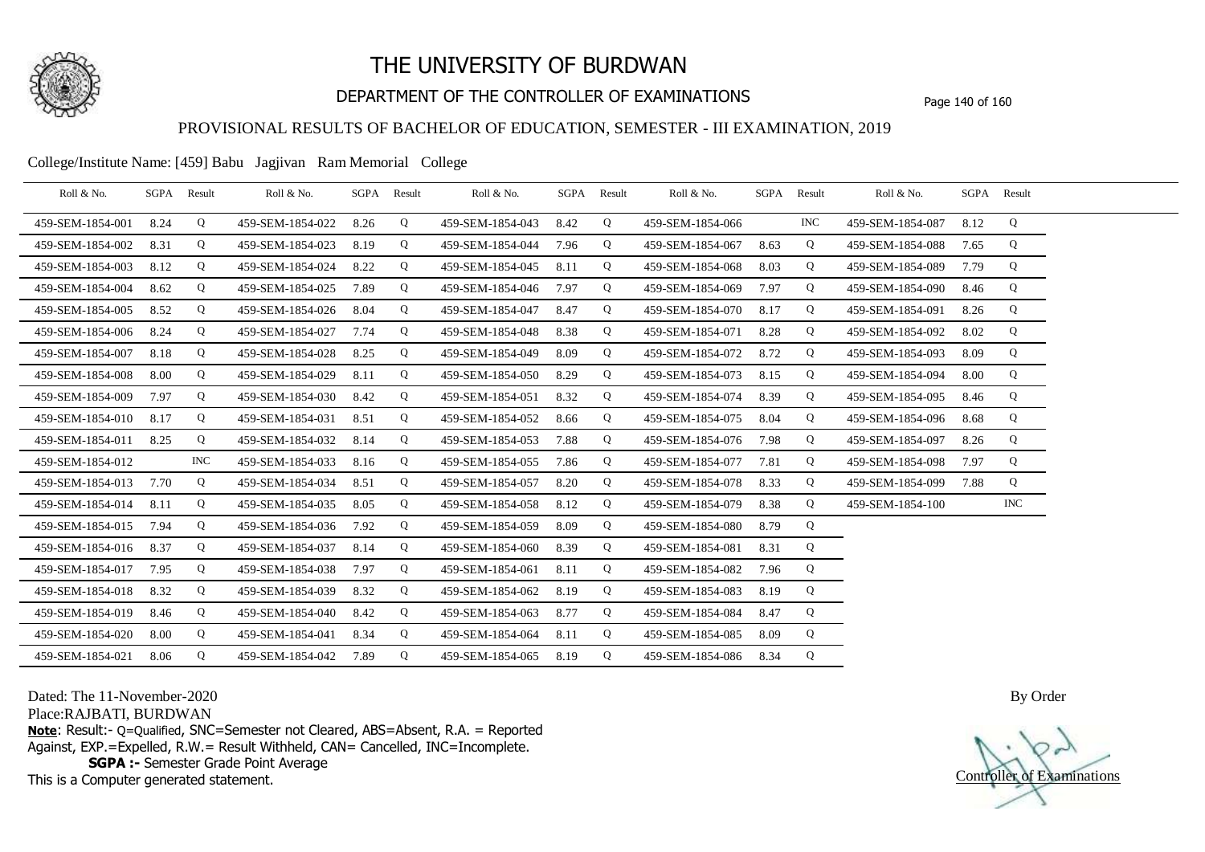

# DEPARTMENT OF THE CONTROLLER OF EXAMINATIONS Page 140 of 160

### PROVISIONAL RESULTS OF BACHELOR OF EDUCATION, SEMESTER - III EXAMINATION, 2019

College/Institute Name: [459] Babu Jagjivan Ram Memorial College

| Roll & No.       | SGPA Result |            | Roll & No.       |      | SGPA Result | Roll & No.       |      | SGPA Result | Roll & No.       | SGPA Result |            | Roll & No.       |      | SGPA Result |  |
|------------------|-------------|------------|------------------|------|-------------|------------------|------|-------------|------------------|-------------|------------|------------------|------|-------------|--|
| 459-SEM-1854-001 | 8.24        | Q          | 459-SEM-1854-022 | 8.26 | Q           | 459-SEM-1854-043 | 8.42 | Q           | 459-SEM-1854-066 |             | <b>INC</b> | 459-SEM-1854-087 | 8.12 | Q           |  |
| 459-SEM-1854-002 | 8.31        | Q          | 459-SEM-1854-023 | 8.19 | Q           | 459-SEM-1854-044 | 7.96 | Q           | 459-SEM-1854-067 | 8.63        | Q          | 459-SEM-1854-088 | 7.65 | Q           |  |
| 459-SEM-1854-003 | 8.12        | Q          | 459-SEM-1854-024 | 8.22 | Q           | 459-SEM-1854-045 | 8.11 | Q           | 459-SEM-1854-068 | 8.03        | Q          | 459-SEM-1854-089 | 7.79 | Q           |  |
| 459-SEM-1854-004 | 8.62        | Q          | 459-SEM-1854-025 | 7.89 | Q           | 459-SEM-1854-046 | 7.97 | Q           | 459-SEM-1854-069 | 7.97        | Q          | 459-SEM-1854-090 | 8.46 | Q           |  |
| 459-SEM-1854-005 | 8.52        | Q          | 459-SEM-1854-026 | 8.04 | Q           | 459-SEM-1854-047 | 8.47 | Q           | 459-SEM-1854-070 | 8.17        | Q          | 459-SEM-1854-091 | 8.26 | Q           |  |
| 459-SEM-1854-006 | 8.24        | Q          | 459-SEM-1854-027 | 7.74 | Q           | 459-SEM-1854-048 | 8.38 | Q           | 459-SEM-1854-071 | 8.28        | Q          | 459-SEM-1854-092 | 8.02 | Q           |  |
| 459-SEM-1854-007 | 8.18        | Q          | 459-SEM-1854-028 | 8.25 | Q           | 459-SEM-1854-049 | 8.09 | Q           | 459-SEM-1854-072 | 8.72        | Q          | 459-SEM-1854-093 | 8.09 | Q           |  |
| 459-SEM-1854-008 | 8.00        | Q          | 459-SEM-1854-029 | 8.11 | Q           | 459-SEM-1854-050 | 8.29 | Q           | 459-SEM-1854-073 | 8.15        | Q          | 459-SEM-1854-094 | 8.00 | Q           |  |
| 459-SEM-1854-009 | 7.97        | Q          | 459-SEM-1854-030 | 8.42 | Q           | 459-SEM-1854-051 | 8.32 | Q           | 459-SEM-1854-074 | 8.39        | Q          | 459-SEM-1854-095 | 8.46 | Q           |  |
| 459-SEM-1854-010 | 8.17        | Q          | 459-SEM-1854-031 | 8.51 | Q           | 459-SEM-1854-052 | 8.66 | Q           | 459-SEM-1854-075 | 8.04        | Q          | 459-SEM-1854-096 | 8.68 | Q           |  |
| 459-SEM-1854-011 | 8.25        | Q          | 459-SEM-1854-032 | 8.14 | Q           | 459-SEM-1854-053 | 7.88 | Q           | 459-SEM-1854-076 | 7.98        | Q          | 459-SEM-1854-097 | 8.26 | Q           |  |
| 459-SEM-1854-012 |             | <b>INC</b> | 459-SEM-1854-033 | 8.16 | Q           | 459-SEM-1854-055 | 7.86 | Q           | 459-SEM-1854-077 | 7.81        | Q          | 459-SEM-1854-098 | 7.97 | Q           |  |
| 459-SEM-1854-013 | 7.70        | Q          | 459-SEM-1854-034 | 8.51 | Q           | 459-SEM-1854-057 | 8.20 | Q           | 459-SEM-1854-078 | 8.33        | Q          | 459-SEM-1854-099 | 7.88 | Q           |  |
| 459-SEM-1854-014 | 8.11        | Q          | 459-SEM-1854-035 | 8.05 | Q           | 459-SEM-1854-058 | 8.12 | Q           | 459-SEM-1854-079 | 8.38        | Q          | 459-SEM-1854-100 |      | <b>INC</b>  |  |
| 459-SEM-1854-015 | 7.94        | Q          | 459-SEM-1854-036 | 7.92 | Q           | 459-SEM-1854-059 | 8.09 | Q           | 459-SEM-1854-080 | 8.79        | Q          |                  |      |             |  |
| 459-SEM-1854-016 | 8.37        | Q          | 459-SEM-1854-037 | 8.14 | Q           | 459-SEM-1854-060 | 8.39 | Q           | 459-SEM-1854-081 | 8.31        | Q          |                  |      |             |  |
| 459-SEM-1854-017 | 7.95        | Q          | 459-SEM-1854-038 | 7.97 | Q           | 459-SEM-1854-061 | 8.11 | Q           | 459-SEM-1854-082 | 7.96        | Q          |                  |      |             |  |
| 459-SEM-1854-018 | 8.32        | Q          | 459-SEM-1854-039 | 8.32 | Q           | 459-SEM-1854-062 | 8.19 | Q           | 459-SEM-1854-083 | 8.19        | Q          |                  |      |             |  |
| 459-SEM-1854-019 | 8.46        | Q          | 459-SEM-1854-040 | 8.42 | Q           | 459-SEM-1854-063 | 8.77 | Q           | 459-SEM-1854-084 | 8.47        | Q          |                  |      |             |  |
| 459-SEM-1854-020 | 8.00        | Q          | 459-SEM-1854-041 | 8.34 | Q           | 459-SEM-1854-064 | 8.11 | Q           | 459-SEM-1854-085 | 8.09        | Q          |                  |      |             |  |
| 459-SEM-1854-021 | 8.06        | Q          | 459-SEM-1854-042 | 7.89 | Q           | 459-SEM-1854-065 | 8.19 | Q           | 459-SEM-1854-086 | 8.34        | Q          |                  |      |             |  |

Dated: The 11-November-2020

Place:RAJBATI, BURDWAN

**Note**: Result:- Q=Qualified, SNC=Semester not Cleared, ABS=Absent, R.A. = Reported Against, EXP.=Expelled, R.W.= Result Withheld, CAN= Cancelled, INC=Incomplete. **SGPA :-** Semester Grade Point Average

This is a Computer generated statement.

Controller of Examinations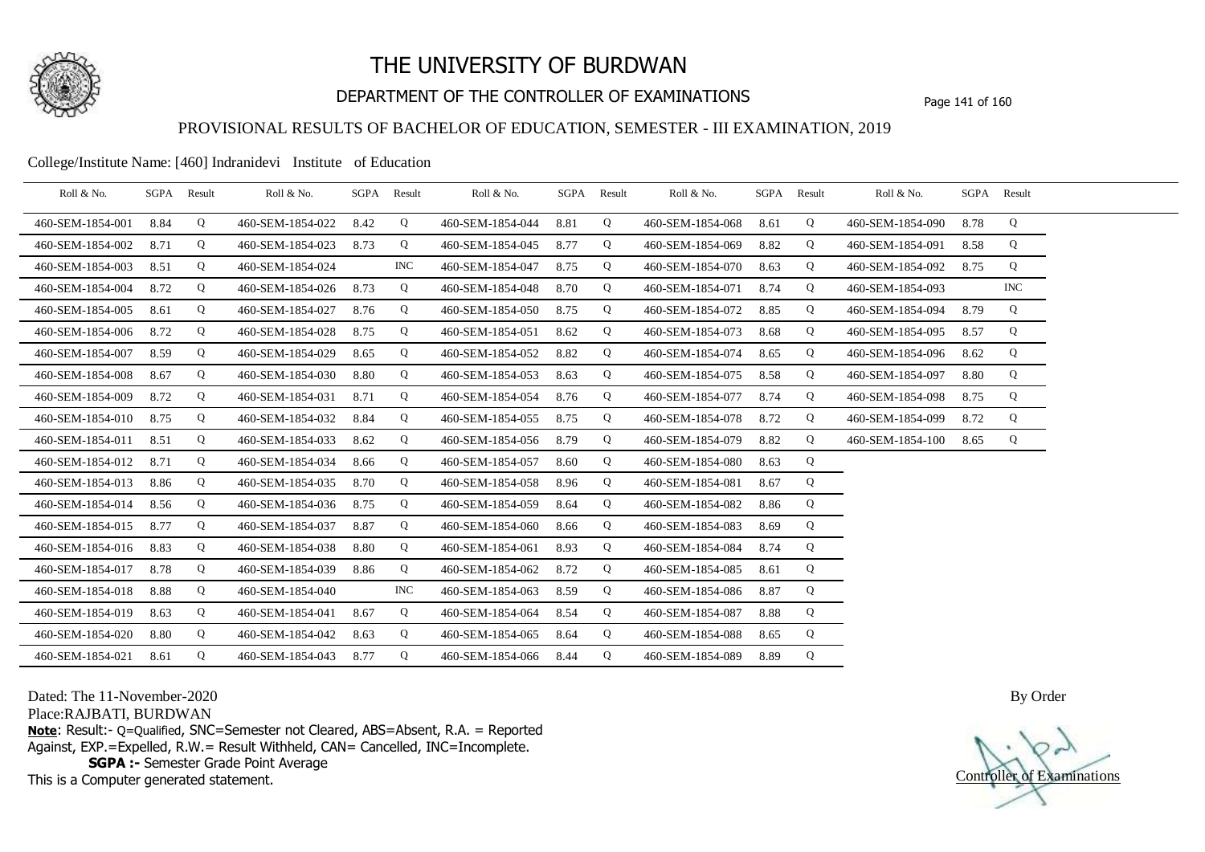

# DEPARTMENT OF THE CONTROLLER OF EXAMINATIONS Page 141 of 160

### PROVISIONAL RESULTS OF BACHELOR OF EDUCATION, SEMESTER - III EXAMINATION, 2019

#### College/Institute Name: [460] Indranidevi Institute of Education

| Roll & No.       | SGPA | Result | Roll & No.       | SGPA | Result     | Roll & No.       |      | SGPA Result | Roll & No.       | SGPA | Result | Roll & No.       |      | SGPA Result |  |
|------------------|------|--------|------------------|------|------------|------------------|------|-------------|------------------|------|--------|------------------|------|-------------|--|
| 460-SEM-1854-001 | 8.84 | Q      | 460-SEM-1854-022 | 8.42 | Q          | 460-SEM-1854-044 | 8.81 | Q           | 460-SEM-1854-068 | 8.61 | Q      | 460-SEM-1854-090 | 8.78 | Q           |  |
| 460-SEM-1854-002 | 8.71 | Q      | 460-SEM-1854-023 | 8.73 | Q          | 460-SEM-1854-045 | 8.77 | Q           | 460-SEM-1854-069 | 8.82 | Q      | 460-SEM-1854-091 | 8.58 | Q           |  |
| 460-SEM-1854-003 | 8.51 | Q      | 460-SEM-1854-024 |      | <b>INC</b> | 460-SEM-1854-047 | 8.75 | Q           | 460-SEM-1854-070 | 8.63 | Q      | 460-SEM-1854-092 | 8.75 | Q           |  |
| 460-SEM-1854-004 | 8.72 | Q      | 460-SEM-1854-026 | 8.73 | Q          | 460-SEM-1854-048 | 8.70 | Q           | 460-SEM-1854-071 | 8.74 | Q      | 460-SEM-1854-093 |      | <b>INC</b>  |  |
| 460-SEM-1854-005 | 8.61 | Q      | 460-SEM-1854-027 | 8.76 | Q          | 460-SEM-1854-050 | 8.75 | Q           | 460-SEM-1854-072 | 8.85 | Q      | 460-SEM-1854-094 | 8.79 | Q           |  |
| 460-SEM-1854-006 | 8.72 | Q      | 460-SEM-1854-028 | 8.75 | Q          | 460-SEM-1854-051 | 8.62 | Q           | 460-SEM-1854-073 | 8.68 | Q      | 460-SEM-1854-095 | 8.57 | Q           |  |
| 460-SEM-1854-007 | 8.59 | Q      | 460-SEM-1854-029 | 8.65 | Q          | 460-SEM-1854-052 | 8.82 | Q           | 460-SEM-1854-074 | 8.65 | Q      | 460-SEM-1854-096 | 8.62 | Q           |  |
| 460-SEM-1854-008 | 8.67 | Q      | 460-SEM-1854-030 | 8.80 | Q          | 460-SEM-1854-053 | 8.63 | Q           | 460-SEM-1854-075 | 8.58 | Q      | 460-SEM-1854-097 | 8.80 | Q           |  |
| 460-SEM-1854-009 | 8.72 | Q      | 460-SEM-1854-031 | 8.71 | Q          | 460-SEM-1854-054 | 8.76 | Q           | 460-SEM-1854-077 | 8.74 | Q      | 460-SEM-1854-098 | 8.75 | Q           |  |
| 460-SEM-1854-010 | 8.75 | Q      | 460-SEM-1854-032 | 8.84 | Q          | 460-SEM-1854-055 | 8.75 | Q           | 460-SEM-1854-078 | 8.72 | Q      | 460-SEM-1854-099 | 8.72 | Q           |  |
| 460-SEM-1854-011 | 8.51 | Q      | 460-SEM-1854-033 | 8.62 | Q          | 460-SEM-1854-056 | 8.79 | Q           | 460-SEM-1854-079 | 8.82 | Q      | 460-SEM-1854-100 | 8.65 | Q           |  |
| 460-SEM-1854-012 | 8.71 | Q      | 460-SEM-1854-034 | 8.66 | Q          | 460-SEM-1854-057 | 8.60 | Q           | 460-SEM-1854-080 | 8.63 | Q      |                  |      |             |  |
| 460-SEM-1854-013 | 8.86 | Q      | 460-SEM-1854-035 | 8.70 | Q          | 460-SEM-1854-058 | 8.96 | Q           | 460-SEM-1854-081 | 8.67 | Q      |                  |      |             |  |
| 460-SEM-1854-014 | 8.56 | Q      | 460-SEM-1854-036 | 8.75 | Q          | 460-SEM-1854-059 | 8.64 | Q           | 460-SEM-1854-082 | 8.86 | Q      |                  |      |             |  |
| 460-SEM-1854-015 | 8.77 | Q      | 460-SEM-1854-037 | 8.87 | Q          | 460-SEM-1854-060 | 8.66 | Q           | 460-SEM-1854-083 | 8.69 | Q      |                  |      |             |  |
| 460-SEM-1854-016 | 8.83 | Q      | 460-SEM-1854-038 | 8.80 | Q          | 460-SEM-1854-061 | 8.93 | Q           | 460-SEM-1854-084 | 8.74 | Q      |                  |      |             |  |
| 460-SEM-1854-017 | 8.78 | Q      | 460-SEM-1854-039 | 8.86 | Q          | 460-SEM-1854-062 | 8.72 | Q           | 460-SEM-1854-085 | 8.61 | Q      |                  |      |             |  |
| 460-SEM-1854-018 | 8.88 | Q      | 460-SEM-1854-040 |      | <b>INC</b> | 460-SEM-1854-063 | 8.59 | Q           | 460-SEM-1854-086 | 8.87 | Q      |                  |      |             |  |
| 460-SEM-1854-019 | 8.63 | Q      | 460-SEM-1854-041 | 8.67 | Q          | 460-SEM-1854-064 | 8.54 | Q           | 460-SEM-1854-087 | 8.88 | Q      |                  |      |             |  |
| 460-SEM-1854-020 | 8.80 | Q      | 460-SEM-1854-042 | 8.63 | Q          | 460-SEM-1854-065 | 8.64 | Q           | 460-SEM-1854-088 | 8.65 | Q      |                  |      |             |  |
| 460-SEM-1854-021 | 8.61 | Q      | 460-SEM-1854-043 | 8.77 | Q          | 460-SEM-1854-066 | 8.44 | Q           | 460-SEM-1854-089 | 8.89 | Q      |                  |      |             |  |

Dated: The 11-November-2020

Place:RAJBATI, BURDWAN

**Note**: Result:- Q=Qualified, SNC=Semester not Cleared, ABS=Absent, R.A. = Reported Against, EXP.=Expelled, R.W.= Result Withheld, CAN= Cancelled, INC=Incomplete. **SGPA :-** Semester Grade Point Average

This is a Computer generated statement.

Controller of Examinations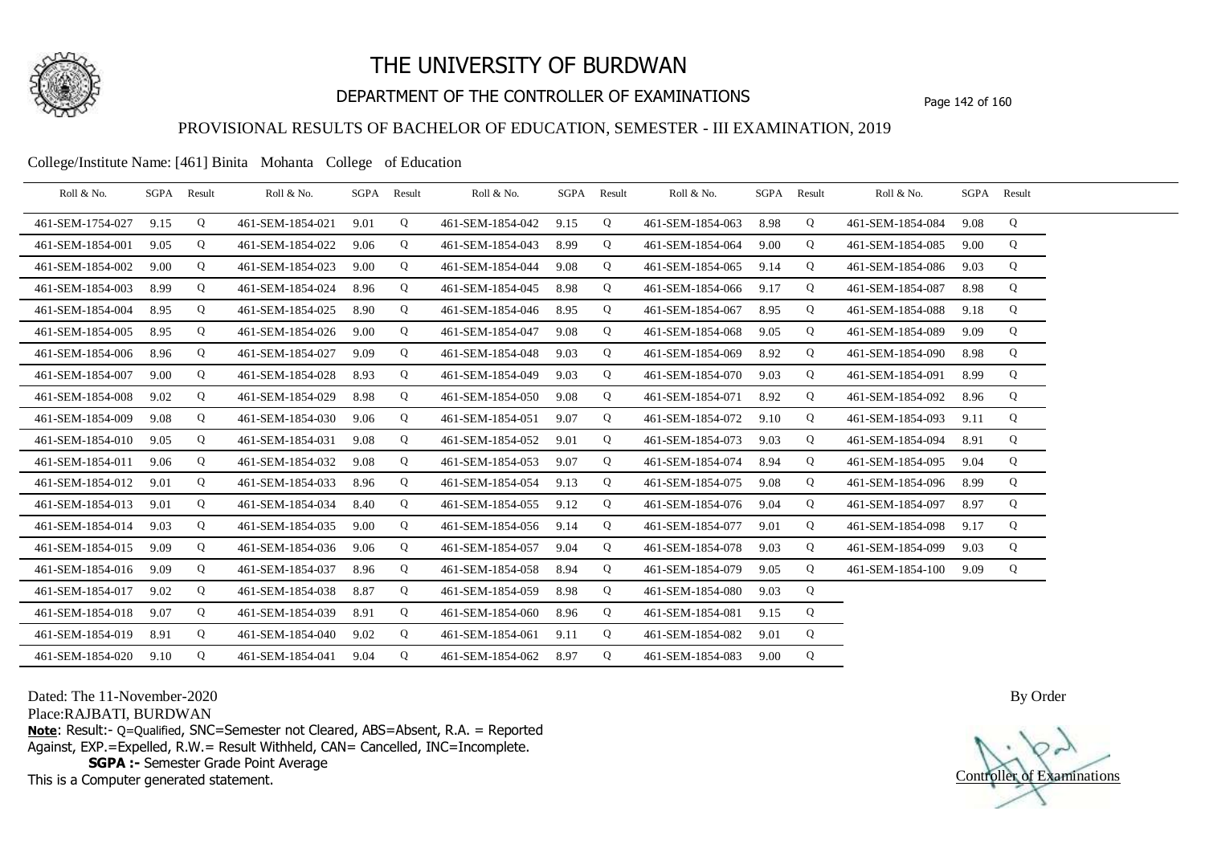

# DEPARTMENT OF THE CONTROLLER OF EXAMINATIONS Page 142 of 160

### PROVISIONAL RESULTS OF BACHELOR OF EDUCATION, SEMESTER - III EXAMINATION, 2019

College/Institute Name: [461] Binita Mohanta College of Education

| Roll & No.       | SGPA | Result | Roll & No.       |      | SGPA Result | Roll & No.       | SGPA | Result | Roll & No.       |      | SGPA Result | Roll & No.       | SGPA Result |   |  |
|------------------|------|--------|------------------|------|-------------|------------------|------|--------|------------------|------|-------------|------------------|-------------|---|--|
| 461-SEM-1754-027 | 9.15 | Q      | 461-SEM-1854-021 | 9.01 | Q           | 461-SEM-1854-042 | 9.15 | Q      | 461-SEM-1854-063 | 8.98 | Q           | 461-SEM-1854-084 | 9.08        | Q |  |
| 461-SEM-1854-001 | 9.05 | Q      | 461-SEM-1854-022 | 9.06 | Q           | 461-SEM-1854-043 | 8.99 | Q      | 461-SEM-1854-064 | 9.00 | Q           | 461-SEM-1854-085 | 9.00        | Q |  |
| 461-SEM-1854-002 | 9.00 | Q      | 461-SEM-1854-023 | 9.00 | Q           | 461-SEM-1854-044 | 9.08 | Q      | 461-SEM-1854-065 | 9.14 | Q           | 461-SEM-1854-086 | 9.03        | Q |  |
| 461-SEM-1854-003 | 8.99 | Q      | 461-SEM-1854-024 | 8.96 | Q           | 461-SEM-1854-045 | 8.98 | Q      | 461-SEM-1854-066 | 9.17 | Q           | 461-SEM-1854-087 | 8.98        | Q |  |
| 461-SEM-1854-004 | 8.95 | Q      | 461-SEM-1854-025 | 8.90 | Q           | 461-SEM-1854-046 | 8.95 | Q      | 461-SEM-1854-067 | 8.95 | Q           | 461-SEM-1854-088 | 9.18        | Q |  |
| 461-SEM-1854-005 | 8.95 | Q      | 461-SEM-1854-026 | 9.00 | Q           | 461-SEM-1854-047 | 9.08 | Q      | 461-SEM-1854-068 | 9.05 | Q           | 461-SEM-1854-089 | 9.09        | Q |  |
| 461-SEM-1854-006 | 8.96 | Q      | 461-SEM-1854-027 | 9.09 | Q           | 461-SEM-1854-048 | 9.03 | Q      | 461-SEM-1854-069 | 8.92 | Q           | 461-SEM-1854-090 | 8.98        | Q |  |
| 461-SEM-1854-007 | 9.00 | Q      | 461-SEM-1854-028 | 8.93 | Q           | 461-SEM-1854-049 | 9.03 | Q      | 461-SEM-1854-070 | 9.03 | Q           | 461-SEM-1854-091 | 8.99        | Q |  |
| 461-SEM-1854-008 | 9.02 | Q      | 461-SEM-1854-029 | 8.98 | Q           | 461-SEM-1854-050 | 9.08 | Q      | 461-SEM-1854-071 | 8.92 | Q           | 461-SEM-1854-092 | 8.96        | Q |  |
| 461-SEM-1854-009 | 9.08 | Q      | 461-SEM-1854-030 | 9.06 | Q           | 461-SEM-1854-051 | 9.07 | Q      | 461-SEM-1854-072 | 9.10 | Q           | 461-SEM-1854-093 | 9.11        | Q |  |
| 461-SEM-1854-010 | 9.05 | Q      | 461-SEM-1854-031 | 9.08 | Q           | 461-SEM-1854-052 | 9.01 | Q      | 461-SEM-1854-073 | 9.03 | Q           | 461-SEM-1854-094 | 8.91        | Q |  |
| 461-SEM-1854-011 | 9.06 | Q      | 461-SEM-1854-032 | 9.08 | Q           | 461-SEM-1854-053 | 9.07 | Q      | 461-SEM-1854-074 | 8.94 | Q           | 461-SEM-1854-095 | 9.04        | Q |  |
| 461-SEM-1854-012 | 9.01 | Q      | 461-SEM-1854-033 | 8.96 | Q           | 461-SEM-1854-054 | 9.13 | Q      | 461-SEM-1854-075 | 9.08 | Q           | 461-SEM-1854-096 | 8.99        | Q |  |
| 461-SEM-1854-013 | 9.01 | Q      | 461-SEM-1854-034 | 8.40 | Q           | 461-SEM-1854-055 | 9.12 | Q      | 461-SEM-1854-076 | 9.04 | Q           | 461-SEM-1854-097 | 8.97        | Q |  |
| 461-SEM-1854-014 | 9.03 | Q      | 461-SEM-1854-035 | 9.00 | Q           | 461-SEM-1854-056 | 9.14 | Q      | 461-SEM-1854-077 | 9.01 | Q           | 461-SEM-1854-098 | 9.17        | Q |  |
| 461-SEM-1854-015 | 9.09 | Q      | 461-SEM-1854-036 | 9.06 | Q           | 461-SEM-1854-057 | 9.04 | Q      | 461-SEM-1854-078 | 9.03 | Q           | 461-SEM-1854-099 | 9.03        | Q |  |
| 461-SEM-1854-016 | 9.09 | Q      | 461-SEM-1854-037 | 8.96 | Q           | 461-SEM-1854-058 | 8.94 | Q      | 461-SEM-1854-079 | 9.05 | Q           | 461-SEM-1854-100 | 9.09        | Q |  |
| 461-SEM-1854-017 | 9.02 | Q      | 461-SEM-1854-038 | 8.87 | Q           | 461-SEM-1854-059 | 8.98 | Q      | 461-SEM-1854-080 | 9.03 | Q           |                  |             |   |  |
| 461-SEM-1854-018 | 9.07 | Q      | 461-SEM-1854-039 | 8.91 | Q           | 461-SEM-1854-060 | 8.96 | Q      | 461-SEM-1854-081 | 9.15 | Q           |                  |             |   |  |
| 461-SEM-1854-019 | 8.91 | Q      | 461-SEM-1854-040 | 9.02 | Q           | 461-SEM-1854-061 | 9.11 | Q      | 461-SEM-1854-082 | 9.01 | Q           |                  |             |   |  |
| 461-SEM-1854-020 | 9.10 | Q      | 461-SEM-1854-041 | 9.04 | Q           | 461-SEM-1854-062 | 8.97 | Q      | 461-SEM-1854-083 | 9.00 | Q           |                  |             |   |  |

Dated: The 11-November-2020

Place:RAJBATI, BURDWAN

**Note**: Result:- Q=Qualified, SNC=Semester not Cleared, ABS=Absent, R.A. = Reported Against, EXP.=Expelled, R.W.= Result Withheld, CAN= Cancelled, INC=Incomplete. **SGPA :-** Semester Grade Point Average

This is a Computer generated statement.

Controller of Examinations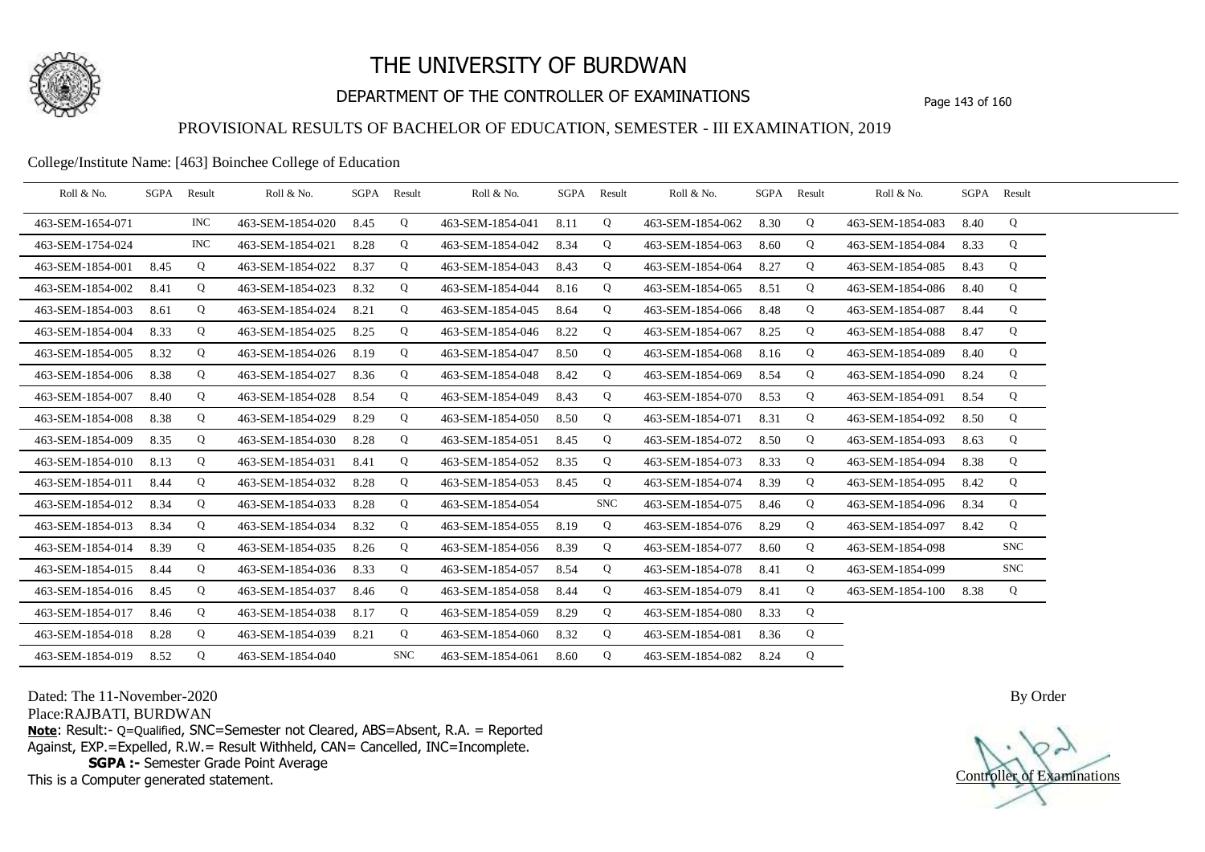

# DEPARTMENT OF THE CONTROLLER OF EXAMINATIONS Page 143 of 160

### PROVISIONAL RESULTS OF BACHELOR OF EDUCATION, SEMESTER - III EXAMINATION, 2019

### College/Institute Name: [463] Boinchee College of Education

| Roll & No.       | SGPA Result |            | Roll & No.       |      | SGPA Result | Roll & No.       |      | SGPA Result | Roll & No.       | SGPA Result |             | Roll & No.       | SGPA Result |            |  |
|------------------|-------------|------------|------------------|------|-------------|------------------|------|-------------|------------------|-------------|-------------|------------------|-------------|------------|--|
| 463-SEM-1654-071 |             | <b>INC</b> | 463-SEM-1854-020 | 8.45 | Q           | 463-SEM-1854-041 | 8.11 | Q           | 463-SEM-1854-062 | 8.30        | Q           | 463-SEM-1854-083 | 8.40        | Q          |  |
| 463-SEM-1754-024 |             | <b>INC</b> | 463-SEM-1854-021 | 8.28 | Q           | 463-SEM-1854-042 | 8.34 | Q           | 463-SEM-1854-063 | 8.60        | Q           | 463-SEM-1854-084 | 8.33        | Q          |  |
| 463-SEM-1854-001 | 8.45        | Q          | 463-SEM-1854-022 | 8.37 | Q           | 463-SEM-1854-043 | 8.43 | Q           | 463-SEM-1854-064 | 8.27        | Q           | 463-SEM-1854-085 | 8.43        | Q          |  |
| 463-SEM-1854-002 | 8.41        | Q          | 463-SEM-1854-023 | 8.32 | Q           | 463-SEM-1854-044 | 8.16 | Q           | 463-SEM-1854-065 | 8.51        | Q           | 463-SEM-1854-086 | 8.40        | Q          |  |
| 463-SEM-1854-003 | 8.61        | Q          | 463-SEM-1854-024 | 8.21 | Q           | 463-SEM-1854-045 | 8.64 | Q           | 463-SEM-1854-066 | 8.48        | Q           | 463-SEM-1854-087 | 8.44        | Q          |  |
| 463-SEM-1854-004 | 8.33        | Q          | 463-SEM-1854-025 | 8.25 | Q           | 463-SEM-1854-046 | 8.22 | Q           | 463-SEM-1854-067 | 8.25        | Q           | 463-SEM-1854-088 | 8.47        | Q          |  |
| 463-SEM-1854-005 | 8.32        | Q          | 463-SEM-1854-026 | 8.19 | Q           | 463-SEM-1854-047 | 8.50 | Q           | 463-SEM-1854-068 | 8.16        | Q           | 463-SEM-1854-089 | 8.40        | Q          |  |
| 463-SEM-1854-006 | 8.38        | Q          | 463-SEM-1854-027 | 8.36 | Q           | 463-SEM-1854-048 | 8.42 | Q           | 463-SEM-1854-069 | 8.54        | Q           | 463-SEM-1854-090 | 8.24        | Q          |  |
| 463-SEM-1854-007 | 8.40        | Q          | 463-SEM-1854-028 | 8.54 | Q           | 463-SEM-1854-049 | 8.43 | Q           | 463-SEM-1854-070 | 8.53        | Q           | 463-SEM-1854-091 | 8.54        | Q          |  |
| 463-SEM-1854-008 | 8.38        | Q          | 463-SEM-1854-029 | 8.29 | Q           | 463-SEM-1854-050 | 8.50 | Q           | 463-SEM-1854-071 | 8.31        | Q           | 463-SEM-1854-092 | 8.50        | Q          |  |
| 463-SEM-1854-009 | 8.35        | Q          | 463-SEM-1854-030 | 8.28 | Q           | 463-SEM-1854-051 | 8.45 | Q           | 463-SEM-1854-072 | 8.50        | Q           | 463-SEM-1854-093 | 8.63        | Q          |  |
| 463-SEM-1854-010 | 8.13        | Q          | 463-SEM-1854-031 | 8.41 | Q           | 463-SEM-1854-052 | 8.35 | Q           | 463-SEM-1854-073 | 8.33        | Q           | 463-SEM-1854-094 | 8.38        | Q          |  |
| 463-SEM-1854-011 | 8.44        | Q          | 463-SEM-1854-032 | 8.28 | Q           | 463-SEM-1854-053 | 8.45 | Q           | 463-SEM-1854-074 | 8.39        | Q           | 463-SEM-1854-095 | 8.42        | Q          |  |
| 463-SEM-1854-012 | 8.34        | Q          | 463-SEM-1854-033 | 8.28 | Q           | 463-SEM-1854-054 |      | <b>SNC</b>  | 463-SEM-1854-075 | 8.46        | Q           | 463-SEM-1854-096 | 8.34        | Q          |  |
| 463-SEM-1854-013 | 8.34        | Q          | 463-SEM-1854-034 | 8.32 | $\mathbf Q$ | 463-SEM-1854-055 | 8.19 | Q           | 463-SEM-1854-076 | 8.29        | $\mathbf Q$ | 463-SEM-1854-097 | 8.42        | Q          |  |
| 463-SEM-1854-014 | 8.39        | Q          | 463-SEM-1854-035 | 8.26 | Q           | 463-SEM-1854-056 | 8.39 | Q           | 463-SEM-1854-077 | 8.60        | Q           | 463-SEM-1854-098 |             | <b>SNC</b> |  |
| 463-SEM-1854-015 | 8.44        | Q          | 463-SEM-1854-036 | 8.33 | Q           | 463-SEM-1854-057 | 8.54 | Q           | 463-SEM-1854-078 | 8.41        | Q           | 463-SEM-1854-099 |             | <b>SNC</b> |  |
| 463-SEM-1854-016 | 8.45        | Q          | 463-SEM-1854-037 | 8.46 | Q           | 463-SEM-1854-058 | 8.44 | Q           | 463-SEM-1854-079 | 8.41        | $\mathbf Q$ | 463-SEM-1854-100 | 8.38        | Q          |  |
| 463-SEM-1854-017 | 8.46        | Q          | 463-SEM-1854-038 | 8.17 | Q           | 463-SEM-1854-059 | 8.29 | Q           | 463-SEM-1854-080 | 8.33        | Q           |                  |             |            |  |
| 463-SEM-1854-018 | 8.28        | Q          | 463-SEM-1854-039 | 8.21 | Q           | 463-SEM-1854-060 | 8.32 | Q           | 463-SEM-1854-081 | 8.36        | Q           |                  |             |            |  |
| 463-SEM-1854-019 | 8.52        | Q          | 463-SEM-1854-040 |      | <b>SNC</b>  | 463-SEM-1854-061 | 8.60 | Q           | 463-SEM-1854-082 | 8.24        | Q           |                  |             |            |  |

Dated: The 11-November-2020

Place:RAJBATI, BURDWAN

**Note**: Result:- Q=Qualified, SNC=Semester not Cleared, ABS=Absent, R.A. = Reported Against, EXP.=Expelled, R.W.= Result Withheld, CAN= Cancelled, INC=Incomplete. **SGPA :-** Semester Grade Point Average

This is a Computer generated statement.

Controller of Examinations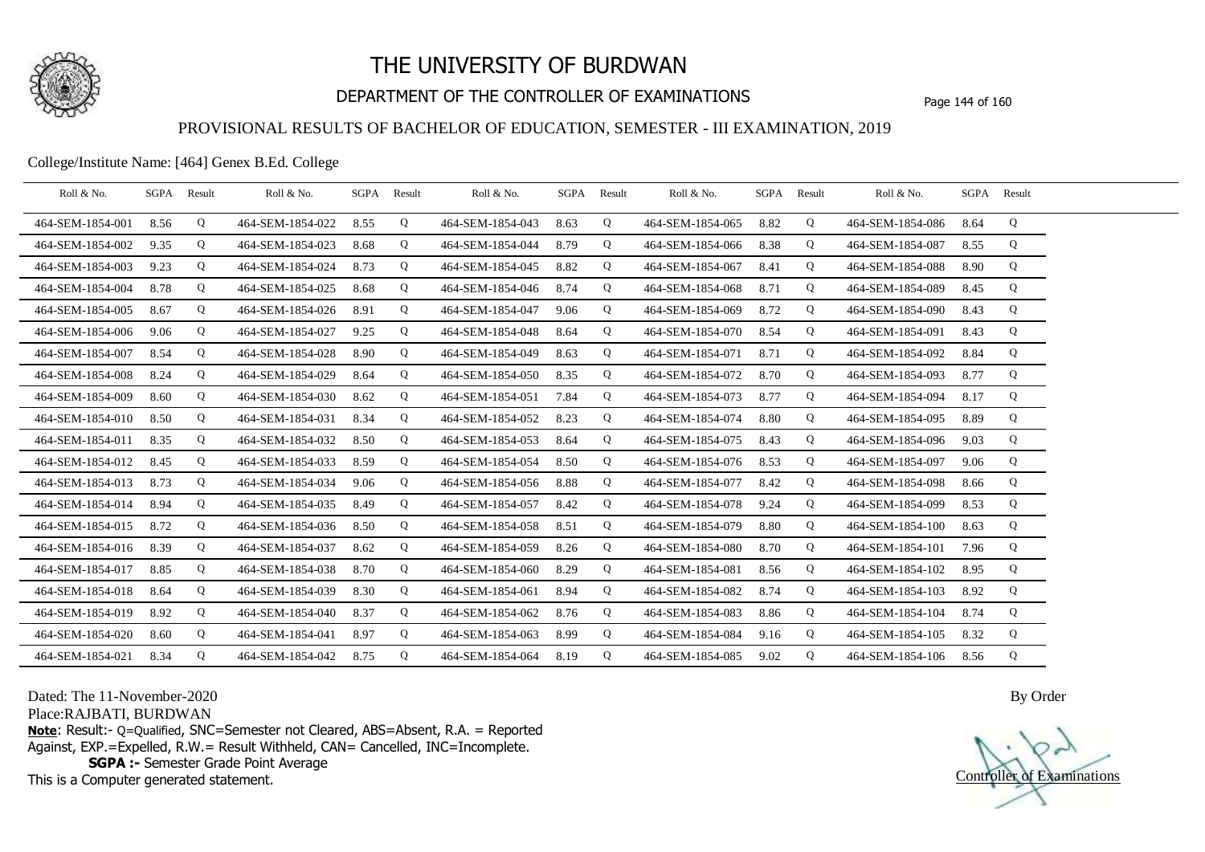

# DEPARTMENT OF THE CONTROLLER OF EXAMINATIONS Page 144 of 160

### PROVISIONAL RESULTS OF BACHELOR OF EDUCATION, SEMESTER - III EXAMINATION, 2019

College/Institute Name: [464] Genex B.Ed. College

| Roll & No.       |      | SGPA Result | Roll & No.       |      | SGPA Result | Roll & No.       |      | SGPA Result | Roll & No.       | SGPA | Result | Roll & No.       | SGPA Result |   |  |
|------------------|------|-------------|------------------|------|-------------|------------------|------|-------------|------------------|------|--------|------------------|-------------|---|--|
| 464-SEM-1854-001 | 8.56 | Q           | 464-SEM-1854-022 | 8.55 | Q           | 464-SEM-1854-043 | 8.63 | Q           | 464-SEM-1854-065 | 8.82 | Q      | 464-SEM-1854-086 | 8.64        | Q |  |
| 464-SEM-1854-002 | 9.35 | Q           | 464-SEM-1854-023 | 8.68 | Q           | 464-SEM-1854-044 | 8.79 | Q           | 464-SEM-1854-066 | 8.38 | Q      | 464-SEM-1854-087 | 8.55        | Q |  |
| 464-SEM-1854-003 | 9.23 | Q           | 464-SEM-1854-024 | 8.73 | Q           | 464-SEM-1854-045 | 8.82 | Q           | 464-SEM-1854-067 | 8.41 | Q      | 464-SEM-1854-088 | 8.90        | Q |  |
| 464-SEM-1854-004 | 8.78 | Q           | 464-SEM-1854-025 | 8.68 | Q           | 464-SEM-1854-046 | 8.74 | Q           | 464-SEM-1854-068 | 8.71 | Q      | 464-SEM-1854-089 | 8.45        | Q |  |
| 464-SEM-1854-005 | 8.67 | Q           | 464-SEM-1854-026 | 8.91 | Q           | 464-SEM-1854-047 | 9.06 | Q           | 464-SEM-1854-069 | 8.72 | Q      | 464-SEM-1854-090 | 8.43        | Q |  |
| 464-SEM-1854-006 | 9.06 | Q           | 464-SEM-1854-027 | 9.25 | Q           | 464-SEM-1854-048 | 8.64 | Q           | 464-SEM-1854-070 | 8.54 | Q      | 464-SEM-1854-091 | 8.43        | Q |  |
| 464-SEM-1854-007 | 8.54 | Q           | 464-SEM-1854-028 | 8.90 | Q           | 464-SEM-1854-049 | 8.63 | Q           | 464-SEM-1854-071 | 8.71 | Q      | 464-SEM-1854-092 | 8.84        | Q |  |
| 464-SEM-1854-008 | 8.24 | Q           | 464-SEM-1854-029 | 8.64 | Q           | 464-SEM-1854-050 | 8.35 | Q           | 464-SEM-1854-072 | 8.70 | Q      | 464-SEM-1854-093 | 8.77        | Q |  |
| 464-SEM-1854-009 | 8.60 | Q           | 464-SEM-1854-030 | 8.62 | Q           | 464-SEM-1854-051 | 7.84 | Q           | 464-SEM-1854-073 | 8.77 | Q      | 464-SEM-1854-094 | 8.17        | Q |  |
| 464-SEM-1854-010 | 8.50 | Q           | 464-SEM-1854-031 | 8.34 | Q           | 464-SEM-1854-052 | 8.23 | Q           | 464-SEM-1854-074 | 8.80 | Q      | 464-SEM-1854-095 | 8.89        | Q |  |
| 464-SEM-1854-011 | 8.35 | Q           | 464-SEM-1854-032 | 8.50 | Q           | 464-SEM-1854-053 | 8.64 | Q           | 464-SEM-1854-075 | 8.43 | Q      | 464-SEM-1854-096 | 9.03        | Q |  |
| 464-SEM-1854-012 | 8.45 | Q           | 464-SEM-1854-033 | 8.59 | Q           | 464-SEM-1854-054 | 8.50 | Q           | 464-SEM-1854-076 | 8.53 | Q      | 464-SEM-1854-097 | 9.06        | Q |  |
| 464-SEM-1854-013 | 8.73 | Q           | 464-SEM-1854-034 | 9.06 | Q           | 464-SEM-1854-056 | 8.88 | Q           | 464-SEM-1854-077 | 8.42 | Q      | 464-SEM-1854-098 | 8.66        | Q |  |
| 464-SEM-1854-014 | 8.94 | Q           | 464-SEM-1854-035 | 8.49 | Q           | 464-SEM-1854-057 | 8.42 | Q           | 464-SEM-1854-078 | 9.24 | Q      | 464-SEM-1854-099 | 8.53        | Q |  |
| 464-SEM-1854-015 | 8.72 | Q           | 464-SEM-1854-036 | 8.50 | Q           | 464-SEM-1854-058 | 8.51 | Q           | 464-SEM-1854-079 | 8.80 | Q      | 464-SEM-1854-100 | 8.63        | Q |  |
| 464-SEM-1854-016 | 8.39 | Q           | 464-SEM-1854-037 | 8.62 | Q           | 464-SEM-1854-059 | 8.26 | Q           | 464-SEM-1854-080 | 8.70 | Q      | 464-SEM-1854-101 | 7.96        | Q |  |
| 464-SEM-1854-017 | 8.85 | Q           | 464-SEM-1854-038 | 8.70 | Q           | 464-SEM-1854-060 | 8.29 | Q           | 464-SEM-1854-081 | 8.56 | Q      | 464-SEM-1854-102 | 8.95        | Q |  |
| 464-SEM-1854-018 | 8.64 | Q           | 464-SEM-1854-039 | 8.30 | Q           | 464-SEM-1854-061 | 8.94 | Q           | 464-SEM-1854-082 | 8.74 | Q      | 464-SEM-1854-103 | 8.92        | Q |  |
| 464-SEM-1854-019 | 8.92 | Q           | 464-SEM-1854-040 | 8.37 | Q           | 464-SEM-1854-062 | 8.76 | Q           | 464-SEM-1854-083 | 8.86 | Q      | 464-SEM-1854-104 | 8.74        | Q |  |
| 464-SEM-1854-020 | 8.60 | Q           | 464-SEM-1854-041 | 8.97 | Q           | 464-SEM-1854-063 | 8.99 | Q           | 464-SEM-1854-084 | 9.16 | Q      | 464-SEM-1854-105 | 8.32        | Q |  |
| 464-SEM-1854-021 | 8.34 | Q           | 464-SEM-1854-042 | 8.75 | Q           | 464-SEM-1854-064 | 8.19 | Q           | 464-SEM-1854-085 | 9.02 | Q      | 464-SEM-1854-106 | 8.56        | Q |  |

Dated: The 11-November-2020

Place:RAJBATI, BURDWAN

**Note**: Result:- Q=Qualified, SNC=Semester not Cleared, ABS=Absent, R.A. = Reported Against, EXP.=Expelled, R.W.= Result Withheld, CAN= Cancelled, INC=Incomplete. **SGPA :-** Semester Grade Point Average

This is a Computer generated statement.

Controller of Examinations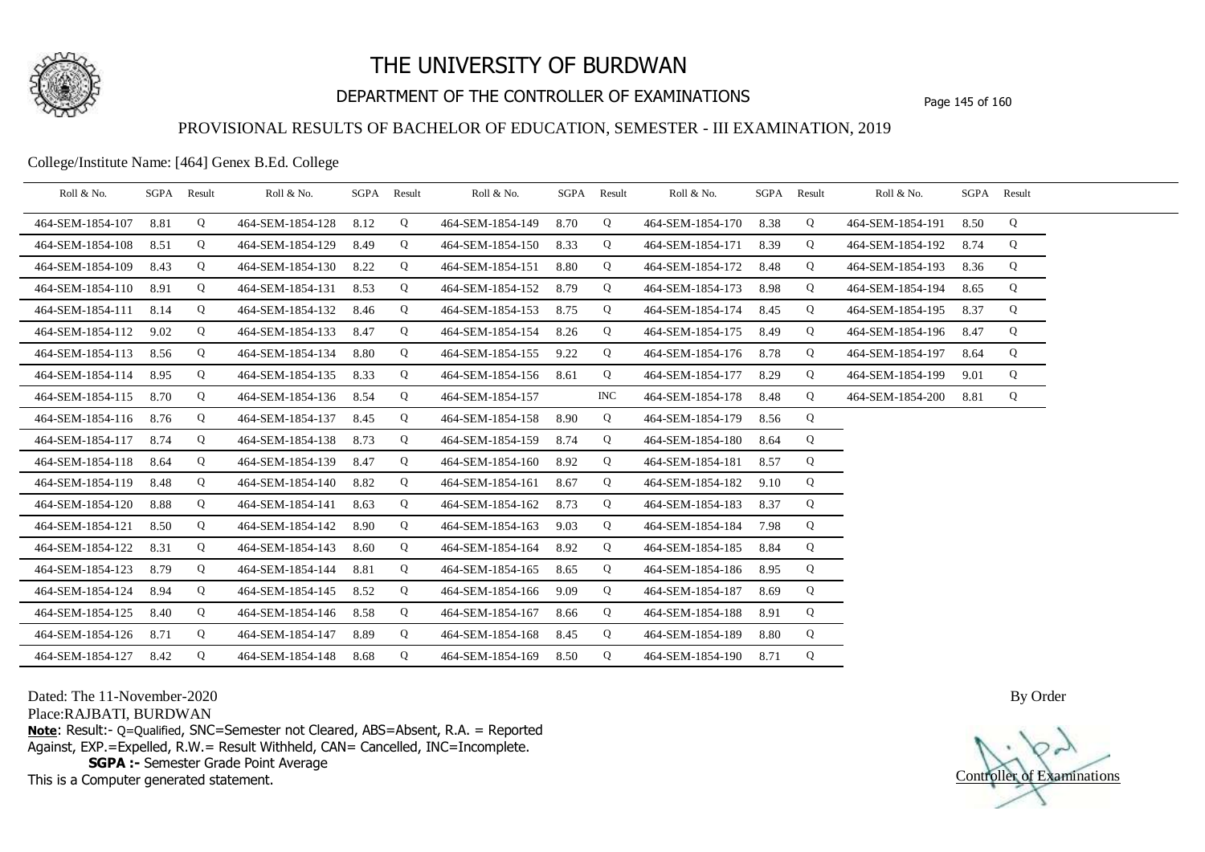

# DEPARTMENT OF THE CONTROLLER OF EXAMINATIONS Page 145 of 160

### PROVISIONAL RESULTS OF BACHELOR OF EDUCATION, SEMESTER - III EXAMINATION, 2019

College/Institute Name: [464] Genex B.Ed. College

| Roll & No.       | SGPA | Result | Roll & No.       |      | SGPA Result | Roll & No.       |      | SGPA Result | Roll & No.       |      | SGPA Result | Roll & No.       |      | SGPA Result |  |
|------------------|------|--------|------------------|------|-------------|------------------|------|-------------|------------------|------|-------------|------------------|------|-------------|--|
| 464-SEM-1854-107 | 8.81 | Q      | 464-SEM-1854-128 | 8.12 | Q           | 464-SEM-1854-149 | 8.70 | Q           | 464-SEM-1854-170 | 8.38 | Q           | 464-SEM-1854-191 | 8.50 | Q           |  |
| 464-SEM-1854-108 | 8.51 | Q      | 464-SEM-1854-129 | 8.49 | Q           | 464-SEM-1854-150 | 8.33 | Q           | 464-SEM-1854-171 | 8.39 | Q           | 464-SEM-1854-192 | 8.74 | Q           |  |
| 464-SEM-1854-109 | 8.43 | Q      | 464-SEM-1854-130 | 8.22 | Q           | 464-SEM-1854-151 | 8.80 | Q           | 464-SEM-1854-172 | 8.48 | Q           | 464-SEM-1854-193 | 8.36 | Q           |  |
| 464-SEM-1854-110 | 8.91 | Q      | 464-SEM-1854-131 | 8.53 | Q           | 464-SEM-1854-152 | 8.79 | Q           | 464-SEM-1854-173 | 8.98 | Q           | 464-SEM-1854-194 | 8.65 | Q           |  |
| 464-SEM-1854-111 | 8.14 | Q      | 464-SEM-1854-132 | 8.46 | Q           | 464-SEM-1854-153 | 8.75 | Q           | 464-SEM-1854-174 | 8.45 | Q           | 464-SEM-1854-195 | 8.37 | Q           |  |
| 464-SEM-1854-112 | 9.02 | Q      | 464-SEM-1854-133 | 8.47 | Q           | 464-SEM-1854-154 | 8.26 | Q           | 464-SEM-1854-175 | 8.49 | Q           | 464-SEM-1854-196 | 8.47 | Q           |  |
| 464-SEM-1854-113 | 8.56 | Q      | 464-SEM-1854-134 | 8.80 | Q           | 464-SEM-1854-155 | 9.22 | Q           | 464-SEM-1854-176 | 8.78 | Q           | 464-SEM-1854-197 | 8.64 | Q           |  |
| 464-SEM-1854-114 | 8.95 | Q      | 464-SEM-1854-135 | 8.33 | Q           | 464-SEM-1854-156 | 8.61 | Q           | 464-SEM-1854-177 | 8.29 | Q           | 464-SEM-1854-199 | 9.01 | Q           |  |
| 464-SEM-1854-115 | 8.70 | Q      | 464-SEM-1854-136 | 8.54 | Q           | 464-SEM-1854-157 |      | <b>INC</b>  | 464-SEM-1854-178 | 8.48 | Q           | 464-SEM-1854-200 | 8.81 | Q           |  |
| 464-SEM-1854-116 | 8.76 | Q      | 464-SEM-1854-137 | 8.45 | Q           | 464-SEM-1854-158 | 8.90 | Q           | 464-SEM-1854-179 | 8.56 | Q           |                  |      |             |  |
| 464-SEM-1854-117 | 8.74 | Q      | 464-SEM-1854-138 | 8.73 | Q           | 464-SEM-1854-159 | 8.74 | Q           | 464-SEM-1854-180 | 8.64 | Q           |                  |      |             |  |
| 464-SEM-1854-118 | 8.64 | Q      | 464-SEM-1854-139 | 8.47 | Q           | 464-SEM-1854-160 | 8.92 | Q           | 464-SEM-1854-181 | 8.57 | Q           |                  |      |             |  |
| 464-SEM-1854-119 | 8.48 | Q      | 464-SEM-1854-140 | 8.82 | Q           | 464-SEM-1854-161 | 8.67 | Q           | 464-SEM-1854-182 | 9.10 | Q           |                  |      |             |  |
| 464-SEM-1854-120 | 8.88 | Q      | 464-SEM-1854-141 | 8.63 | Q           | 464-SEM-1854-162 | 8.73 | Q           | 464-SEM-1854-183 | 8.37 | Q           |                  |      |             |  |
| 464-SEM-1854-121 | 8.50 | Q      | 464-SEM-1854-142 | 8.90 | Q           | 464-SEM-1854-163 | 9.03 | Q           | 464-SEM-1854-184 | 7.98 | Q           |                  |      |             |  |
| 464-SEM-1854-122 | 8.31 | Q      | 464-SEM-1854-143 | 8.60 | Q           | 464-SEM-1854-164 | 8.92 | Q           | 464-SEM-1854-185 | 8.84 | Q           |                  |      |             |  |
| 464-SEM-1854-123 | 8.79 | Q      | 464-SEM-1854-144 | 8.81 | Q           | 464-SEM-1854-165 | 8.65 | Q           | 464-SEM-1854-186 | 8.95 | Q           |                  |      |             |  |
| 464-SEM-1854-124 | 8.94 | Q      | 464-SEM-1854-145 | 8.52 | Q           | 464-SEM-1854-166 | 9.09 | Q           | 464-SEM-1854-187 | 8.69 | Q           |                  |      |             |  |
| 464-SEM-1854-125 | 8.40 | Q      | 464-SEM-1854-146 | 8.58 | Q           | 464-SEM-1854-167 | 8.66 | Q           | 464-SEM-1854-188 | 8.91 | Q           |                  |      |             |  |
| 464-SEM-1854-126 | 8.71 | Q      | 464-SEM-1854-147 | 8.89 | Q           | 464-SEM-1854-168 | 8.45 | Q           | 464-SEM-1854-189 | 8.80 | Q           |                  |      |             |  |
| 464-SEM-1854-127 | 8.42 | Q      | 464-SEM-1854-148 | 8.68 | Q           | 464-SEM-1854-169 | 8.50 | Q           | 464-SEM-1854-190 | 8.71 | Q           |                  |      |             |  |

Dated: The 11-November-2020

Place:RAJBATI, BURDWAN

**Note**: Result:- Q=Qualified, SNC=Semester not Cleared, ABS=Absent, R.A. = Reported Against, EXP.=Expelled, R.W.= Result Withheld, CAN= Cancelled, INC=Incomplete. **SGPA :-** Semester Grade Point Average

This is a Computer generated statement.

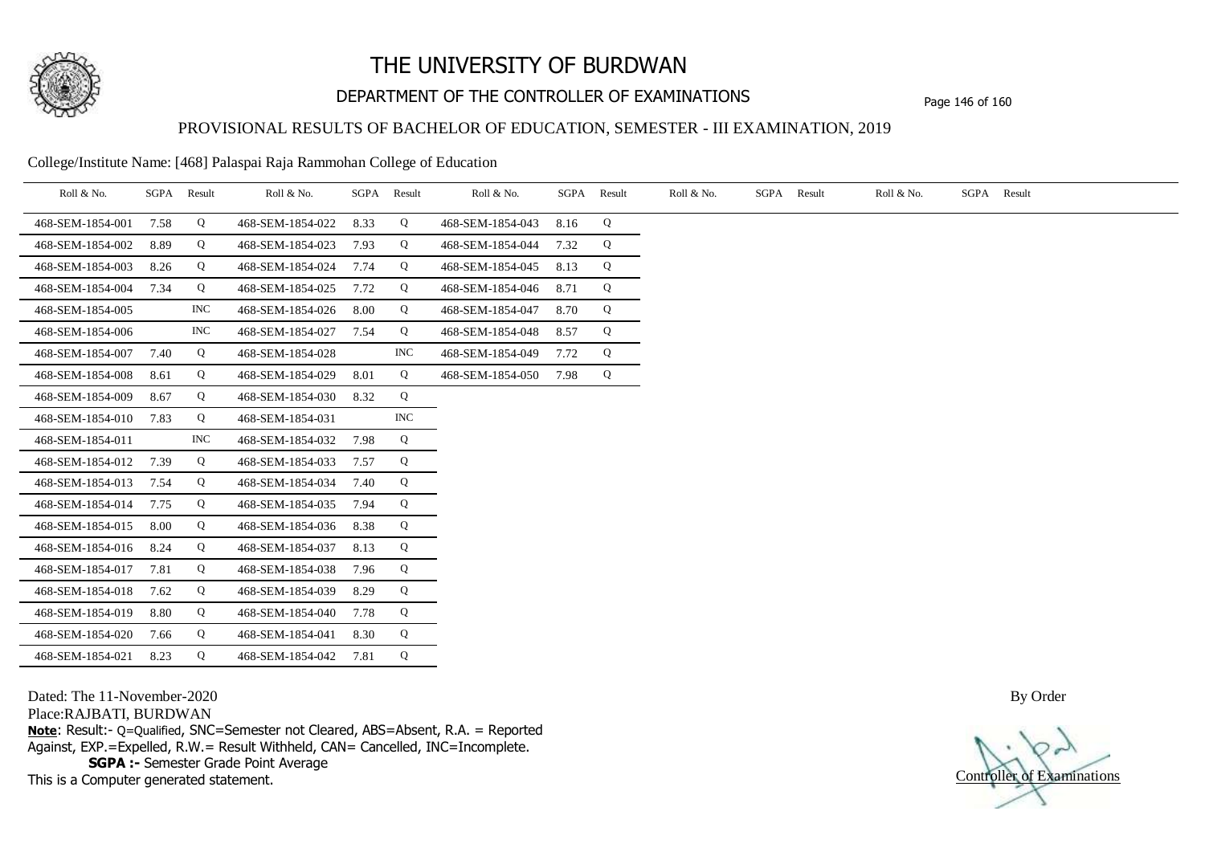

# DEPARTMENT OF THE CONTROLLER OF EXAMINATIONS Page 146 of 160

## PROVISIONAL RESULTS OF BACHELOR OF EDUCATION, SEMESTER - III EXAMINATION, 2019

College/Institute Name: [468] Palaspai Raja Rammohan College of Education

| Roll & No.       | SGPA | Result     | Roll & No.       |      | SGPA Result | Roll & No.       | SGPA | Result | Roll & No. | SGPA Result | Roll & No. | SGPA Result |
|------------------|------|------------|------------------|------|-------------|------------------|------|--------|------------|-------------|------------|-------------|
| 468-SEM-1854-001 | 7.58 | Q          | 468-SEM-1854-022 | 8.33 | Q           | 468-SEM-1854-043 | 8.16 | Q      |            |             |            |             |
| 468-SEM-1854-002 | 8.89 | Q          | 468-SEM-1854-023 | 7.93 | Q           | 468-SEM-1854-044 | 7.32 | Q      |            |             |            |             |
| 468-SEM-1854-003 | 8.26 | Q          | 468-SEM-1854-024 | 7.74 | Q           | 468-SEM-1854-045 | 8.13 | Q      |            |             |            |             |
| 468-SEM-1854-004 | 7.34 | Q          | 468-SEM-1854-025 | 7.72 | Q           | 468-SEM-1854-046 | 8.71 | Q      |            |             |            |             |
| 468-SEM-1854-005 |      | <b>INC</b> | 468-SEM-1854-026 | 8.00 | Q           | 468-SEM-1854-047 | 8.70 | Q      |            |             |            |             |
| 468-SEM-1854-006 |      | <b>INC</b> | 468-SEM-1854-027 | 7.54 | Q           | 468-SEM-1854-048 | 8.57 | Q      |            |             |            |             |
| 468-SEM-1854-007 | 7.40 | Q          | 468-SEM-1854-028 |      | <b>INC</b>  | 468-SEM-1854-049 | 7.72 | Q      |            |             |            |             |
| 468-SEM-1854-008 | 8.61 | Q          | 468-SEM-1854-029 | 8.01 | Q           | 468-SEM-1854-050 | 7.98 | Q      |            |             |            |             |
| 468-SEM-1854-009 | 8.67 | Q          | 468-SEM-1854-030 | 8.32 | Q           |                  |      |        |            |             |            |             |
| 468-SEM-1854-010 | 7.83 | Q          | 468-SEM-1854-031 |      | <b>INC</b>  |                  |      |        |            |             |            |             |
| 468-SEM-1854-011 |      | <b>INC</b> | 468-SEM-1854-032 | 7.98 | Q           |                  |      |        |            |             |            |             |
| 468-SEM-1854-012 | 7.39 | Q          | 468-SEM-1854-033 | 7.57 | Q           |                  |      |        |            |             |            |             |
| 468-SEM-1854-013 | 7.54 | Q          | 468-SEM-1854-034 | 7.40 | Q           |                  |      |        |            |             |            |             |
| 468-SEM-1854-014 | 7.75 | Q          | 468-SEM-1854-035 | 7.94 | Q           |                  |      |        |            |             |            |             |
| 468-SEM-1854-015 | 8.00 | Q          | 468-SEM-1854-036 | 8.38 | Q           |                  |      |        |            |             |            |             |
| 468-SEM-1854-016 | 8.24 | Q          | 468-SEM-1854-037 | 8.13 | Q           |                  |      |        |            |             |            |             |
| 468-SEM-1854-017 | 7.81 | Q          | 468-SEM-1854-038 | 7.96 | Q           |                  |      |        |            |             |            |             |
| 468-SEM-1854-018 | 7.62 | Q          | 468-SEM-1854-039 | 8.29 | Q           |                  |      |        |            |             |            |             |
| 468-SEM-1854-019 | 8.80 | Q          | 468-SEM-1854-040 | 7.78 | Q           |                  |      |        |            |             |            |             |
| 468-SEM-1854-020 | 7.66 | Q          | 468-SEM-1854-041 | 8.30 | Q           |                  |      |        |            |             |            |             |
| 468-SEM-1854-021 | 8.23 | Q          | 468-SEM-1854-042 | 7.81 | Q           |                  |      |        |            |             |            |             |

Dated: The 11-November-2020

Place:RAJBATI, BURDWAN

**Note**: Result:- Q=Qualified, SNC=Semester not Cleared, ABS=Absent, R.A. = Reported Against, EXP.=Expelled, R.W.= Result Withheld, CAN= Cancelled, INC=Incomplete. **SGPA :-** Semester Grade Point Average

This is a Computer generated statement.

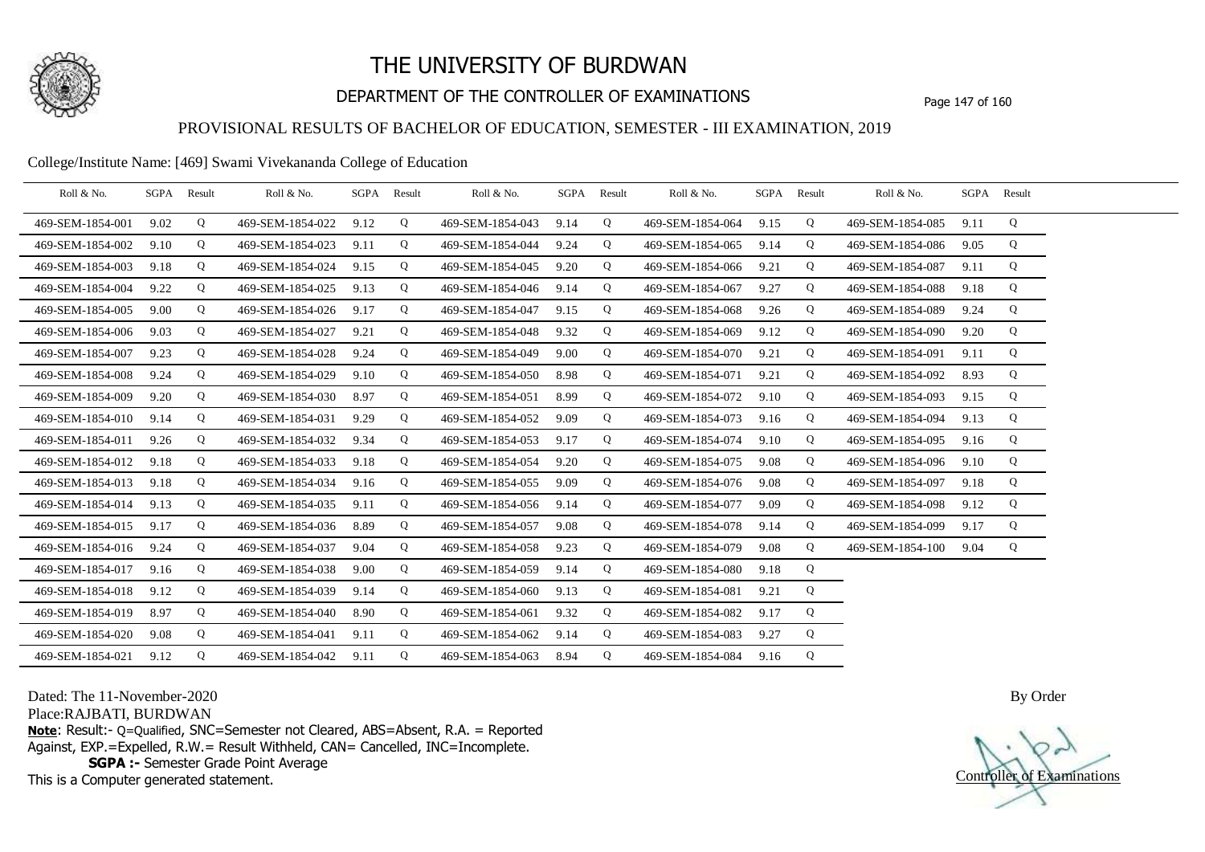

# DEPARTMENT OF THE CONTROLLER OF EXAMINATIONS Page 147 of 160

## PROVISIONAL RESULTS OF BACHELOR OF EDUCATION, SEMESTER - III EXAMINATION, 2019

#### College/Institute Name: [469] Swami Vivekananda College of Education

| Roll & No.       |      | SGPA Result | Roll & No.       |      | SGPA Result | Roll & No.       |      | SGPA Result | Roll & No.       |      | SGPA Result | Roll & No.       |      | SGPA Result |  |
|------------------|------|-------------|------------------|------|-------------|------------------|------|-------------|------------------|------|-------------|------------------|------|-------------|--|
| 469-SEM-1854-001 | 9.02 | Q           | 469-SEM-1854-022 | 9.12 | Q           | 469-SEM-1854-043 | 9.14 | Q           | 469-SEM-1854-064 | 9.15 | Q           | 469-SEM-1854-085 | 9.11 | Q           |  |
| 469-SEM-1854-002 | 9.10 | Q           | 469-SEM-1854-023 | 9.11 | Q           | 469-SEM-1854-044 | 9.24 | Q           | 469-SEM-1854-065 | 9.14 | Q           | 469-SEM-1854-086 | 9.05 | Q           |  |
| 469-SEM-1854-003 | 9.18 | Q           | 469-SEM-1854-024 | 9.15 | Q           | 469-SEM-1854-045 | 9.20 | Q           | 469-SEM-1854-066 | 9.21 | Q           | 469-SEM-1854-087 | 9.11 | Q           |  |
| 469-SEM-1854-004 | 9.22 | Q           | 469-SEM-1854-025 | 9.13 | Q           | 469-SEM-1854-046 | 9.14 | Q           | 469-SEM-1854-067 | 9.27 | Q           | 469-SEM-1854-088 | 9.18 | Q           |  |
| 469-SEM-1854-005 | 9.00 | Q           | 469-SEM-1854-026 | 9.17 | Q           | 469-SEM-1854-047 | 9.15 | Q           | 469-SEM-1854-068 | 9.26 | Q           | 469-SEM-1854-089 | 9.24 | Q           |  |
| 469-SEM-1854-006 | 9.03 | Q           | 469-SEM-1854-027 | 9.21 | Q           | 469-SEM-1854-048 | 9.32 | Q           | 469-SEM-1854-069 | 9.12 | Q           | 469-SEM-1854-090 | 9.20 | Q           |  |
| 469-SEM-1854-007 | 9.23 | Q           | 469-SEM-1854-028 | 9.24 | Q           | 469-SEM-1854-049 | 9.00 | Q           | 469-SEM-1854-070 | 9.21 | Q           | 469-SEM-1854-091 | 9.11 | Q           |  |
| 469-SEM-1854-008 | 9.24 | Q           | 469-SEM-1854-029 | 9.10 | Q           | 469-SEM-1854-050 | 8.98 | Q           | 469-SEM-1854-071 | 9.21 | Q           | 469-SEM-1854-092 | 8.93 | Q           |  |
| 469-SEM-1854-009 | 9.20 | Q           | 469-SEM-1854-030 | 8.97 | Q           | 469-SEM-1854-051 | 8.99 | Q           | 469-SEM-1854-072 | 9.10 | Q           | 469-SEM-1854-093 | 9.15 | Q           |  |
| 469-SEM-1854-010 | 9.14 | Q           | 469-SEM-1854-031 | 9.29 | Q           | 469-SEM-1854-052 | 9.09 | Q           | 469-SEM-1854-073 | 9.16 | Q           | 469-SEM-1854-094 | 9.13 | Q           |  |
| 469-SEM-1854-011 | 9.26 | Q           | 469-SEM-1854-032 | 9.34 | Q           | 469-SEM-1854-053 | 9.17 | Q           | 469-SEM-1854-074 | 9.10 | Q           | 469-SEM-1854-095 | 9.16 | Q           |  |
| 469-SEM-1854-012 | 9.18 | Q           | 469-SEM-1854-033 | 9.18 | Q           | 469-SEM-1854-054 | 9.20 | Q           | 469-SEM-1854-075 | 9.08 | Q           | 469-SEM-1854-096 | 9.10 | Q           |  |
| 469-SEM-1854-013 | 9.18 | Q           | 469-SEM-1854-034 | 9.16 | Q           | 469-SEM-1854-055 | 9.09 | Q           | 469-SEM-1854-076 | 9.08 | Q           | 469-SEM-1854-097 | 9.18 | Q           |  |
| 469-SEM-1854-014 | 9.13 | Q           | 469-SEM-1854-035 | 9.11 | Q           | 469-SEM-1854-056 | 9.14 | Q           | 469-SEM-1854-077 | 9.09 | Q           | 469-SEM-1854-098 | 9.12 | Q           |  |
| 469-SEM-1854-015 | 9.17 | Q           | 469-SEM-1854-036 | 8.89 | Q           | 469-SEM-1854-057 | 9.08 | Q           | 469-SEM-1854-078 | 9.14 | Q           | 469-SEM-1854-099 | 9.17 | Q           |  |
| 469-SEM-1854-016 | 9.24 | Q           | 469-SEM-1854-037 | 9.04 | Q           | 469-SEM-1854-058 | 9.23 | Q           | 469-SEM-1854-079 | 9.08 | Q           | 469-SEM-1854-100 | 9.04 | Q           |  |
| 469-SEM-1854-017 | 9.16 | Q           | 469-SEM-1854-038 | 9.00 | Q           | 469-SEM-1854-059 | 9.14 | Q           | 469-SEM-1854-080 | 9.18 | Q           |                  |      |             |  |
| 469-SEM-1854-018 | 9.12 | Q           | 469-SEM-1854-039 | 9.14 | Q           | 469-SEM-1854-060 | 9.13 | Q           | 469-SEM-1854-081 | 9.21 | Q           |                  |      |             |  |
| 469-SEM-1854-019 | 8.97 | Q           | 469-SEM-1854-040 | 8.90 | Q           | 469-SEM-1854-061 | 9.32 | Q           | 469-SEM-1854-082 | 9.17 | Q           |                  |      |             |  |
| 469-SEM-1854-020 | 9.08 | Q           | 469-SEM-1854-041 | 9.11 | Q           | 469-SEM-1854-062 | 9.14 | Q           | 469-SEM-1854-083 | 9.27 | Q           |                  |      |             |  |
| 469-SEM-1854-021 | 9.12 | Q           | 469-SEM-1854-042 | 9.11 | Q           | 469-SEM-1854-063 | 8.94 | Q           | 469-SEM-1854-084 | 9.16 | Q           |                  |      |             |  |

Dated: The 11-November-2020

Place:RAJBATI, BURDWAN

**Note**: Result:- Q=Qualified, SNC=Semester not Cleared, ABS=Absent, R.A. = Reported Against, EXP.=Expelled, R.W.= Result Withheld, CAN= Cancelled, INC=Incomplete. **SGPA :-** Semester Grade Point Average

This is a Computer generated statement.

Controller of Examinations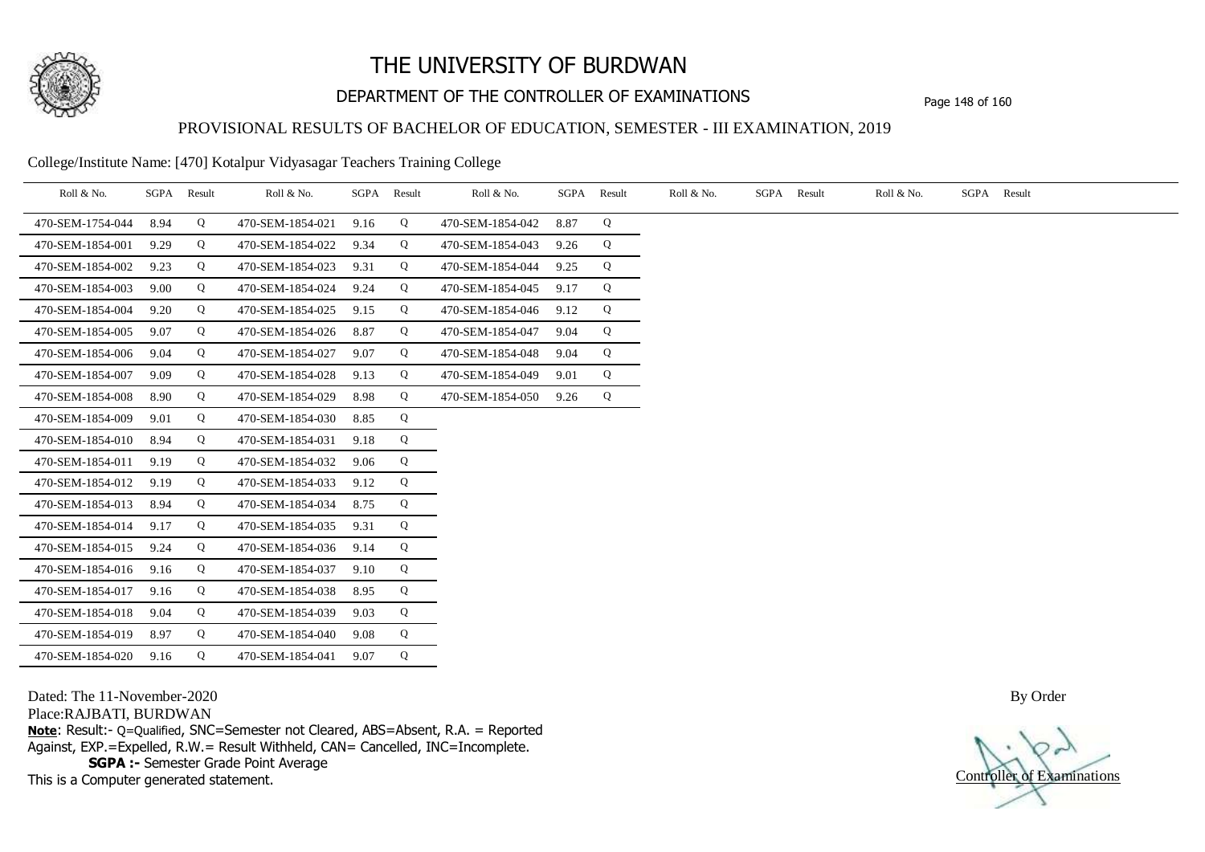

# DEPARTMENT OF THE CONTROLLER OF EXAMINATIONS Page 148 of 160

## PROVISIONAL RESULTS OF BACHELOR OF EDUCATION, SEMESTER - III EXAMINATION, 2019

College/Institute Name: [470] Kotalpur Vidyasagar Teachers Training College

| Roll & No.       | SGPA | Result | Roll & No.       |      | SGPA Result | Roll & No.       | SGPA | Result | Roll & No. | SGPA Result | Roll & No. | SGPA Result |
|------------------|------|--------|------------------|------|-------------|------------------|------|--------|------------|-------------|------------|-------------|
| 470-SEM-1754-044 | 8.94 | Q      | 470-SEM-1854-021 | 9.16 | Q           | 470-SEM-1854-042 | 8.87 | Q      |            |             |            |             |
| 470-SEM-1854-001 | 9.29 | Q      | 470-SEM-1854-022 | 9.34 | Q           | 470-SEM-1854-043 | 9.26 | Q      |            |             |            |             |
| 470-SEM-1854-002 | 9.23 | Q      | 470-SEM-1854-023 | 9.31 | Q           | 470-SEM-1854-044 | 9.25 | Q      |            |             |            |             |
| 470-SEM-1854-003 | 9.00 | Q      | 470-SEM-1854-024 | 9.24 | Q           | 470-SEM-1854-045 | 9.17 | Q      |            |             |            |             |
| 470-SEM-1854-004 | 9.20 | Q      | 470-SEM-1854-025 | 9.15 | Q           | 470-SEM-1854-046 | 9.12 | Q      |            |             |            |             |
| 470-SEM-1854-005 | 9.07 | Q      | 470-SEM-1854-026 | 8.87 | Q           | 470-SEM-1854-047 | 9.04 | Q      |            |             |            |             |
| 470-SEM-1854-006 | 9.04 | Q      | 470-SEM-1854-027 | 9.07 | Q           | 470-SEM-1854-048 | 9.04 | Q      |            |             |            |             |
| 470-SEM-1854-007 | 9.09 | Q      | 470-SEM-1854-028 | 9.13 | Q           | 470-SEM-1854-049 | 9.01 | Q      |            |             |            |             |
| 470-SEM-1854-008 | 8.90 | Q      | 470-SEM-1854-029 | 8.98 | Q           | 470-SEM-1854-050 | 9.26 | Q      |            |             |            |             |
| 470-SEM-1854-009 | 9.01 | Q      | 470-SEM-1854-030 | 8.85 | Q           |                  |      |        |            |             |            |             |
| 470-SEM-1854-010 | 8.94 | Q      | 470-SEM-1854-031 | 9.18 | Q           |                  |      |        |            |             |            |             |
| 470-SEM-1854-011 | 9.19 | Q      | 470-SEM-1854-032 | 9.06 | Q           |                  |      |        |            |             |            |             |
| 470-SEM-1854-012 | 9.19 | Q      | 470-SEM-1854-033 | 9.12 | Q           |                  |      |        |            |             |            |             |
| 470-SEM-1854-013 | 8.94 | Q      | 470-SEM-1854-034 | 8.75 | Q           |                  |      |        |            |             |            |             |
| 470-SEM-1854-014 | 9.17 | Q      | 470-SEM-1854-035 | 9.31 | Q           |                  |      |        |            |             |            |             |
| 470-SEM-1854-015 | 9.24 | Q      | 470-SEM-1854-036 | 9.14 | Q           |                  |      |        |            |             |            |             |
| 470-SEM-1854-016 | 9.16 | Q      | 470-SEM-1854-037 | 9.10 | Q           |                  |      |        |            |             |            |             |
| 470-SEM-1854-017 | 9.16 | Q      | 470-SEM-1854-038 | 8.95 | Q           |                  |      |        |            |             |            |             |
| 470-SEM-1854-018 | 9.04 | Q      | 470-SEM-1854-039 | 9.03 | Q           |                  |      |        |            |             |            |             |
| 470-SEM-1854-019 | 8.97 | Q      | 470-SEM-1854-040 | 9.08 | Q           |                  |      |        |            |             |            |             |
| 470-SEM-1854-020 | 9.16 | Q      | 470-SEM-1854-041 | 9.07 | Q           |                  |      |        |            |             |            |             |

Dated: The 11-November-2020

Place:RAJBATI, BURDWAN

**Note**: Result:- Q=Qualified, SNC=Semester not Cleared, ABS=Absent, R.A. = Reported Against, EXP.=Expelled, R.W.= Result Withheld, CAN= Cancelled, INC=Incomplete. **SGPA :-** Semester Grade Point Average

This is a Computer generated statement.

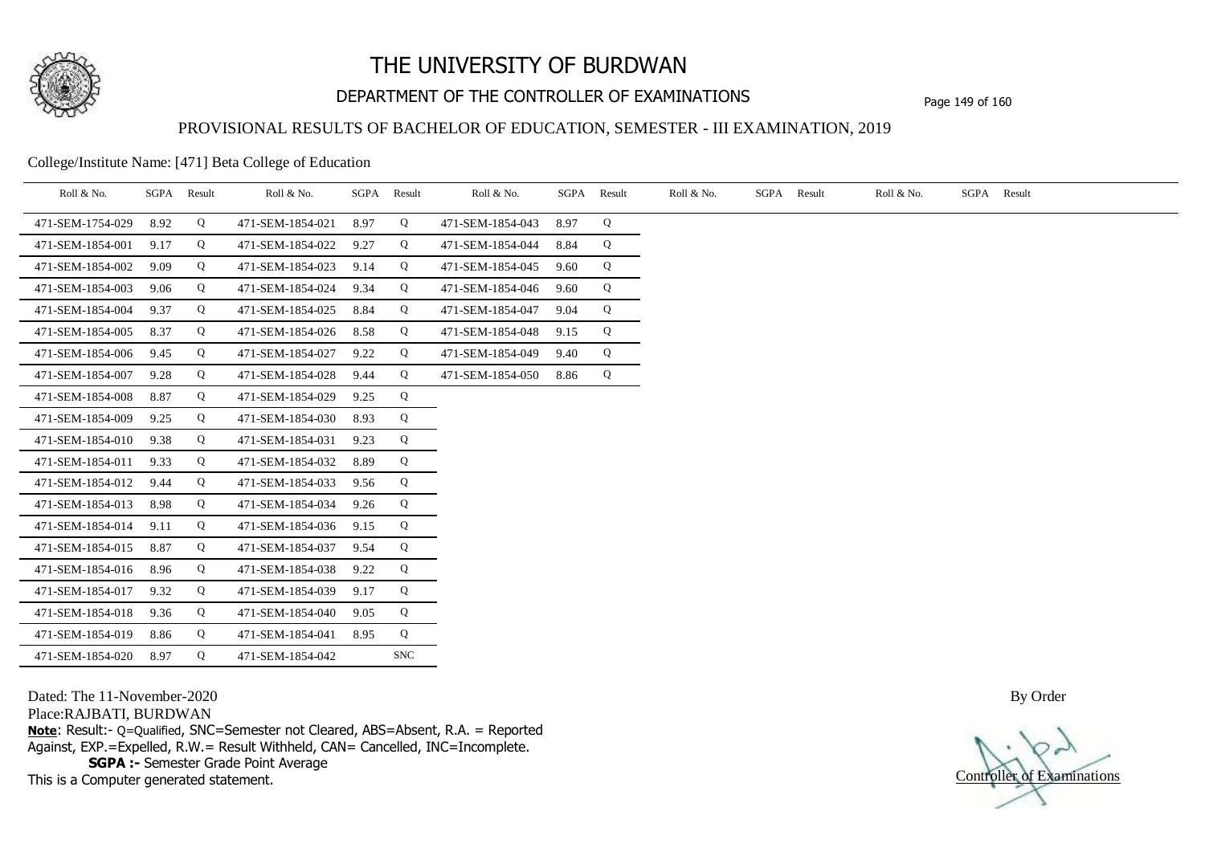

# DEPARTMENT OF THE CONTROLLER OF EXAMINATIONS Page 149 of 160

### PROVISIONAL RESULTS OF BACHELOR OF EDUCATION, SEMESTER - III EXAMINATION, 2019

College/Institute Name: [471] Beta College of Education

| Roll & No.       | SGPA Result |   | Roll & No.       |      | SGPA Result | Roll & No.       | SGPA Result |   | Roll & No. | SGPA Result | Roll & No. | SGPA Result |
|------------------|-------------|---|------------------|------|-------------|------------------|-------------|---|------------|-------------|------------|-------------|
| 471-SEM-1754-029 | 8.92        | Q | 471-SEM-1854-021 | 8.97 | Q           | 471-SEM-1854-043 | 8.97        | Q |            |             |            |             |
| 471-SEM-1854-001 | 9.17        | Q | 471-SEM-1854-022 | 9.27 | Q           | 471-SEM-1854-044 | 8.84        | Q |            |             |            |             |
| 471-SEM-1854-002 | 9.09        | Q | 471-SEM-1854-023 | 9.14 | Q           | 471-SEM-1854-045 | 9.60        | Q |            |             |            |             |
| 471-SEM-1854-003 | 9.06        | Q | 471-SEM-1854-024 | 9.34 | Q           | 471-SEM-1854-046 | 9.60        | Q |            |             |            |             |
| 471-SEM-1854-004 | 9.37        | Q | 471-SEM-1854-025 | 8.84 | Q           | 471-SEM-1854-047 | 9.04        | Q |            |             |            |             |
| 471-SEM-1854-005 | 8.37        | Q | 471-SEM-1854-026 | 8.58 | Q           | 471-SEM-1854-048 | 9.15        | Q |            |             |            |             |
| 471-SEM-1854-006 | 9.45        | Q | 471-SEM-1854-027 | 9.22 | Q           | 471-SEM-1854-049 | 9.40        | Q |            |             |            |             |
| 471-SEM-1854-007 | 9.28        | Q | 471-SEM-1854-028 | 9.44 | Q           | 471-SEM-1854-050 | 8.86        | Q |            |             |            |             |
| 471-SEM-1854-008 | 8.87        | Q | 471-SEM-1854-029 | 9.25 | Q           |                  |             |   |            |             |            |             |
| 471-SEM-1854-009 | 9.25        | Q | 471-SEM-1854-030 | 8.93 | Q           |                  |             |   |            |             |            |             |
| 471-SEM-1854-010 | 9.38        | Q | 471-SEM-1854-031 | 9.23 | Q           |                  |             |   |            |             |            |             |
| 471-SEM-1854-011 | 9.33        | Q | 471-SEM-1854-032 | 8.89 | Q           |                  |             |   |            |             |            |             |
| 471-SEM-1854-012 | 9.44        | Q | 471-SEM-1854-033 | 9.56 | Q           |                  |             |   |            |             |            |             |
| 471-SEM-1854-013 | 8.98        | Q | 471-SEM-1854-034 | 9.26 | Q           |                  |             |   |            |             |            |             |
| 471-SEM-1854-014 | 9.11        | Q | 471-SEM-1854-036 | 9.15 | Q           |                  |             |   |            |             |            |             |
| 471-SEM-1854-015 | 8.87        | Q | 471-SEM-1854-037 | 9.54 | Q           |                  |             |   |            |             |            |             |
| 471-SEM-1854-016 | 8.96        | Q | 471-SEM-1854-038 | 9.22 | Q           |                  |             |   |            |             |            |             |
| 471-SEM-1854-017 | 9.32        | Q | 471-SEM-1854-039 | 9.17 | Q           |                  |             |   |            |             |            |             |
| 471-SEM-1854-018 | 9.36        | Q | 471-SEM-1854-040 | 9.05 | Q           |                  |             |   |            |             |            |             |
| 471-SEM-1854-019 | 8.86        | Q | 471-SEM-1854-041 | 8.95 | Q           |                  |             |   |            |             |            |             |
| 471-SEM-1854-020 | 8.97        | Q | 471-SEM-1854-042 |      | <b>SNC</b>  |                  |             |   |            |             |            |             |

Dated: The 11-November-2020

Place:RAJBATI, BURDWAN

**Note**: Result:- Q=Qualified, SNC=Semester not Cleared, ABS=Absent, R.A. = Reported Against, EXP.=Expelled, R.W.= Result Withheld, CAN= Cancelled, INC=Incomplete. **SGPA :-** Semester Grade Point Average

This is a Computer generated statement.

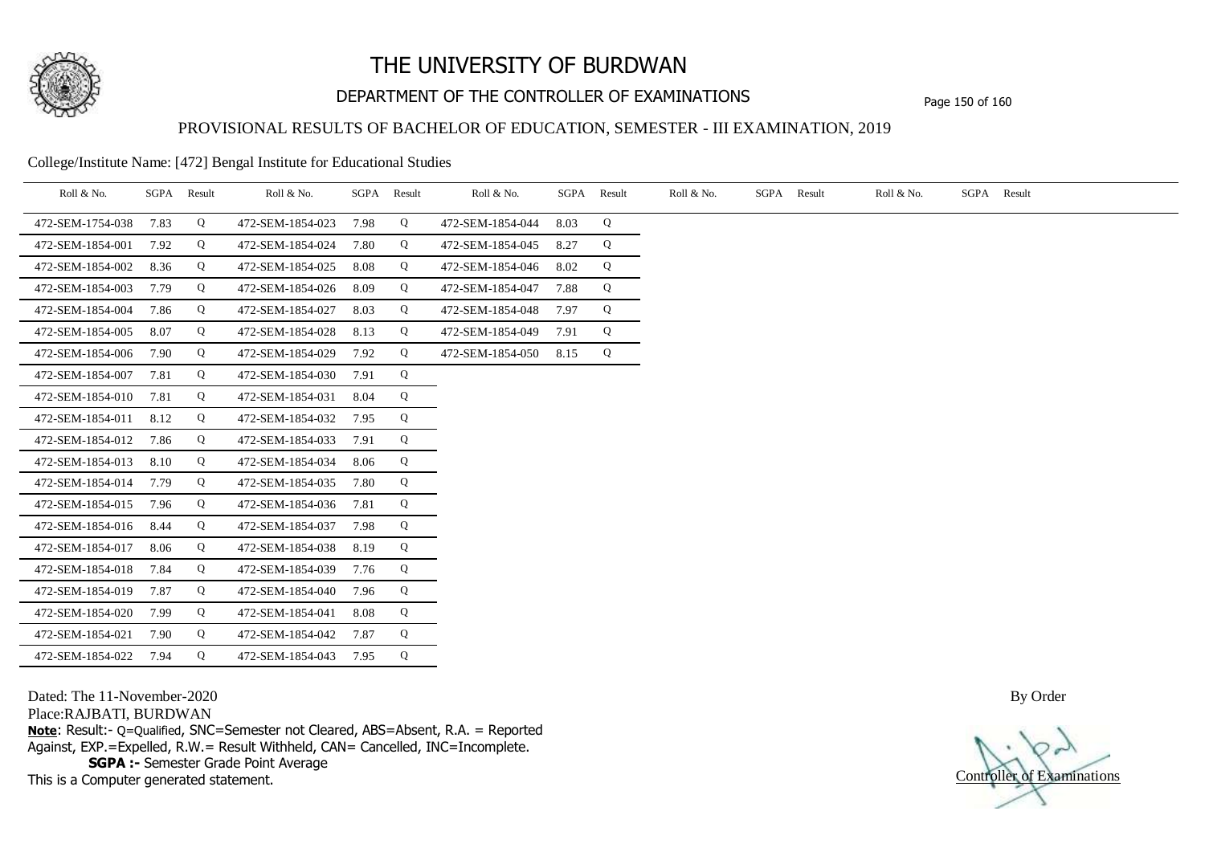

# DEPARTMENT OF THE CONTROLLER OF EXAMINATIONS Page 150 of 160

### PROVISIONAL RESULTS OF BACHELOR OF EDUCATION, SEMESTER - III EXAMINATION, 2019

College/Institute Name: [472] Bengal Institute for Educational Studies

| Roll & No.       | SGPA | Result | Roll & No.       | SGPA | Result | Roll & No.       | SGPA | Result | Roll & No. | SGPA Result | Roll & No. | SGPA Result |
|------------------|------|--------|------------------|------|--------|------------------|------|--------|------------|-------------|------------|-------------|
| 472-SEM-1754-038 | 7.83 | Q      | 472-SEM-1854-023 | 7.98 | Q      | 472-SEM-1854-044 | 8.03 | Q      |            |             |            |             |
| 472-SEM-1854-001 | 7.92 | Q      | 472-SEM-1854-024 | 7.80 | Q      | 472-SEM-1854-045 | 8.27 | Q      |            |             |            |             |
| 472-SEM-1854-002 | 8.36 | Q      | 472-SEM-1854-025 | 8.08 | Q      | 472-SEM-1854-046 | 8.02 | Q      |            |             |            |             |
| 472-SEM-1854-003 | 7.79 | Q      | 472-SEM-1854-026 | 8.09 | Q      | 472-SEM-1854-047 | 7.88 | Q      |            |             |            |             |
| 472-SEM-1854-004 | 7.86 | Q      | 472-SEM-1854-027 | 8.03 | Q      | 472-SEM-1854-048 | 7.97 | Q      |            |             |            |             |
| 472-SEM-1854-005 | 8.07 | Q      | 472-SEM-1854-028 | 8.13 | Q      | 472-SEM-1854-049 | 7.91 | Q      |            |             |            |             |
| 472-SEM-1854-006 | 7.90 | Q      | 472-SEM-1854-029 | 7.92 | Q      | 472-SEM-1854-050 | 8.15 | Q      |            |             |            |             |
| 472-SEM-1854-007 | 7.81 | Q      | 472-SEM-1854-030 | 7.91 | Q      |                  |      |        |            |             |            |             |
| 472-SEM-1854-010 | 7.81 | Q      | 472-SEM-1854-031 | 8.04 | Q      |                  |      |        |            |             |            |             |
| 472-SEM-1854-011 | 8.12 | Q      | 472-SEM-1854-032 | 7.95 | Q      |                  |      |        |            |             |            |             |
| 472-SEM-1854-012 | 7.86 | Q      | 472-SEM-1854-033 | 7.91 | Q      |                  |      |        |            |             |            |             |
| 472-SEM-1854-013 | 8.10 | Q      | 472-SEM-1854-034 | 8.06 | Q      |                  |      |        |            |             |            |             |
| 472-SEM-1854-014 | 7.79 | Q      | 472-SEM-1854-035 | 7.80 | Q      |                  |      |        |            |             |            |             |
| 472-SEM-1854-015 | 7.96 | Q      | 472-SEM-1854-036 | 7.81 | Q      |                  |      |        |            |             |            |             |
| 472-SEM-1854-016 | 8.44 | Q      | 472-SEM-1854-037 | 7.98 | Q      |                  |      |        |            |             |            |             |
| 472-SEM-1854-017 | 8.06 | Q      | 472-SEM-1854-038 | 8.19 | Q      |                  |      |        |            |             |            |             |
| 472-SEM-1854-018 | 7.84 | Q      | 472-SEM-1854-039 | 7.76 | Q      |                  |      |        |            |             |            |             |
| 472-SEM-1854-019 | 7.87 | Q      | 472-SEM-1854-040 | 7.96 | Q      |                  |      |        |            |             |            |             |
| 472-SEM-1854-020 | 7.99 | Q      | 472-SEM-1854-041 | 8.08 | Q      |                  |      |        |            |             |            |             |
| 472-SEM-1854-021 | 7.90 | Q      | 472-SEM-1854-042 | 7.87 | Q      |                  |      |        |            |             |            |             |
| 472-SEM-1854-022 | 7.94 | Q      | 472-SEM-1854-043 | 7.95 | Q      |                  |      |        |            |             |            |             |

Dated: The 11-November-2020

Place:RAJBATI, BURDWAN

**Note**: Result:- Q=Qualified, SNC=Semester not Cleared, ABS=Absent, R.A. = Reported Against, EXP.=Expelled, R.W.= Result Withheld, CAN= Cancelled, INC=Incomplete. **SGPA :-** Semester Grade Point Average

This is a Computer generated statement.

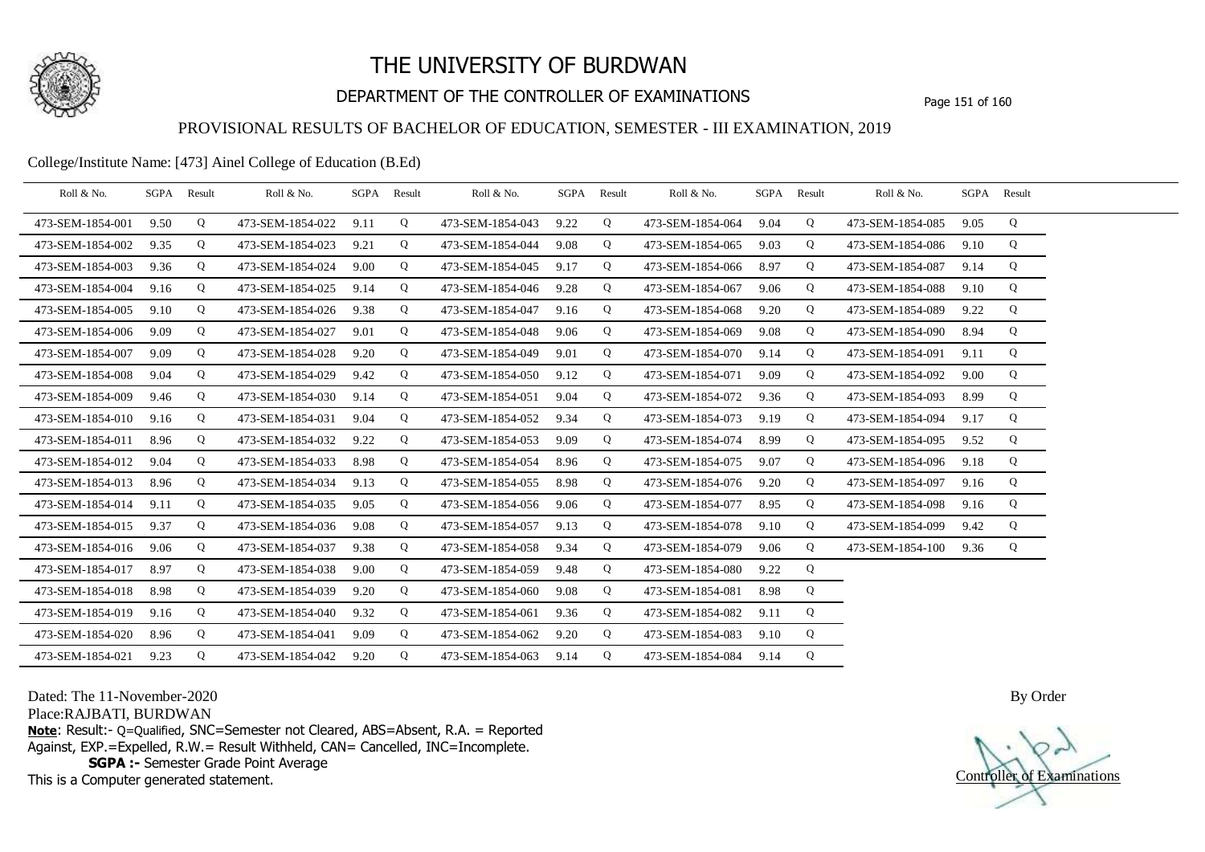

# DEPARTMENT OF THE CONTROLLER OF EXAMINATIONS Page 151 of 160

### PROVISIONAL RESULTS OF BACHELOR OF EDUCATION, SEMESTER - III EXAMINATION, 2019

### College/Institute Name: [473] Ainel College of Education (B.Ed)

| Roll & No.       | SGPA Result |   | Roll & No.       |      | SGPA Result | Roll & No.       |      | SGPA Result | Roll & No.       |      | SGPA Result | Roll & No.       |      | SGPA Result |  |
|------------------|-------------|---|------------------|------|-------------|------------------|------|-------------|------------------|------|-------------|------------------|------|-------------|--|
| 473-SEM-1854-001 | 9.50        | Q | 473-SEM-1854-022 | 9.11 | Q           | 473-SEM-1854-043 | 9.22 | Q           | 473-SEM-1854-064 | 9.04 | Q           | 473-SEM-1854-085 | 9.05 | Q           |  |
| 473-SEM-1854-002 | 9.35        | Q | 473-SEM-1854-023 | 9.21 | Q           | 473-SEM-1854-044 | 9.08 | Q           | 473-SEM-1854-065 | 9.03 | Q           | 473-SEM-1854-086 | 9.10 | Q           |  |
| 473-SEM-1854-003 | 9.36        | Q | 473-SEM-1854-024 | 9.00 | Q           | 473-SEM-1854-045 | 9.17 | Q           | 473-SEM-1854-066 | 8.97 | Q           | 473-SEM-1854-087 | 9.14 | Q           |  |
| 473-SEM-1854-004 | 9.16        | Q | 473-SEM-1854-025 | 9.14 | Q           | 473-SEM-1854-046 | 9.28 | Q           | 473-SEM-1854-067 | 9.06 | Q           | 473-SEM-1854-088 | 9.10 | Q           |  |
| 473-SEM-1854-005 | 9.10        | Q | 473-SEM-1854-026 | 9.38 | Q           | 473-SEM-1854-047 | 9.16 | Q           | 473-SEM-1854-068 | 9.20 | Q           | 473-SEM-1854-089 | 9.22 | Q           |  |
| 473-SEM-1854-006 | 9.09        | Q | 473-SEM-1854-027 | 9.01 | Q           | 473-SEM-1854-048 | 9.06 | Q           | 473-SEM-1854-069 | 9.08 | Q           | 473-SEM-1854-090 | 8.94 | Q           |  |
| 473-SEM-1854-007 | 9.09        | Q | 473-SEM-1854-028 | 9.20 | Q           | 473-SEM-1854-049 | 9.01 | Q           | 473-SEM-1854-070 | 9.14 | Q           | 473-SEM-1854-091 | 9.11 | Q           |  |
| 473-SEM-1854-008 | 9.04        | Q | 473-SEM-1854-029 | 9.42 | Q           | 473-SEM-1854-050 | 9.12 | Q           | 473-SEM-1854-071 | 9.09 | Q           | 473-SEM-1854-092 | 9.00 | Q           |  |
| 473-SEM-1854-009 | 9.46        | Q | 473-SEM-1854-030 | 9.14 | Q           | 473-SEM-1854-051 | 9.04 | Q           | 473-SEM-1854-072 | 9.36 | Q           | 473-SEM-1854-093 | 8.99 | Q           |  |
| 473-SEM-1854-010 | 9.16        | Q | 473-SEM-1854-031 | 9.04 | Q           | 473-SEM-1854-052 | 9.34 | Q           | 473-SEM-1854-073 | 9.19 | Q           | 473-SEM-1854-094 | 9.17 | Q           |  |
| 473-SEM-1854-011 | 8.96        | Q | 473-SEM-1854-032 | 9.22 | Q           | 473-SEM-1854-053 | 9.09 | Q           | 473-SEM-1854-074 | 8.99 | Q           | 473-SEM-1854-095 | 9.52 | Q           |  |
| 473-SEM-1854-012 | 9.04        | Q | 473-SEM-1854-033 | 8.98 | Q           | 473-SEM-1854-054 | 8.96 | Q           | 473-SEM-1854-075 | 9.07 | Q           | 473-SEM-1854-096 | 9.18 | Q           |  |
| 473-SEM-1854-013 | 8.96        | Q | 473-SEM-1854-034 | 9.13 | Q           | 473-SEM-1854-055 | 8.98 | Q           | 473-SEM-1854-076 | 9.20 | Q           | 473-SEM-1854-097 | 9.16 | Q           |  |
| 473-SEM-1854-014 | 9.11        | Q | 473-SEM-1854-035 | 9.05 | Q           | 473-SEM-1854-056 | 9.06 | Q           | 473-SEM-1854-077 | 8.95 | Q           | 473-SEM-1854-098 | 9.16 | Q           |  |
| 473-SEM-1854-015 | 9.37        | Q | 473-SEM-1854-036 | 9.08 | Q           | 473-SEM-1854-057 | 9.13 | Q           | 473-SEM-1854-078 | 9.10 | Q           | 473-SEM-1854-099 | 9.42 | Q           |  |
| 473-SEM-1854-016 | 9.06        | Q | 473-SEM-1854-037 | 9.38 | Q           | 473-SEM-1854-058 | 9.34 | Q           | 473-SEM-1854-079 | 9.06 | Q           | 473-SEM-1854-100 | 9.36 | Q           |  |
| 473-SEM-1854-017 | 8.97        | Q | 473-SEM-1854-038 | 9.00 | Q           | 473-SEM-1854-059 | 9.48 | Q           | 473-SEM-1854-080 | 9.22 | Q           |                  |      |             |  |
| 473-SEM-1854-018 | 8.98        | Q | 473-SEM-1854-039 | 9.20 | Q           | 473-SEM-1854-060 | 9.08 | Q           | 473-SEM-1854-081 | 8.98 | Q           |                  |      |             |  |
| 473-SEM-1854-019 | 9.16        | Q | 473-SEM-1854-040 | 9.32 | Q           | 473-SEM-1854-061 | 9.36 | Q           | 473-SEM-1854-082 | 9.11 | Q           |                  |      |             |  |
| 473-SEM-1854-020 | 8.96        | Q | 473-SEM-1854-041 | 9.09 | Q           | 473-SEM-1854-062 | 9.20 | Q           | 473-SEM-1854-083 | 9.10 | Q           |                  |      |             |  |
| 473-SEM-1854-021 | 9.23        | Q | 473-SEM-1854-042 | 9.20 | Q           | 473-SEM-1854-063 | 9.14 | Q           | 473-SEM-1854-084 | 9.14 | Q           |                  |      |             |  |

Dated: The 11-November-2020

Place:RAJBATI, BURDWAN

**Note**: Result:- Q=Qualified, SNC=Semester not Cleared, ABS=Absent, R.A. = Reported Against, EXP.=Expelled, R.W.= Result Withheld, CAN= Cancelled, INC=Incomplete. **SGPA :-** Semester Grade Point Average

This is a Computer generated statement.

Controller of Examinations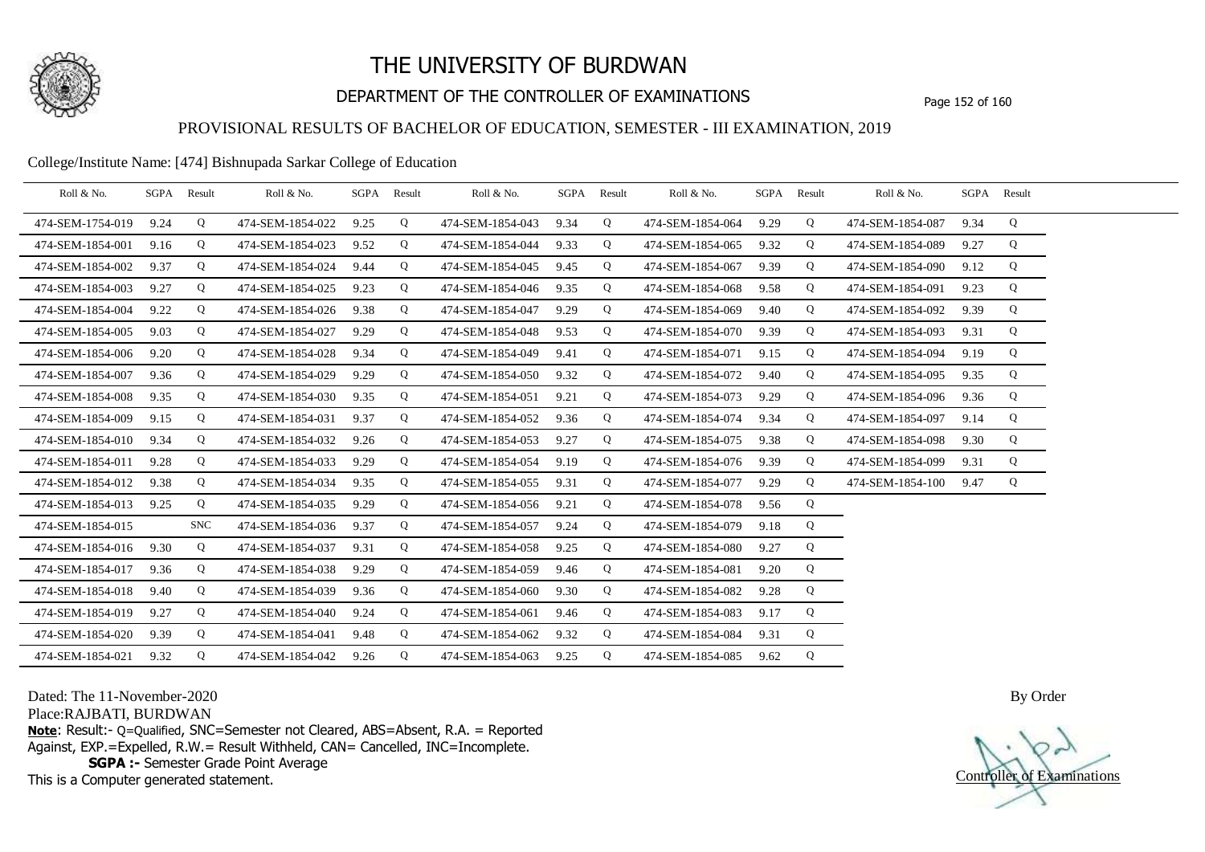

# DEPARTMENT OF THE CONTROLLER OF EXAMINATIONS Page 152 of 160

## PROVISIONAL RESULTS OF BACHELOR OF EDUCATION, SEMESTER - III EXAMINATION, 2019

#### College/Institute Name: [474] Bishnupada Sarkar College of Education

| Roll & No.       |      | SGPA Result | Roll & No.       |      | SGPA Result | Roll & No.       |      | SGPA Result | Roll & No.       |      | SGPA Result | Roll & No.       |      | SGPA Result |  |
|------------------|------|-------------|------------------|------|-------------|------------------|------|-------------|------------------|------|-------------|------------------|------|-------------|--|
| 474-SEM-1754-019 | 9.24 | Q           | 474-SEM-1854-022 | 9.25 | Q           | 474-SEM-1854-043 | 9.34 | Q           | 474-SEM-1854-064 | 9.29 | Q           | 474-SEM-1854-087 | 9.34 | Q           |  |
| 474-SEM-1854-001 | 9.16 | Q           | 474-SEM-1854-023 | 9.52 | Q           | 474-SEM-1854-044 | 9.33 | Q           | 474-SEM-1854-065 | 9.32 | Q           | 474-SEM-1854-089 | 9.27 | Q           |  |
| 474-SEM-1854-002 | 9.37 | Q           | 474-SEM-1854-024 | 9.44 | Q           | 474-SEM-1854-045 | 9.45 | Q           | 474-SEM-1854-067 | 9.39 | Q           | 474-SEM-1854-090 | 9.12 | Q           |  |
| 474-SEM-1854-003 | 9.27 | Q           | 474-SEM-1854-025 | 9.23 | Q           | 474-SEM-1854-046 | 9.35 | Q           | 474-SEM-1854-068 | 9.58 | Q           | 474-SEM-1854-091 | 9.23 | Q           |  |
| 474-SEM-1854-004 | 9.22 | Q           | 474-SEM-1854-026 | 9.38 | Q           | 474-SEM-1854-047 | 9.29 | Q           | 474-SEM-1854-069 | 9.40 | Q           | 474-SEM-1854-092 | 9.39 | Q           |  |
| 474-SEM-1854-005 | 9.03 | Q           | 474-SEM-1854-027 | 9.29 | Q           | 474-SEM-1854-048 | 9.53 | Q           | 474-SEM-1854-070 | 9.39 | Q           | 474-SEM-1854-093 | 9.31 | Q           |  |
| 474-SEM-1854-006 | 9.20 | Q           | 474-SEM-1854-028 | 9.34 | Q           | 474-SEM-1854-049 | 9.41 | Q           | 474-SEM-1854-071 | 9.15 | Q           | 474-SEM-1854-094 | 9.19 | Q           |  |
| 474-SEM-1854-007 | 9.36 | Q           | 474-SEM-1854-029 | 9.29 | Q           | 474-SEM-1854-050 | 9.32 | Q           | 474-SEM-1854-072 | 9.40 | Q           | 474-SEM-1854-095 | 9.35 | Q           |  |
| 474-SEM-1854-008 | 9.35 | Q           | 474-SEM-1854-030 | 9.35 | Q           | 474-SEM-1854-051 | 9.21 | Q           | 474-SEM-1854-073 | 9.29 | Q           | 474-SEM-1854-096 | 9.36 | Q           |  |
| 474-SEM-1854-009 | 9.15 | Q           | 474-SEM-1854-031 | 9.37 | Q           | 474-SEM-1854-052 | 9.36 | Q           | 474-SEM-1854-074 | 9.34 | Q           | 474-SEM-1854-097 | 9.14 | Q           |  |
| 474-SEM-1854-010 | 9.34 | Q           | 474-SEM-1854-032 | 9.26 | Q           | 474-SEM-1854-053 | 9.27 | Q           | 474-SEM-1854-075 | 9.38 | Q           | 474-SEM-1854-098 | 9.30 | Q           |  |
| 474-SEM-1854-011 | 9.28 | Q           | 474-SEM-1854-033 | 9.29 | Q           | 474-SEM-1854-054 | 9.19 | Q           | 474-SEM-1854-076 | 9.39 | Q           | 474-SEM-1854-099 | 9.31 | Q           |  |
| 474-SEM-1854-012 | 9.38 | Q           | 474-SEM-1854-034 | 9.35 | Q           | 474-SEM-1854-055 | 9.31 | Q           | 474-SEM-1854-077 | 9.29 | Q           | 474-SEM-1854-100 | 9.47 | Q           |  |
| 474-SEM-1854-013 | 9.25 | Q           | 474-SEM-1854-035 | 9.29 | Q           | 474-SEM-1854-056 | 9.21 | Q           | 474-SEM-1854-078 | 9.56 | Q           |                  |      |             |  |
| 474-SEM-1854-015 |      | <b>SNC</b>  | 474-SEM-1854-036 | 9.37 | Q           | 474-SEM-1854-057 | 9.24 | Q           | 474-SEM-1854-079 | 9.18 | Q           |                  |      |             |  |
| 474-SEM-1854-016 | 9.30 | Q           | 474-SEM-1854-037 | 9.31 | Q           | 474-SEM-1854-058 | 9.25 | Q           | 474-SEM-1854-080 | 9.27 | Q           |                  |      |             |  |
| 474-SEM-1854-017 | 9.36 | Q           | 474-SEM-1854-038 | 9.29 | Q           | 474-SEM-1854-059 | 9.46 | Q           | 474-SEM-1854-081 | 9.20 | Q           |                  |      |             |  |
| 474-SEM-1854-018 | 9.40 | Q           | 474-SEM-1854-039 | 9.36 | Q           | 474-SEM-1854-060 | 9.30 | Q           | 474-SEM-1854-082 | 9.28 | Q           |                  |      |             |  |
| 474-SEM-1854-019 | 9.27 | Q           | 474-SEM-1854-040 | 9.24 | Q           | 474-SEM-1854-061 | 9.46 | Q           | 474-SEM-1854-083 | 9.17 | Q           |                  |      |             |  |
| 474-SEM-1854-020 | 9.39 | Q           | 474-SEM-1854-041 | 9.48 | Q           | 474-SEM-1854-062 | 9.32 | Q           | 474-SEM-1854-084 | 9.31 | Q           |                  |      |             |  |
| 474-SEM-1854-021 | 9.32 | Q           | 474-SEM-1854-042 | 9.26 | Q           | 474-SEM-1854-063 | 9.25 | Q           | 474-SEM-1854-085 | 9.62 | Q           |                  |      |             |  |

Dated: The 11-November-2020

Place:RAJBATI, BURDWAN

**Note**: Result:- Q=Qualified, SNC=Semester not Cleared, ABS=Absent, R.A. = Reported Against, EXP.=Expelled, R.W.= Result Withheld, CAN= Cancelled, INC=Incomplete. **SGPA :-** Semester Grade Point Average

This is a Computer generated statement.

Controller of Examinations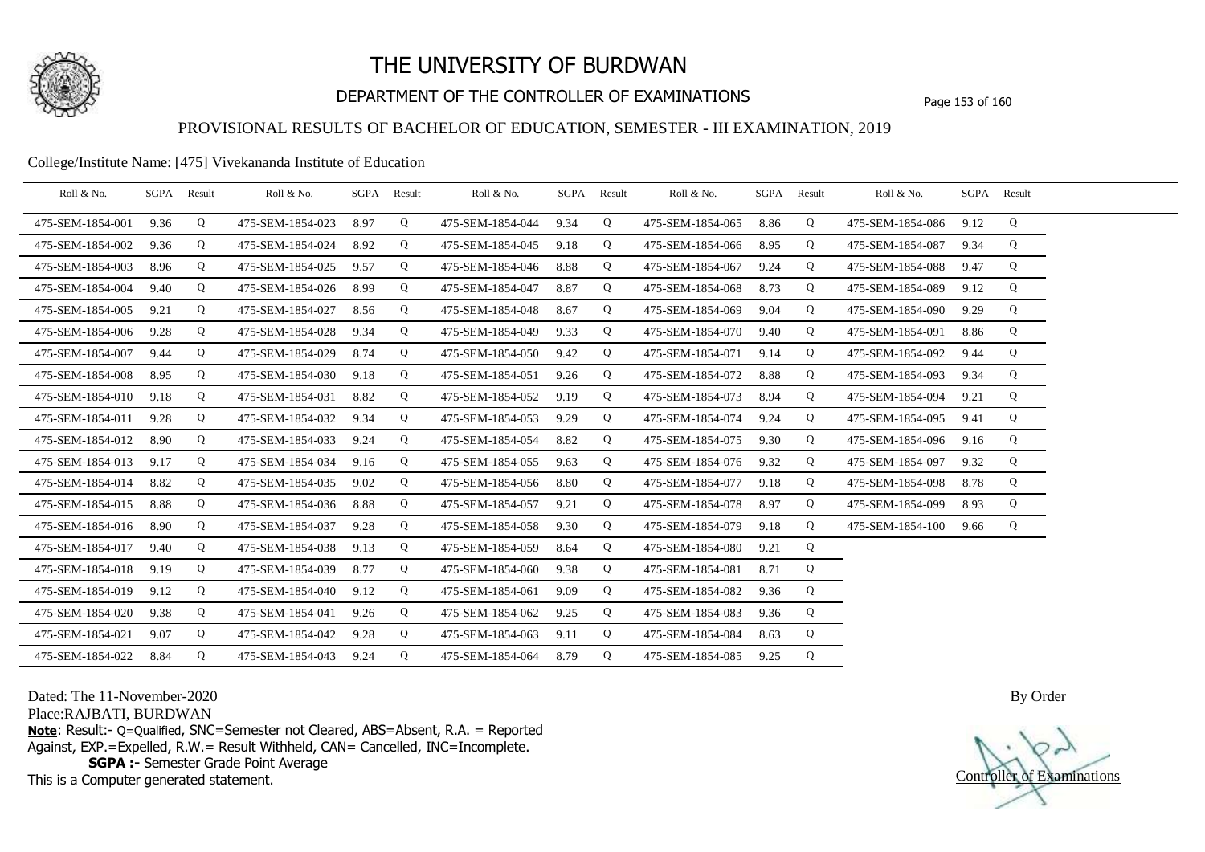

# DEPARTMENT OF THE CONTROLLER OF EXAMINATIONS Page 153 of 160

### PROVISIONAL RESULTS OF BACHELOR OF EDUCATION, SEMESTER - III EXAMINATION, 2019

#### College/Institute Name: [475] Vivekananda Institute of Education

| Roll & No.       | SGPA | Result | Roll & No.       | SGPA Result |   | Roll & No.       | SGPA | Result | Roll & No.       |      | SGPA Result | Roll & No.       |      | SGPA Result |  |
|------------------|------|--------|------------------|-------------|---|------------------|------|--------|------------------|------|-------------|------------------|------|-------------|--|
| 475-SEM-1854-001 | 9.36 | Q      | 475-SEM-1854-023 | 8.97        | Q | 475-SEM-1854-044 | 9.34 | Q      | 475-SEM-1854-065 | 8.86 | Q           | 475-SEM-1854-086 | 9.12 | Q           |  |
| 475-SEM-1854-002 | 9.36 | Q      | 475-SEM-1854-024 | 8.92        | Q | 475-SEM-1854-045 | 9.18 | Q      | 475-SEM-1854-066 | 8.95 | Q           | 475-SEM-1854-087 | 9.34 | Q           |  |
| 475-SEM-1854-003 | 8.96 | Q      | 475-SEM-1854-025 | 9.57        | Q | 475-SEM-1854-046 | 8.88 | Q      | 475-SEM-1854-067 | 9.24 | Q           | 475-SEM-1854-088 | 9.47 | Q           |  |
| 475-SEM-1854-004 | 9.40 | Q      | 475-SEM-1854-026 | 8.99        | Q | 475-SEM-1854-047 | 8.87 | Q      | 475-SEM-1854-068 | 8.73 | Q           | 475-SEM-1854-089 | 9.12 | Q           |  |
| 475-SEM-1854-005 | 9.21 | Q      | 475-SEM-1854-027 | 8.56        | Q | 475-SEM-1854-048 | 8.67 | Q      | 475-SEM-1854-069 | 9.04 | Q           | 475-SEM-1854-090 | 9.29 | Q           |  |
| 475-SEM-1854-006 | 9.28 | Q      | 475-SEM-1854-028 | 9.34        | Q | 475-SEM-1854-049 | 9.33 | Q      | 475-SEM-1854-070 | 9.40 | Q           | 475-SEM-1854-091 | 8.86 | Q           |  |
| 475-SEM-1854-007 | 9.44 | Q      | 475-SEM-1854-029 | 8.74        | Q | 475-SEM-1854-050 | 9.42 | Q      | 475-SEM-1854-071 | 9.14 | Q           | 475-SEM-1854-092 | 9.44 | Q           |  |
| 475-SEM-1854-008 | 8.95 | Q      | 475-SEM-1854-030 | 9.18        | Q | 475-SEM-1854-051 | 9.26 | Q      | 475-SEM-1854-072 | 8.88 | Q           | 475-SEM-1854-093 | 9.34 | Q           |  |
| 475-SEM-1854-010 | 9.18 | Q      | 475-SEM-1854-031 | 8.82        | Q | 475-SEM-1854-052 | 9.19 | Q      | 475-SEM-1854-073 | 8.94 | Q           | 475-SEM-1854-094 | 9.21 | Q           |  |
| 475-SEM-1854-011 | 9.28 | Q      | 475-SEM-1854-032 | 9.34        | Q | 475-SEM-1854-053 | 9.29 | Q      | 475-SEM-1854-074 | 9.24 | Q           | 475-SEM-1854-095 | 9.41 | Q           |  |
| 475-SEM-1854-012 | 8.90 | Q      | 475-SEM-1854-033 | 9.24        | Q | 475-SEM-1854-054 | 8.82 | Q      | 475-SEM-1854-075 | 9.30 | Q           | 475-SEM-1854-096 | 9.16 | Q           |  |
| 475-SEM-1854-013 | 9.17 | Q      | 475-SEM-1854-034 | 9.16        | Q | 475-SEM-1854-055 | 9.63 | Q      | 475-SEM-1854-076 | 9.32 | Q           | 475-SEM-1854-097 | 9.32 | Q           |  |
| 475-SEM-1854-014 | 8.82 | Q      | 475-SEM-1854-035 | 9.02        | Q | 475-SEM-1854-056 | 8.80 | Q      | 475-SEM-1854-077 | 9.18 | Q           | 475-SEM-1854-098 | 8.78 | Q           |  |
| 475-SEM-1854-015 | 8.88 | Q      | 475-SEM-1854-036 | 8.88        | Q | 475-SEM-1854-057 | 9.21 | Q      | 475-SEM-1854-078 | 8.97 | Q           | 475-SEM-1854-099 | 8.93 | Q           |  |
| 475-SEM-1854-016 | 8.90 | Q      | 475-SEM-1854-037 | 9.28        | Q | 475-SEM-1854-058 | 9.30 | Q      | 475-SEM-1854-079 | 9.18 | Q           | 475-SEM-1854-100 | 9.66 | Q           |  |
| 475-SEM-1854-017 | 9.40 | Q      | 475-SEM-1854-038 | 9.13        | Q | 475-SEM-1854-059 | 8.64 | Q      | 475-SEM-1854-080 | 9.21 | Q           |                  |      |             |  |
| 475-SEM-1854-018 | 9.19 | Q      | 475-SEM-1854-039 | 8.77        | Q | 475-SEM-1854-060 | 9.38 | Q      | 475-SEM-1854-081 | 8.71 | Q           |                  |      |             |  |
| 475-SEM-1854-019 | 9.12 | Q      | 475-SEM-1854-040 | 9.12        | Q | 475-SEM-1854-061 | 9.09 | Q      | 475-SEM-1854-082 | 9.36 | Q           |                  |      |             |  |
| 475-SEM-1854-020 | 9.38 | Q      | 475-SEM-1854-041 | 9.26        | Q | 475-SEM-1854-062 | 9.25 | Q      | 475-SEM-1854-083 | 9.36 | Q           |                  |      |             |  |
| 475-SEM-1854-021 | 9.07 | Q      | 475-SEM-1854-042 | 9.28        | Q | 475-SEM-1854-063 | 9.11 | Q      | 475-SEM-1854-084 | 8.63 | Q           |                  |      |             |  |
| 475-SEM-1854-022 | 8.84 | Q      | 475-SEM-1854-043 | 9.24        | Q | 475-SEM-1854-064 | 8.79 | Q      | 475-SEM-1854-085 | 9.25 | Q           |                  |      |             |  |

Dated: The 11-November-2020

Place:RAJBATI, BURDWAN

**Note**: Result:- Q=Qualified, SNC=Semester not Cleared, ABS=Absent, R.A. = Reported Against, EXP.=Expelled, R.W.= Result Withheld, CAN= Cancelled, INC=Incomplete. **SGPA :-** Semester Grade Point Average

This is a Computer generated statement.

Controller of Examinations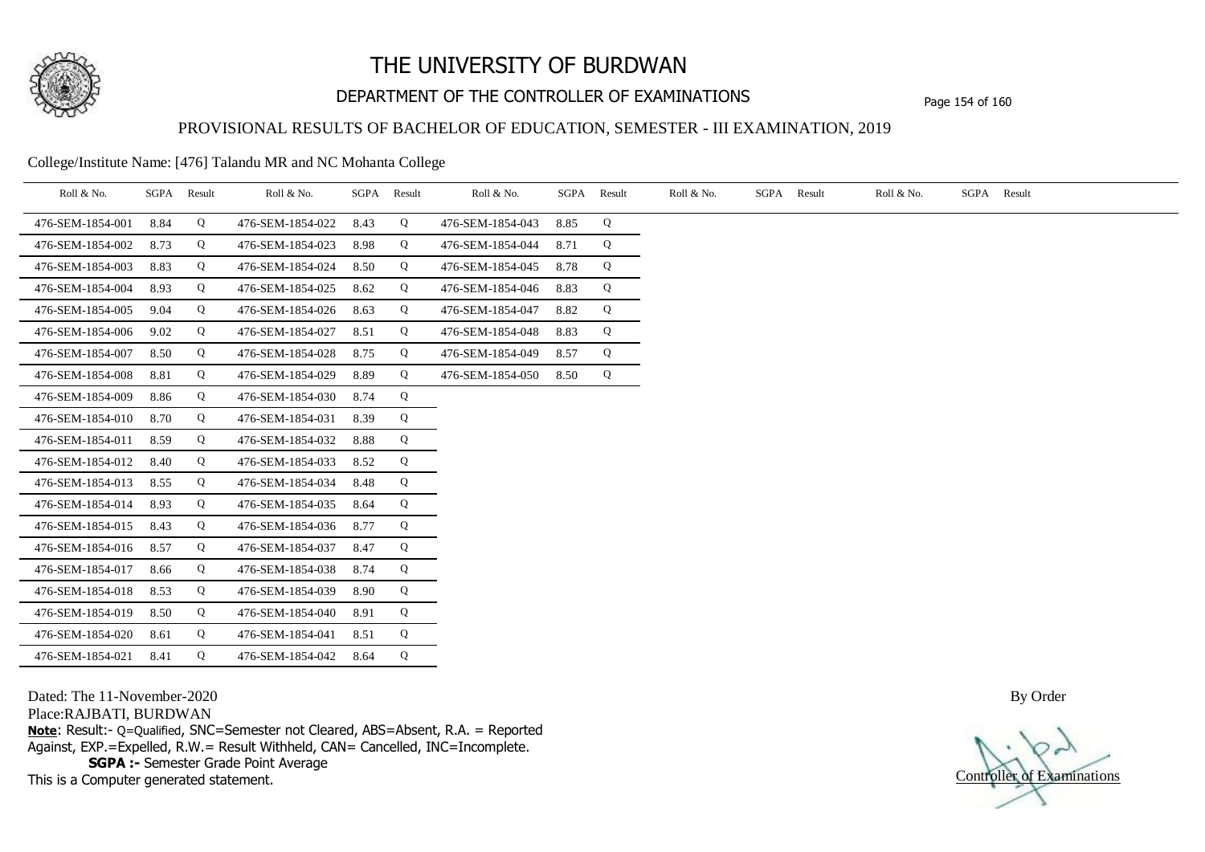

# DEPARTMENT OF THE CONTROLLER OF EXAMINATIONS Page 154 of 160

### PROVISIONAL RESULTS OF BACHELOR OF EDUCATION, SEMESTER - III EXAMINATION, 2019

College/Institute Name: [476] Talandu MR and NC Mohanta College

| Roll & No.       | SGPA | Result | Roll & No.       |      | SGPA Result | Roll & No.       | SGPA | Result | Roll & No. | SGPA Result | Roll & No. | SGPA Result |
|------------------|------|--------|------------------|------|-------------|------------------|------|--------|------------|-------------|------------|-------------|
| 476-SEM-1854-001 | 8.84 | Q      | 476-SEM-1854-022 | 8.43 | Q           | 476-SEM-1854-043 | 8.85 | Q      |            |             |            |             |
| 476-SEM-1854-002 | 8.73 | Q      | 476-SEM-1854-023 | 8.98 | Q           | 476-SEM-1854-044 | 8.71 | Q      |            |             |            |             |
| 476-SEM-1854-003 | 8.83 | Q      | 476-SEM-1854-024 | 8.50 | Q           | 476-SEM-1854-045 | 8.78 | Q      |            |             |            |             |
| 476-SEM-1854-004 | 8.93 | Q      | 476-SEM-1854-025 | 8.62 | Q           | 476-SEM-1854-046 | 8.83 | Q      |            |             |            |             |
| 476-SEM-1854-005 | 9.04 | Q      | 476-SEM-1854-026 | 8.63 | Q           | 476-SEM-1854-047 | 8.82 | Q      |            |             |            |             |
| 476-SEM-1854-006 | 9.02 | Q      | 476-SEM-1854-027 | 8.51 | Q           | 476-SEM-1854-048 | 8.83 | Q      |            |             |            |             |
| 476-SEM-1854-007 | 8.50 | Q      | 476-SEM-1854-028 | 8.75 | Q           | 476-SEM-1854-049 | 8.57 | Q      |            |             |            |             |
| 476-SEM-1854-008 | 8.81 | Q      | 476-SEM-1854-029 | 8.89 | Q           | 476-SEM-1854-050 | 8.50 | Q      |            |             |            |             |
| 476-SEM-1854-009 | 8.86 | Q      | 476-SEM-1854-030 | 8.74 | Q           |                  |      |        |            |             |            |             |
| 476-SEM-1854-010 | 8.70 | Q      | 476-SEM-1854-031 | 8.39 | Q           |                  |      |        |            |             |            |             |
| 476-SEM-1854-011 | 8.59 | Q      | 476-SEM-1854-032 | 8.88 | Q           |                  |      |        |            |             |            |             |
| 476-SEM-1854-012 | 8.40 | Q      | 476-SEM-1854-033 | 8.52 | Q           |                  |      |        |            |             |            |             |
| 476-SEM-1854-013 | 8.55 | Q      | 476-SEM-1854-034 | 8.48 | Q           |                  |      |        |            |             |            |             |
| 476-SEM-1854-014 | 8.93 | Q      | 476-SEM-1854-035 | 8.64 | Q           |                  |      |        |            |             |            |             |
| 476-SEM-1854-015 | 8.43 | Q      | 476-SEM-1854-036 | 8.77 | Q           |                  |      |        |            |             |            |             |
| 476-SEM-1854-016 | 8.57 | Q      | 476-SEM-1854-037 | 8.47 | Q           |                  |      |        |            |             |            |             |
| 476-SEM-1854-017 | 8.66 | Q      | 476-SEM-1854-038 | 8.74 | Q           |                  |      |        |            |             |            |             |
| 476-SEM-1854-018 | 8.53 | Q      | 476-SEM-1854-039 | 8.90 | Q           |                  |      |        |            |             |            |             |
| 476-SEM-1854-019 | 8.50 | Q      | 476-SEM-1854-040 | 8.91 | Q           |                  |      |        |            |             |            |             |
| 476-SEM-1854-020 | 8.61 | Q      | 476-SEM-1854-041 | 8.51 | Q           |                  |      |        |            |             |            |             |
| 476-SEM-1854-021 | 8.41 | Q      | 476-SEM-1854-042 | 8.64 | Q           |                  |      |        |            |             |            |             |

Dated: The 11-November-2020

Place:RAJBATI, BURDWAN

**Note**: Result:- Q=Qualified, SNC=Semester not Cleared, ABS=Absent, R.A. = Reported Against, EXP.=Expelled, R.W.= Result Withheld, CAN= Cancelled, INC=Incomplete. **SGPA :-** Semester Grade Point Average

This is a Computer generated statement.

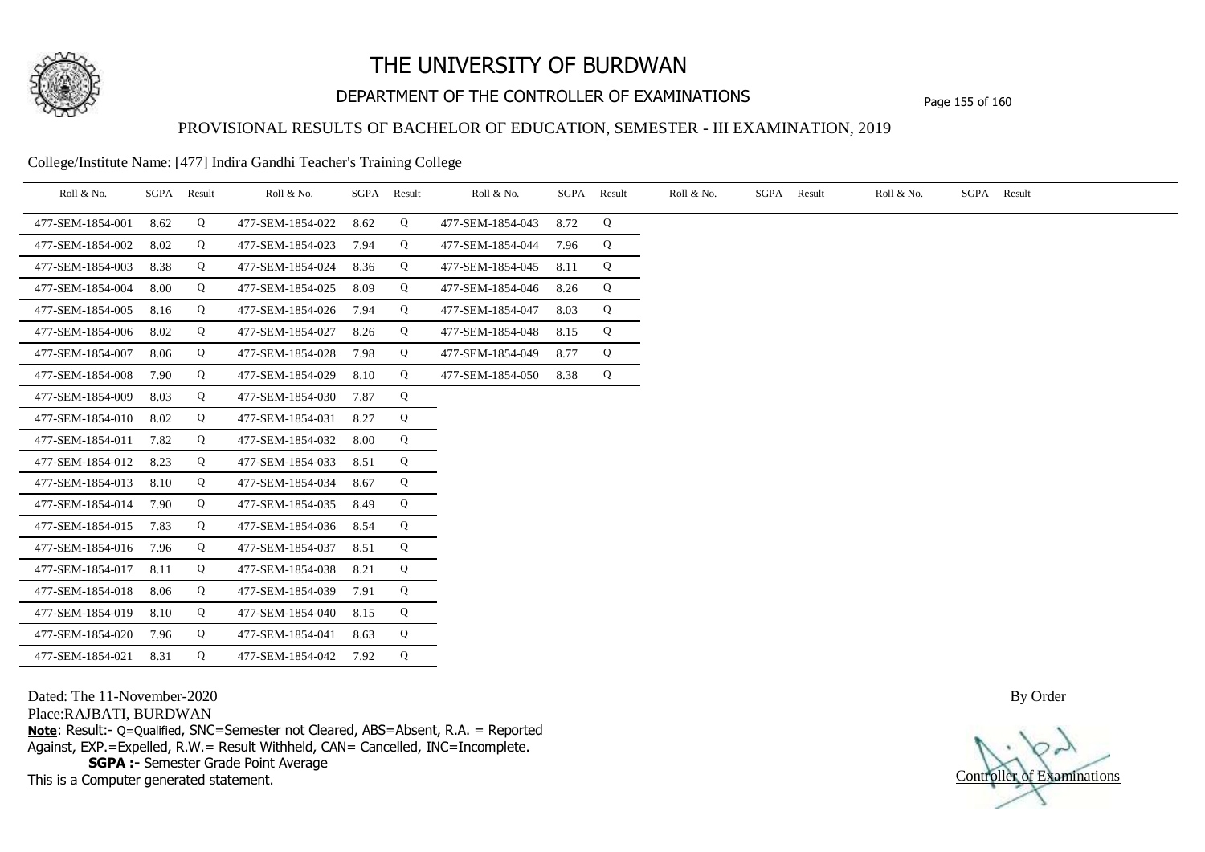

# DEPARTMENT OF THE CONTROLLER OF EXAMINATIONS Page 155 of 160

### PROVISIONAL RESULTS OF BACHELOR OF EDUCATION, SEMESTER - III EXAMINATION, 2019

College/Institute Name: [477] Indira Gandhi Teacher's Training College

| Roll & No.       | SGPA Result |   | Roll & No.       |      | SGPA Result | Roll & No.       | SGPA Result |   | Roll & No. | SGPA Result | Roll & No. | SGPA Result |
|------------------|-------------|---|------------------|------|-------------|------------------|-------------|---|------------|-------------|------------|-------------|
| 477-SEM-1854-001 | 8.62        | Q | 477-SEM-1854-022 | 8.62 | Q           | 477-SEM-1854-043 | 8.72        | Q |            |             |            |             |
| 477-SEM-1854-002 | 8.02        | Q | 477-SEM-1854-023 | 7.94 | Q           | 477-SEM-1854-044 | 7.96        | Q |            |             |            |             |
| 477-SEM-1854-003 | 8.38        | Q | 477-SEM-1854-024 | 8.36 | Q           | 477-SEM-1854-045 | 8.11        | Q |            |             |            |             |
| 477-SEM-1854-004 | 8.00        | Q | 477-SEM-1854-025 | 8.09 | Q           | 477-SEM-1854-046 | 8.26        | Q |            |             |            |             |
| 477-SEM-1854-005 | 8.16        | Q | 477-SEM-1854-026 | 7.94 | Q           | 477-SEM-1854-047 | 8.03        | Q |            |             |            |             |
| 477-SEM-1854-006 | 8.02        | Q | 477-SEM-1854-027 | 8.26 | Q           | 477-SEM-1854-048 | 8.15        | Q |            |             |            |             |
| 477-SEM-1854-007 | 8.06        | Q | 477-SEM-1854-028 | 7.98 | Q           | 477-SEM-1854-049 | 8.77        | Q |            |             |            |             |
| 477-SEM-1854-008 | 7.90        | Q | 477-SEM-1854-029 | 8.10 | Q           | 477-SEM-1854-050 | 8.38        | Q |            |             |            |             |
| 477-SEM-1854-009 | 8.03        | Q | 477-SEM-1854-030 | 7.87 | Q           |                  |             |   |            |             |            |             |
| 477-SEM-1854-010 | 8.02        | Q | 477-SEM-1854-031 | 8.27 | Q           |                  |             |   |            |             |            |             |
| 477-SEM-1854-011 | 7.82        | Q | 477-SEM-1854-032 | 8.00 | Q           |                  |             |   |            |             |            |             |
| 477-SEM-1854-012 | 8.23        | Q | 477-SEM-1854-033 | 8.51 | Q           |                  |             |   |            |             |            |             |
| 477-SEM-1854-013 | 8.10        | Q | 477-SEM-1854-034 | 8.67 | Q           |                  |             |   |            |             |            |             |
| 477-SEM-1854-014 | 7.90        | Q | 477-SEM-1854-035 | 8.49 | Q           |                  |             |   |            |             |            |             |
| 477-SEM-1854-015 | 7.83        | Q | 477-SEM-1854-036 | 8.54 | Q           |                  |             |   |            |             |            |             |
| 477-SEM-1854-016 | 7.96        | Q | 477-SEM-1854-037 | 8.51 | Q           |                  |             |   |            |             |            |             |
| 477-SEM-1854-017 | 8.11        | Q | 477-SEM-1854-038 | 8.21 | Q           |                  |             |   |            |             |            |             |
| 477-SEM-1854-018 | 8.06        | Q | 477-SEM-1854-039 | 7.91 | Q           |                  |             |   |            |             |            |             |
| 477-SEM-1854-019 | 8.10        | Q | 477-SEM-1854-040 | 8.15 | Q           |                  |             |   |            |             |            |             |
| 477-SEM-1854-020 | 7.96        | Q | 477-SEM-1854-041 | 8.63 | Q           |                  |             |   |            |             |            |             |
| 477-SEM-1854-021 | 8.31        | Q | 477-SEM-1854-042 | 7.92 | Q           |                  |             |   |            |             |            |             |

Dated: The 11-November-2020

Place:RAJBATI, BURDWAN

**Note**: Result:- Q=Qualified, SNC=Semester not Cleared, ABS=Absent, R.A. = Reported Against, EXP.=Expelled, R.W.= Result Withheld, CAN= Cancelled, INC=Incomplete. **SGPA :-** Semester Grade Point Average

This is a Computer generated statement.

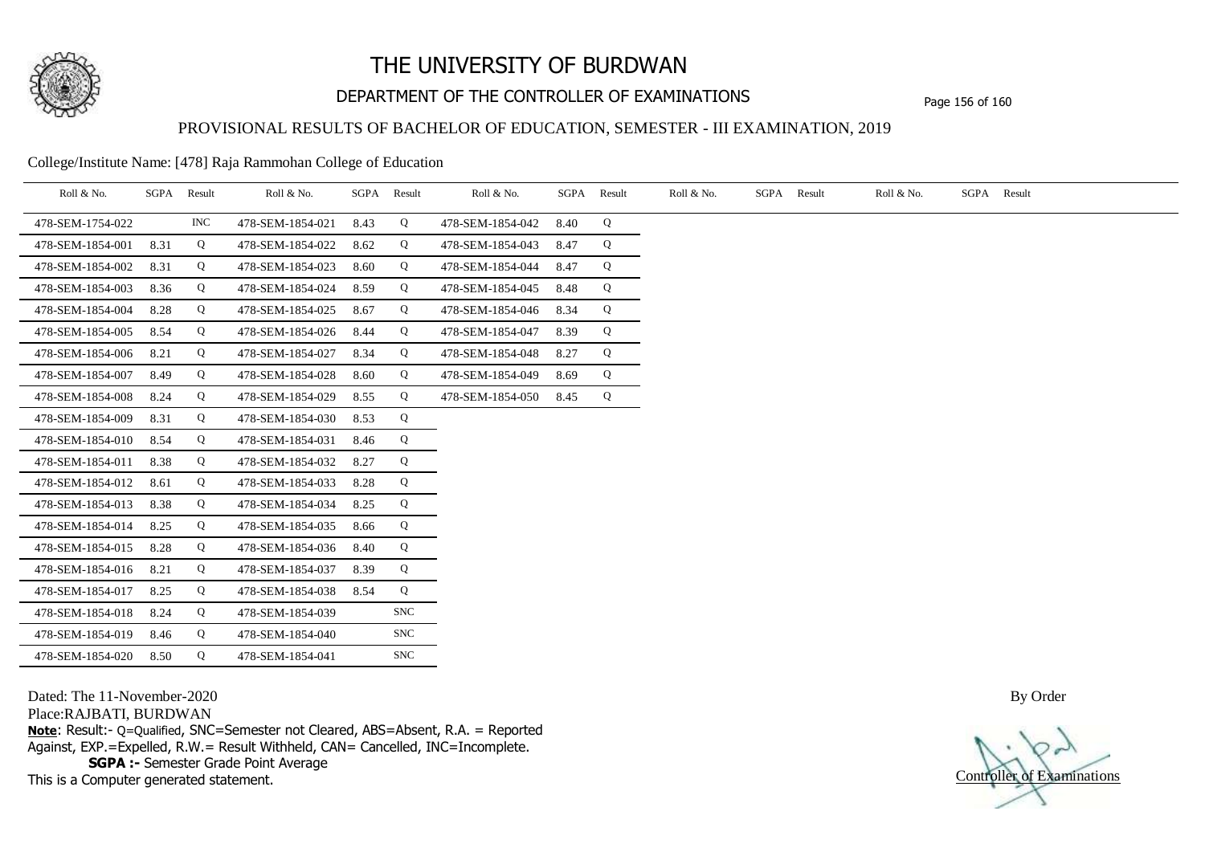

# DEPARTMENT OF THE CONTROLLER OF EXAMINATIONS Page 156 of 160

### PROVISIONAL RESULTS OF BACHELOR OF EDUCATION, SEMESTER - III EXAMINATION, 2019

College/Institute Name: [478] Raja Rammohan College of Education

| Roll & No.       | SGPA | Result | Roll & No.       |      | SGPA Result | Roll & No.       |      | SGPA Result | Roll & No. | SGPA Result | Roll & No. | SGPA Result |
|------------------|------|--------|------------------|------|-------------|------------------|------|-------------|------------|-------------|------------|-------------|
| 478-SEM-1754-022 |      | INC    | 478-SEM-1854-021 | 8.43 | Q           | 478-SEM-1854-042 | 8.40 | Q           |            |             |            |             |
| 478-SEM-1854-001 | 8.31 | Q      | 478-SEM-1854-022 | 8.62 | Q           | 478-SEM-1854-043 | 8.47 | Q           |            |             |            |             |
| 478-SEM-1854-002 | 8.31 | Q      | 478-SEM-1854-023 | 8.60 | Q           | 478-SEM-1854-044 | 8.47 | Q           |            |             |            |             |
| 478-SEM-1854-003 | 8.36 | Q      | 478-SEM-1854-024 | 8.59 | Q           | 478-SEM-1854-045 | 8.48 | Q           |            |             |            |             |
| 478-SEM-1854-004 | 8.28 | Q      | 478-SEM-1854-025 | 8.67 | Q           | 478-SEM-1854-046 | 8.34 | Q           |            |             |            |             |
| 478-SEM-1854-005 | 8.54 | Q      | 478-SEM-1854-026 | 8.44 | Q           | 478-SEM-1854-047 | 8.39 | Q           |            |             |            |             |
| 478-SEM-1854-006 | 8.21 | Q      | 478-SEM-1854-027 | 8.34 | Q           | 478-SEM-1854-048 | 8.27 | Q           |            |             |            |             |
| 478-SEM-1854-007 | 8.49 | Q      | 478-SEM-1854-028 | 8.60 | Q           | 478-SEM-1854-049 | 8.69 | Q           |            |             |            |             |
| 478-SEM-1854-008 | 8.24 | Q      | 478-SEM-1854-029 | 8.55 | Q           | 478-SEM-1854-050 | 8.45 | Q           |            |             |            |             |
| 478-SEM-1854-009 | 8.31 | Q      | 478-SEM-1854-030 | 8.53 | Q           |                  |      |             |            |             |            |             |
| 478-SEM-1854-010 | 8.54 | Q      | 478-SEM-1854-031 | 8.46 | Q           |                  |      |             |            |             |            |             |
| 478-SEM-1854-011 | 8.38 | Q      | 478-SEM-1854-032 | 8.27 | Q           |                  |      |             |            |             |            |             |
| 478-SEM-1854-012 | 8.61 | Q      | 478-SEM-1854-033 | 8.28 | Q           |                  |      |             |            |             |            |             |
| 478-SEM-1854-013 | 8.38 | Q      | 478-SEM-1854-034 | 8.25 | Q           |                  |      |             |            |             |            |             |
| 478-SEM-1854-014 | 8.25 | Q      | 478-SEM-1854-035 | 8.66 | Q           |                  |      |             |            |             |            |             |
| 478-SEM-1854-015 | 8.28 | Q      | 478-SEM-1854-036 | 8.40 | Q           |                  |      |             |            |             |            |             |
| 478-SEM-1854-016 | 8.21 | Q      | 478-SEM-1854-037 | 8.39 | Q           |                  |      |             |            |             |            |             |
| 478-SEM-1854-017 | 8.25 | Q      | 478-SEM-1854-038 | 8.54 | Q           |                  |      |             |            |             |            |             |
| 478-SEM-1854-018 | 8.24 | Q      | 478-SEM-1854-039 |      | <b>SNC</b>  |                  |      |             |            |             |            |             |
| 478-SEM-1854-019 | 8.46 | Q      | 478-SEM-1854-040 |      | <b>SNC</b>  |                  |      |             |            |             |            |             |
| 478-SEM-1854-020 | 8.50 | Q      | 478-SEM-1854-041 |      | <b>SNC</b>  |                  |      |             |            |             |            |             |

Dated: The 11-November-2020

Place:RAJBATI, BURDWAN

**Note**: Result:- Q=Qualified, SNC=Semester not Cleared, ABS=Absent, R.A. = Reported Against, EXP.=Expelled, R.W.= Result Withheld, CAN= Cancelled, INC=Incomplete. **SGPA :-** Semester Grade Point Average

This is a Computer generated statement.

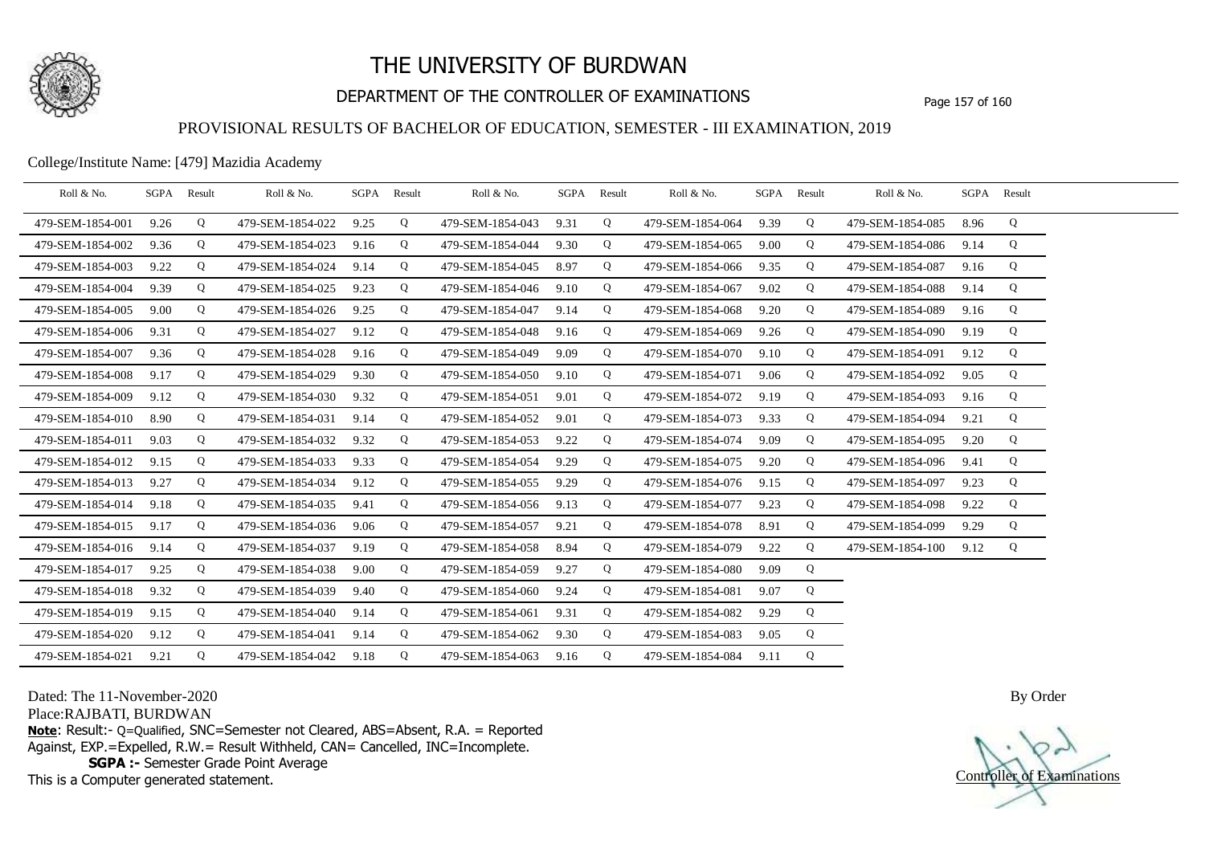

# DEPARTMENT OF THE CONTROLLER OF EXAMINATIONS Page 157 of 160

### PROVISIONAL RESULTS OF BACHELOR OF EDUCATION, SEMESTER - III EXAMINATION, 2019

College/Institute Name: [479] Mazidia Academy

| Roll & No.       | SGPA Result |   | Roll & No.       |      | SGPA Result | Roll & No.       | SGPA Result |   | Roll & No.       |      | SGPA Result | Roll & No.       | SGPA Result |   |  |
|------------------|-------------|---|------------------|------|-------------|------------------|-------------|---|------------------|------|-------------|------------------|-------------|---|--|
| 479-SEM-1854-001 | 9.26        | Q | 479-SEM-1854-022 | 9.25 | Q           | 479-SEM-1854-043 | 9.31        | Q | 479-SEM-1854-064 | 9.39 | Q           | 479-SEM-1854-085 | 8.96        | Q |  |
| 479-SEM-1854-002 | 9.36        | Q | 479-SEM-1854-023 | 9.16 | Q           | 479-SEM-1854-044 | 9.30        | Q | 479-SEM-1854-065 | 9.00 | Q           | 479-SEM-1854-086 | 9.14        | Q |  |
| 479-SEM-1854-003 | 9.22        | Q | 479-SEM-1854-024 | 9.14 | Q           | 479-SEM-1854-045 | 8.97        | Q | 479-SEM-1854-066 | 9.35 | Q           | 479-SEM-1854-087 | 9.16        | Q |  |
| 479-SEM-1854-004 | 9.39        | Q | 479-SEM-1854-025 | 9.23 | Q           | 479-SEM-1854-046 | 9.10        | Q | 479-SEM-1854-067 | 9.02 | Q           | 479-SEM-1854-088 | 9.14        | Q |  |
| 479-SEM-1854-005 | 9.00        | Q | 479-SEM-1854-026 | 9.25 | Q           | 479-SEM-1854-047 | 9.14        | Q | 479-SEM-1854-068 | 9.20 | Q           | 479-SEM-1854-089 | 9.16        | Q |  |
| 479-SEM-1854-006 | 9.31        | Q | 479-SEM-1854-027 | 9.12 | Q           | 479-SEM-1854-048 | 9.16        | Q | 479-SEM-1854-069 | 9.26 | Q           | 479-SEM-1854-090 | 9.19        | Q |  |
| 479-SEM-1854-007 | 9.36        | Q | 479-SEM-1854-028 | 9.16 | Q           | 479-SEM-1854-049 | 9.09        | Q | 479-SEM-1854-070 | 9.10 | Q           | 479-SEM-1854-091 | 9.12        | Q |  |
| 479-SEM-1854-008 | 9.17        | Q | 479-SEM-1854-029 | 9.30 | Q           | 479-SEM-1854-050 | 9.10        | Q | 479-SEM-1854-071 | 9.06 | Q           | 479-SEM-1854-092 | 9.05        | Q |  |
| 479-SEM-1854-009 | 9.12        | Q | 479-SEM-1854-030 | 9.32 | Q           | 479-SEM-1854-051 | 9.01        | Q | 479-SEM-1854-072 | 9.19 | Q           | 479-SEM-1854-093 | 9.16        | Q |  |
| 479-SEM-1854-010 | 8.90        | Q | 479-SEM-1854-031 | 9.14 | Q           | 479-SEM-1854-052 | 9.01        | Q | 479-SEM-1854-073 | 9.33 | Q           | 479-SEM-1854-094 | 9.21        | Q |  |
| 479-SEM-1854-011 | 9.03        | Q | 479-SEM-1854-032 | 9.32 | Q           | 479-SEM-1854-053 | 9.22        | Q | 479-SEM-1854-074 | 9.09 | Q           | 479-SEM-1854-095 | 9.20        | Q |  |
| 479-SEM-1854-012 | 9.15        | Q | 479-SEM-1854-033 | 9.33 | Q           | 479-SEM-1854-054 | 9.29        | Q | 479-SEM-1854-075 | 9.20 | Q           | 479-SEM-1854-096 | 9.41        | Q |  |
| 479-SEM-1854-013 | 9.27        | Q | 479-SEM-1854-034 | 9.12 | Q           | 479-SEM-1854-055 | 9.29        | Q | 479-SEM-1854-076 | 9.15 | Q           | 479-SEM-1854-097 | 9.23        | Q |  |
| 479-SEM-1854-014 | 9.18        | Q | 479-SEM-1854-035 | 9.41 | Q           | 479-SEM-1854-056 | 9.13        | Q | 479-SEM-1854-077 | 9.23 | Q           | 479-SEM-1854-098 | 9.22        | Q |  |
| 479-SEM-1854-015 | 9.17        | Q | 479-SEM-1854-036 | 9.06 | Q           | 479-SEM-1854-057 | 9.21        | Q | 479-SEM-1854-078 | 8.91 | Q           | 479-SEM-1854-099 | 9.29        | Q |  |
| 479-SEM-1854-016 | 9.14        | Q | 479-SEM-1854-037 | 9.19 | Q           | 479-SEM-1854-058 | 8.94        | Q | 479-SEM-1854-079 | 9.22 | Q           | 479-SEM-1854-100 | 9.12        | Q |  |
| 479-SEM-1854-017 | 9.25        | Q | 479-SEM-1854-038 | 9.00 | Q           | 479-SEM-1854-059 | 9.27        | Q | 479-SEM-1854-080 | 9.09 | Q           |                  |             |   |  |
| 479-SEM-1854-018 | 9.32        | Q | 479-SEM-1854-039 | 9.40 | Q           | 479-SEM-1854-060 | 9.24        | Q | 479-SEM-1854-081 | 9.07 | Q           |                  |             |   |  |
| 479-SEM-1854-019 | 9.15        | Q | 479-SEM-1854-040 | 9.14 | Q           | 479-SEM-1854-061 | 9.31        | Q | 479-SEM-1854-082 | 9.29 | Q           |                  |             |   |  |
| 479-SEM-1854-020 | 9.12        | Q | 479-SEM-1854-041 | 9.14 | Q           | 479-SEM-1854-062 | 9.30        | Q | 479-SEM-1854-083 | 9.05 | Q           |                  |             |   |  |
| 479-SEM-1854-021 | 9.21        | Q | 479-SEM-1854-042 | 9.18 | Q           | 479-SEM-1854-063 | 9.16        | Q | 479-SEM-1854-084 | 9.11 | Q           |                  |             |   |  |

Dated: The 11-November-2020

Place:RAJBATI, BURDWAN

**Note**: Result:- Q=Qualified, SNC=Semester not Cleared, ABS=Absent, R.A. = Reported Against, EXP.=Expelled, R.W.= Result Withheld, CAN= Cancelled, INC=Incomplete. **SGPA :-** Semester Grade Point Average

This is a Computer generated statement.

Controller of Examinations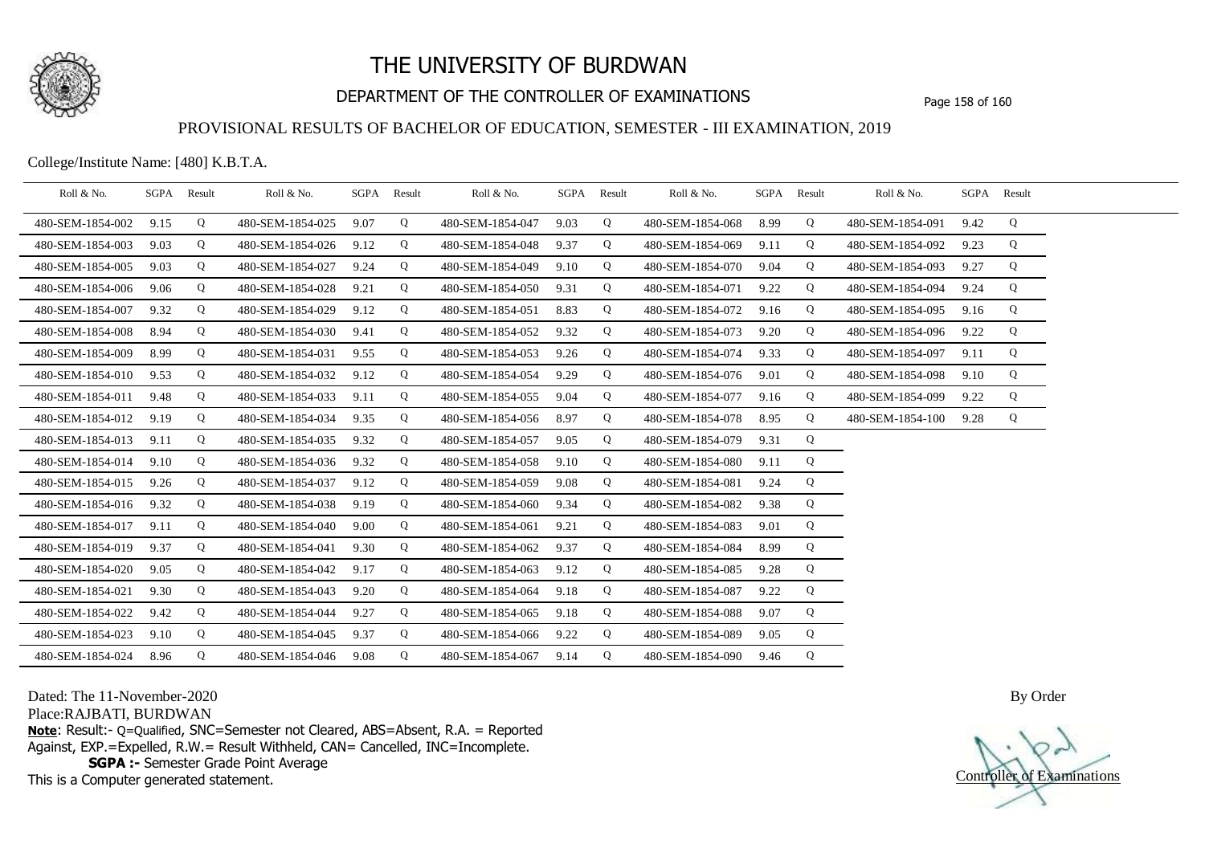

# DEPARTMENT OF THE CONTROLLER OF EXAMINATIONS Page 158 of 160

### PROVISIONAL RESULTS OF BACHELOR OF EDUCATION, SEMESTER - III EXAMINATION, 2019

College/Institute Name: [480] K.B.T.A.

| Roll & No.       | SGPA | Result | Roll & No.       |      | SGPA Result | Roll & No.       | SGPA | Result | Roll & No.       | SGPA | Result | Roll & No.       |      | SGPA Result |  |
|------------------|------|--------|------------------|------|-------------|------------------|------|--------|------------------|------|--------|------------------|------|-------------|--|
| 480-SEM-1854-002 | 9.15 | Q      | 480-SEM-1854-025 | 9.07 | Q           | 480-SEM-1854-047 | 9.03 | Q      | 480-SEM-1854-068 | 8.99 | Q      | 480-SEM-1854-091 | 9.42 | Q           |  |
| 480-SEM-1854-003 | 9.03 | Q      | 480-SEM-1854-026 | 9.12 | Q           | 480-SEM-1854-048 | 9.37 | Q      | 480-SEM-1854-069 | 9.11 | Q      | 480-SEM-1854-092 | 9.23 | Q           |  |
| 480-SEM-1854-005 | 9.03 | Q      | 480-SEM-1854-027 | 9.24 | Q           | 480-SEM-1854-049 | 9.10 | Q      | 480-SEM-1854-070 | 9.04 | Q      | 480-SEM-1854-093 | 9.27 | Q           |  |
| 480-SEM-1854-006 | 9.06 | Q      | 480-SEM-1854-028 | 9.21 | Q           | 480-SEM-1854-050 | 9.31 | Q      | 480-SEM-1854-071 | 9.22 | Q      | 480-SEM-1854-094 | 9.24 | Q           |  |
| 480-SEM-1854-007 | 9.32 | Q      | 480-SEM-1854-029 | 9.12 | Q           | 480-SEM-1854-051 | 8.83 | Q      | 480-SEM-1854-072 | 9.16 | Q      | 480-SEM-1854-095 | 9.16 | Q           |  |
| 480-SEM-1854-008 | 8.94 | Q      | 480-SEM-1854-030 | 9.41 | Q           | 480-SEM-1854-052 | 9.32 | Q      | 480-SEM-1854-073 | 9.20 | Q      | 480-SEM-1854-096 | 9.22 | Q           |  |
| 480-SEM-1854-009 | 8.99 | Q      | 480-SEM-1854-031 | 9.55 | Q           | 480-SEM-1854-053 | 9.26 | Q      | 480-SEM-1854-074 | 9.33 | Q      | 480-SEM-1854-097 | 9.11 | Q           |  |
| 480-SEM-1854-010 | 9.53 | Q      | 480-SEM-1854-032 | 9.12 | Q           | 480-SEM-1854-054 | 9.29 | Q      | 480-SEM-1854-076 | 9.01 | Q      | 480-SEM-1854-098 | 9.10 | Q           |  |
| 480-SEM-1854-011 | 9.48 | Q      | 480-SEM-1854-033 | 9.11 | Q           | 480-SEM-1854-055 | 9.04 | Q      | 480-SEM-1854-077 | 9.16 | Q      | 480-SEM-1854-099 | 9.22 | Q           |  |
| 480-SEM-1854-012 | 9.19 | Q      | 480-SEM-1854-034 | 9.35 | Q           | 480-SEM-1854-056 | 8.97 | Q      | 480-SEM-1854-078 | 8.95 | Q      | 480-SEM-1854-100 | 9.28 | Q           |  |
| 480-SEM-1854-013 | 9.11 | Q      | 480-SEM-1854-035 | 9.32 | Q           | 480-SEM-1854-057 | 9.05 | Q      | 480-SEM-1854-079 | 9.31 | Q      |                  |      |             |  |
| 480-SEM-1854-014 | 9.10 | Q      | 480-SEM-1854-036 | 9.32 | Q           | 480-SEM-1854-058 | 9.10 | Q      | 480-SEM-1854-080 | 9.11 | Q      |                  |      |             |  |
| 480-SEM-1854-015 | 9.26 | Q      | 480-SEM-1854-037 | 9.12 | Q           | 480-SEM-1854-059 | 9.08 | Q      | 480-SEM-1854-081 | 9.24 | Q      |                  |      |             |  |
| 480-SEM-1854-016 | 9.32 | Q      | 480-SEM-1854-038 | 9.19 | Q           | 480-SEM-1854-060 | 9.34 | Q      | 480-SEM-1854-082 | 9.38 | Q      |                  |      |             |  |
| 480-SEM-1854-017 | 9.11 | Q      | 480-SEM-1854-040 | 9.00 | Q           | 480-SEM-1854-061 | 9.21 | Q      | 480-SEM-1854-083 | 9.01 | Q      |                  |      |             |  |
| 480-SEM-1854-019 | 9.37 | Q      | 480-SEM-1854-041 | 9.30 | Q           | 480-SEM-1854-062 | 9.37 | Q      | 480-SEM-1854-084 | 8.99 | Q      |                  |      |             |  |
| 480-SEM-1854-020 | 9.05 | Q      | 480-SEM-1854-042 | 9.17 | Q           | 480-SEM-1854-063 | 9.12 | Q      | 480-SEM-1854-085 | 9.28 | Q      |                  |      |             |  |
| 480-SEM-1854-021 | 9.30 | Q      | 480-SEM-1854-043 | 9.20 | Q           | 480-SEM-1854-064 | 9.18 | Q      | 480-SEM-1854-087 | 9.22 | Q      |                  |      |             |  |
| 480-SEM-1854-022 | 9.42 | Q      | 480-SEM-1854-044 | 9.27 | Q           | 480-SEM-1854-065 | 9.18 | Q      | 480-SEM-1854-088 | 9.07 | Q      |                  |      |             |  |
| 480-SEM-1854-023 | 9.10 | Q      | 480-SEM-1854-045 | 9.37 | Q           | 480-SEM-1854-066 | 9.22 | Q      | 480-SEM-1854-089 | 9.05 | Q      |                  |      |             |  |
| 480-SEM-1854-024 | 8.96 | Q      | 480-SEM-1854-046 | 9.08 | Q           | 480-SEM-1854-067 | 9.14 | Q      | 480-SEM-1854-090 | 9.46 | Q      |                  |      |             |  |

Dated: The 11-November-2020

Place:RAJBATI, BURDWAN

**Note**: Result:- Q=Qualified, SNC=Semester not Cleared, ABS=Absent, R.A. = Reported Against, EXP.=Expelled, R.W.= Result Withheld, CAN= Cancelled, INC=Incomplete. **SGPA :-** Semester Grade Point Average

This is a Computer generated statement.

Controller of Examinations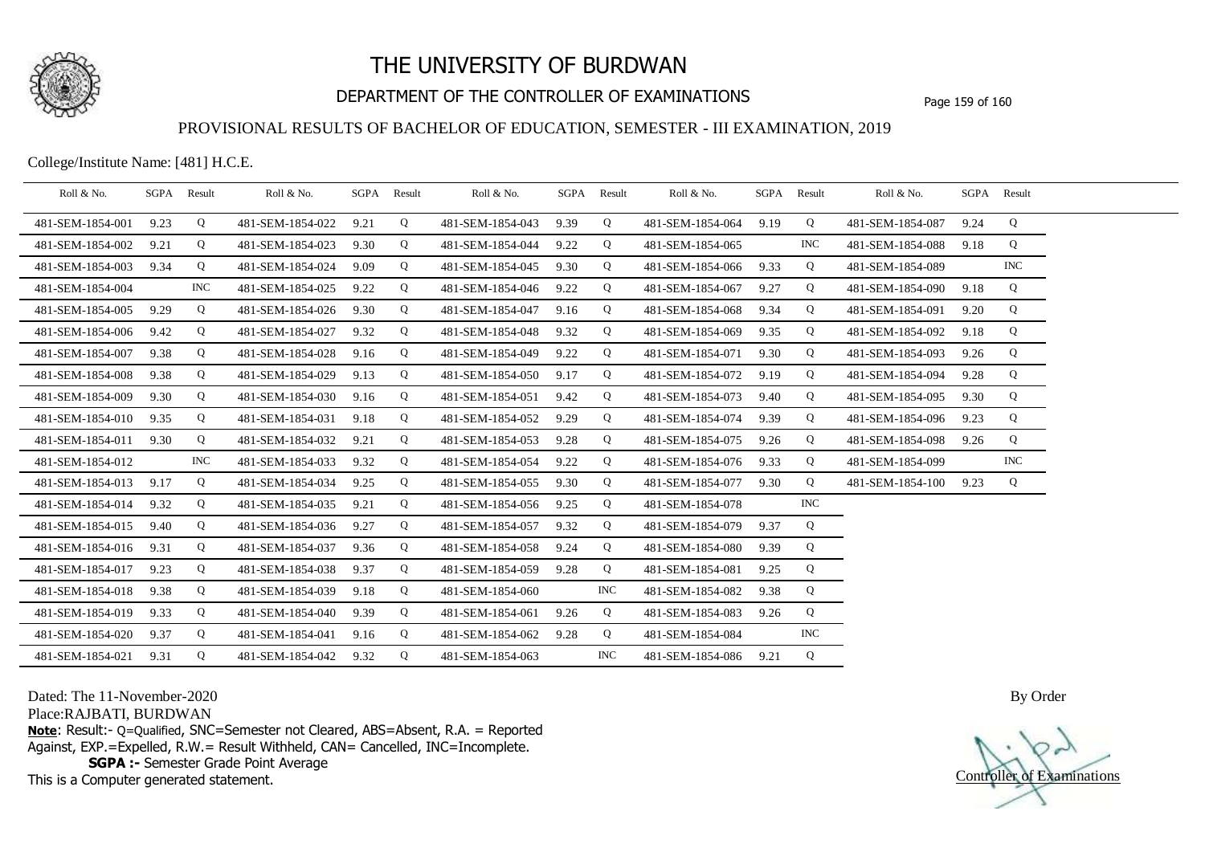

# DEPARTMENT OF THE CONTROLLER OF EXAMINATIONS Page 159 of 160

### PROVISIONAL RESULTS OF BACHELOR OF EDUCATION, SEMESTER - III EXAMINATION, 2019

College/Institute Name: [481] H.C.E.

| Roll & No.       |      | SGPA Result | Roll & No.       |      | SGPA Result | Roll & No.       |      | SGPA Result | Roll & No.       |      | SGPA Result | Roll & No.       |      | SGPA Result |  |
|------------------|------|-------------|------------------|------|-------------|------------------|------|-------------|------------------|------|-------------|------------------|------|-------------|--|
| 481-SEM-1854-001 | 9.23 | Q           | 481-SEM-1854-022 | 9.21 | Q           | 481-SEM-1854-043 | 9.39 | Q           | 481-SEM-1854-064 | 9.19 | Q           | 481-SEM-1854-087 | 9.24 | Q           |  |
| 481-SEM-1854-002 | 9.21 | Q           | 481-SEM-1854-023 | 9.30 | Q           | 481-SEM-1854-044 | 9.22 | Q           | 481-SEM-1854-065 |      | INC         | 481-SEM-1854-088 | 9.18 | Q           |  |
| 481-SEM-1854-003 | 9.34 | Q           | 481-SEM-1854-024 | 9.09 | Q           | 481-SEM-1854-045 | 9.30 | Q           | 481-SEM-1854-066 | 9.33 | Q           | 481-SEM-1854-089 |      | <b>INC</b>  |  |
| 481-SEM-1854-004 |      | INC.        | 481-SEM-1854-025 | 9.22 | Q           | 481-SEM-1854-046 | 9.22 | Q           | 481-SEM-1854-067 | 9.27 | Q           | 481-SEM-1854-090 | 9.18 | Q           |  |
| 481-SEM-1854-005 | 9.29 | Q           | 481-SEM-1854-026 | 9.30 | Q           | 481-SEM-1854-047 | 9.16 | Q           | 481-SEM-1854-068 | 9.34 | Q           | 481-SEM-1854-091 | 9.20 | Q           |  |
| 481-SEM-1854-006 | 9.42 | Q           | 481-SEM-1854-027 | 9.32 | Q           | 481-SEM-1854-048 | 9.32 | Q           | 481-SEM-1854-069 | 9.35 | Q           | 481-SEM-1854-092 | 9.18 | Q           |  |
| 481-SEM-1854-007 | 9.38 | Q           | 481-SEM-1854-028 | 9.16 | Q           | 481-SEM-1854-049 | 9.22 | Q           | 481-SEM-1854-071 | 9.30 | Q           | 481-SEM-1854-093 | 9.26 | Q           |  |
| 481-SEM-1854-008 | 9.38 | Q           | 481-SEM-1854-029 | 9.13 | Q           | 481-SEM-1854-050 | 9.17 | Q           | 481-SEM-1854-072 | 9.19 | Q           | 481-SEM-1854-094 | 9.28 | Q           |  |
| 481-SEM-1854-009 | 9.30 | Q           | 481-SEM-1854-030 | 9.16 | Q           | 481-SEM-1854-051 | 9.42 | Q           | 481-SEM-1854-073 | 9.40 | Q           | 481-SEM-1854-095 | 9.30 | Q           |  |
| 481-SEM-1854-010 | 9.35 | Q           | 481-SEM-1854-031 | 9.18 | Q           | 481-SEM-1854-052 | 9.29 | Q           | 481-SEM-1854-074 | 9.39 | Q           | 481-SEM-1854-096 | 9.23 | Q           |  |
| 481-SEM-1854-011 | 9.30 | Q           | 481-SEM-1854-032 | 9.21 | Q           | 481-SEM-1854-053 | 9.28 | Q           | 481-SEM-1854-075 | 9.26 | Q           | 481-SEM-1854-098 | 9.26 | Q           |  |
| 481-SEM-1854-012 |      | <b>INC</b>  | 481-SEM-1854-033 | 9.32 | Q           | 481-SEM-1854-054 | 9.22 | Q           | 481-SEM-1854-076 | 9.33 | Q           | 481-SEM-1854-099 |      | <b>INC</b>  |  |
| 481-SEM-1854-013 | 9.17 | Q           | 481-SEM-1854-034 | 9.25 | Q           | 481-SEM-1854-055 | 9.30 | Q           | 481-SEM-1854-077 | 9.30 | Q           | 481-SEM-1854-100 | 9.23 | Q           |  |
| 481-SEM-1854-014 | 9.32 | Q           | 481-SEM-1854-035 | 9.21 | Q           | 481-SEM-1854-056 | 9.25 | Q           | 481-SEM-1854-078 |      | <b>INC</b>  |                  |      |             |  |
| 481-SEM-1854-015 | 9.40 | Q           | 481-SEM-1854-036 | 9.27 | Q           | 481-SEM-1854-057 | 9.32 | Q           | 481-SEM-1854-079 | 9.37 | Q           |                  |      |             |  |
| 481-SEM-1854-016 | 9.31 | Q           | 481-SEM-1854-037 | 9.36 | Q           | 481-SEM-1854-058 | 9.24 | Q           | 481-SEM-1854-080 | 9.39 | Q           |                  |      |             |  |
| 481-SEM-1854-017 | 9.23 | Q           | 481-SEM-1854-038 | 9.37 | Q           | 481-SEM-1854-059 | 9.28 | Q           | 481-SEM-1854-081 | 9.25 | Q           |                  |      |             |  |
| 481-SEM-1854-018 | 9.38 | Q           | 481-SEM-1854-039 | 9.18 | Q           | 481-SEM-1854-060 |      | <b>INC</b>  | 481-SEM-1854-082 | 9.38 | Q           |                  |      |             |  |
| 481-SEM-1854-019 | 9.33 | Q           | 481-SEM-1854-040 | 9.39 | Q           | 481-SEM-1854-061 | 9.26 | Q           | 481-SEM-1854-083 | 9.26 | Q           |                  |      |             |  |
| 481-SEM-1854-020 | 9.37 | Q           | 481-SEM-1854-041 | 9.16 | Q           | 481-SEM-1854-062 | 9.28 | Q           | 481-SEM-1854-084 |      | <b>INC</b>  |                  |      |             |  |
| 481-SEM-1854-021 | 9.31 | Q           | 481-SEM-1854-042 | 9.32 | Q           | 481-SEM-1854-063 |      | <b>INC</b>  | 481-SEM-1854-086 | 9.21 | Q           |                  |      |             |  |

Dated: The 11-November-2020

Place:RAJBATI, BURDWAN

**Note**: Result:- Q=Qualified, SNC=Semester not Cleared, ABS=Absent, R.A. = Reported Against, EXP.=Expelled, R.W.= Result Withheld, CAN= Cancelled, INC=Incomplete. **SGPA :-** Semester Grade Point Average

This is a Computer generated statement.

Controller of Examinations